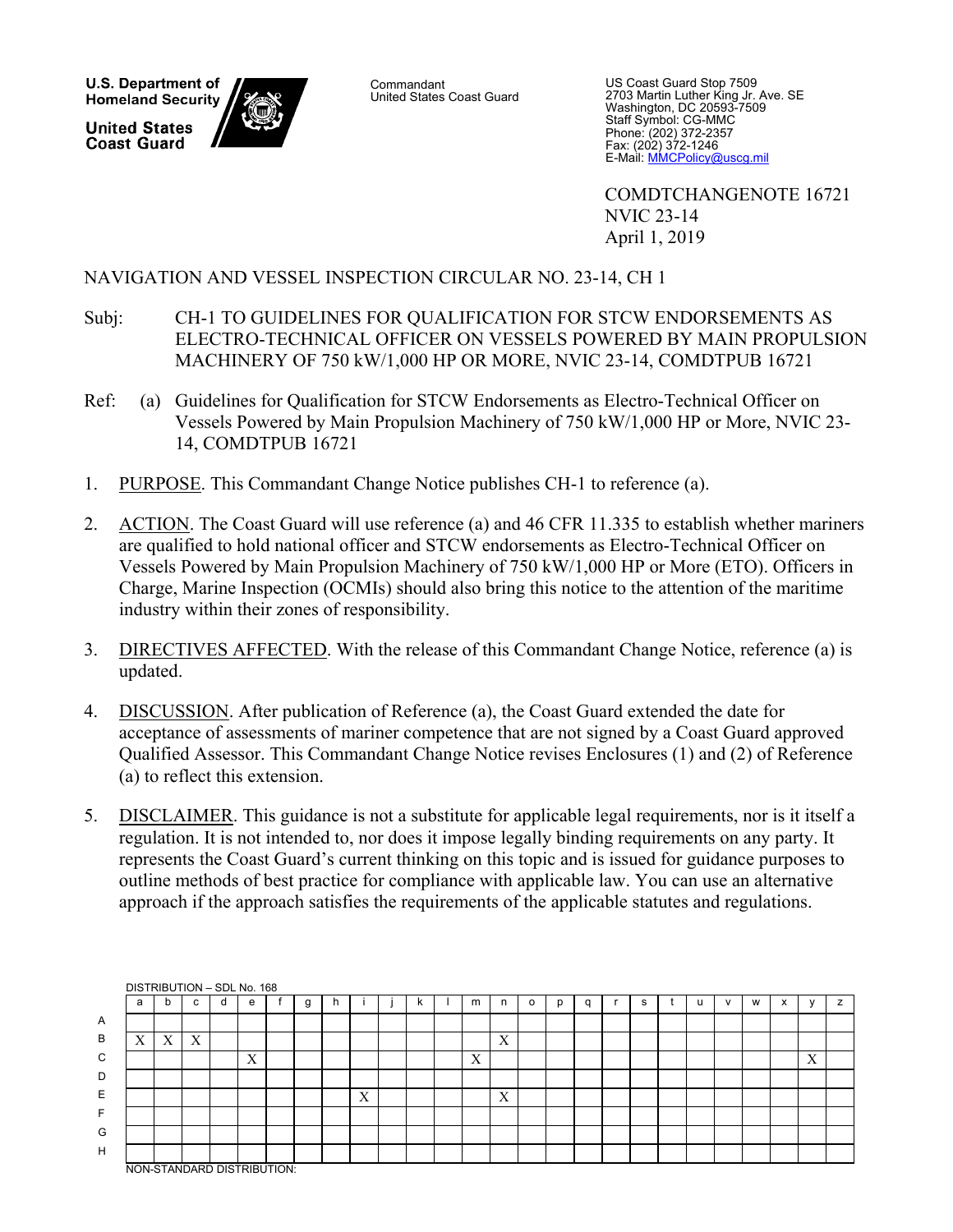**U.S. Department of Homeland Security United States Coast Guard** 

**Commandant** United States Coast Guard

US Coast Guard Stop 7509 2703 Martin Luther King Jr. Ave. SE Washington, DC 20593-7509 Staff Symbol: CG-MMC Phone: (202) 372-2357 Fax: (202) 372-1246 E-Mail: MMCPolicy@uscg.mil

 COMDTCHANGENOTE 16721 NVIC 23-14 April 1, 2019

#### NAVIGATION AND VESSEL INSPECTION CIRCULAR NO. 23-14, CH 1

- Subj: CH-1 TO GUIDELINES FOR QUALIFICATION FOR STCW ENDORSEMENTS AS ELECTRO-TECHNICAL OFFICER ON VESSELS POWERED BY MAIN PROPULSION MACHINERY OF 750 kW/1,000 HP OR MORE, NVIC 23-14, COMDTPUB 16721
- Ref: (a) Guidelines for Qualification for STCW Endorsements as Electro-Technical Officer on Vessels Powered by Main Propulsion Machinery of 750 kW/1,000 HP or More, NVIC 23- 14, COMDTPUB 16721
- 1. PURPOSE. This Commandant Change Notice publishes CH-1 to reference (a).
- 2. ACTION. The Coast Guard will use reference (a) and 46 CFR 11.335 to establish whether mariners are qualified to hold national officer and STCW endorsements as Electro-Technical Officer on Vessels Powered by Main Propulsion Machinery of 750 kW/1,000 HP or More (ETO). Officers in Charge, Marine Inspection (OCMIs) should also bring this notice to the attention of the maritime industry within their zones of responsibility.
- 3. DIRECTIVES AFFECTED. With the release of this Commandant Change Notice, reference (a) is updated.
- 4. DISCUSSION. After publication of Reference (a), the Coast Guard extended the date for acceptance of assessments of mariner competence that are not signed by a Coast Guard approved Qualified Assessor. This Commandant Change Notice revises Enclosures (1) and (2) of Reference (a) to reflect this extension.
- 5. DISCLAIMER. This guidance is not a substitute for applicable legal requirements, nor is it itself a regulation. It is not intended to, nor does it impose legally binding requirements on any party. It represents the Coast Guard's current thinking on this topic and is issued for guidance purposes to outline methods of best practice for compliance with applicable law. You can use an alternative approach if the approach satisfies the requirements of the applicable statutes and regulations.

|              | DISTRIBUTION - SDL No. 168 |   |                           |   |                   |  |   |              |   |    |   |   |   |   |   |   |   |              |   |           |   |   |
|--------------|----------------------------|---|---------------------------|---|-------------------|--|---|--------------|---|----|---|---|---|---|---|---|---|--------------|---|-----------|---|---|
|              | a                          | b | C                         | d | e                 |  | g | <sub>n</sub> |   | n. | m | n | o | p | C | s | u | $\mathbf{v}$ | W | $\lambda$ |   | z |
| $\mathsf{A}$ |                            |   |                           |   |                   |  |   |              |   |    |   |   |   |   |   |   |   |              |   |           |   |   |
| В            | $\mathbf{v}$<br>$\Lambda$  | X | $\mathbf{v}$<br>$\Lambda$ |   |                   |  |   |              |   |    |   | X |   |   |   |   |   |              |   |           |   |   |
| C            |                            |   |                           |   | $\mathbf{v}$<br>л |  |   |              |   |    | X |   |   |   |   |   |   |              |   |           | X |   |
| D            |                            |   |                           |   |                   |  |   |              |   |    |   |   |   |   |   |   |   |              |   |           |   |   |
| E            |                            |   |                           |   |                   |  |   |              | X |    |   | X |   |   |   |   |   |              |   |           |   |   |
| E            |                            |   |                           |   |                   |  |   |              |   |    |   |   |   |   |   |   |   |              |   |           |   |   |
| G            |                            |   |                           |   |                   |  |   |              |   |    |   |   |   |   |   |   |   |              |   |           |   |   |
| H            |                            |   |                           |   |                   |  |   |              |   |    |   |   |   |   |   |   |   |              |   |           |   |   |
|              | NON-STANDARD DISTRIBUTION: |   |                           |   |                   |  |   |              |   |    |   |   |   |   |   |   |   |              |   |           |   |   |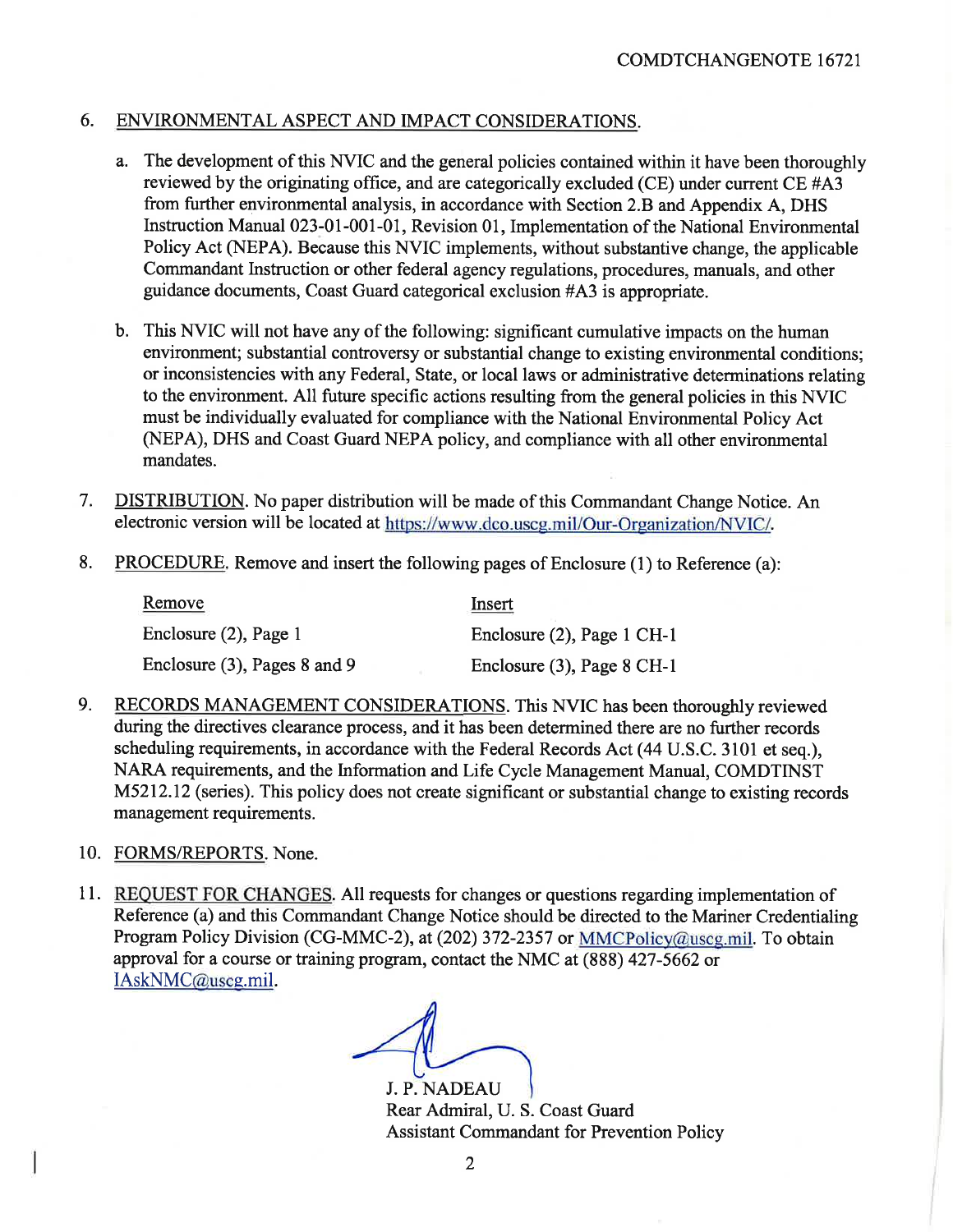#### 6. ENVIRONMENTAL ASPECT AND IMPACT CONSIDERATIONS.

- a. The development of this NVIC and the general policies contained within it have been thoroughly reviewed by the originating office, and are categorically excluded (CE) under current CE #A3 from further environmental analysis, in accordance with Section 2.B and Appendix A, DHS Instruction Manual 023-01-001-01, Revision 01, Implementation of the National Environmental Policy Act (NEPA). Because this NVIC implements, without substantive change, the applicable Commandant Instruction or other federal agency regulations, procedures, manuals, and other guidance documents, Coast Guard categorical exclusion #A3 is appropriate.
- b. This NVIC will not have any of the following: significant cumulative impacts on the human environment; substantial controversy or substantial change to existing environmental conditions: or inconsistencies with any Federal, State, or local laws or administrative determinations relating to the environment. All future specific actions resulting from the general policies in this NVIC must be individually evaluated for compliance with the National Environmental Policy Act (NEPA), DHS and Coast Guard NEPA policy, and compliance with all other environmental mandates.
- $7<sub>1</sub>$ **DISTRIBUTION.** No paper distribution will be made of this Commandant Change Notice. An electronic version will be located at https://www.dco.uscg.mil/Our-Organization/NVIC/.
- 8. **PROCEDURE.** Remove and insert the following pages of Enclosure (1) to Reference (a):

| <b>Remove</b>                | <u>Insert</u>                 |
|------------------------------|-------------------------------|
| Enclosure (2), Page 1        | Enclosure (2), Page 1 CH-1    |
| Enclosure (3), Pages 8 and 9 | Enclosure $(3)$ , Page 8 CH-1 |

- 9. RECORDS MANAGEMENT CONSIDERATIONS. This NVIC has been thoroughly reviewed during the directives clearance process, and it has been determined there are no further records scheduling requirements, in accordance with the Federal Records Act (44 U.S.C. 3101 et seq.), NARA requirements, and the Information and Life Cycle Management Manual, COMDTINST M5212.12 (series). This policy does not create significant or substantial change to existing records management requirements.
- 10. FORMS/REPORTS. None.
- 11. REQUEST FOR CHANGES. All requests for changes or questions regarding implementation of Reference (a) and this Commandant Change Notice should be directed to the Mariner Credentialing Program Policy Division (CG-MMC-2), at (202) 372-2357 or MMCPolicy@useg.mil. To obtain approval for a course or training program, contact the NMC at (888) 427-5662 or IAskNMC@useg.mil.

J. P. NADEAU Rear Admiral, U. S. Coast Guard **Assistant Commandant for Prevention Policy**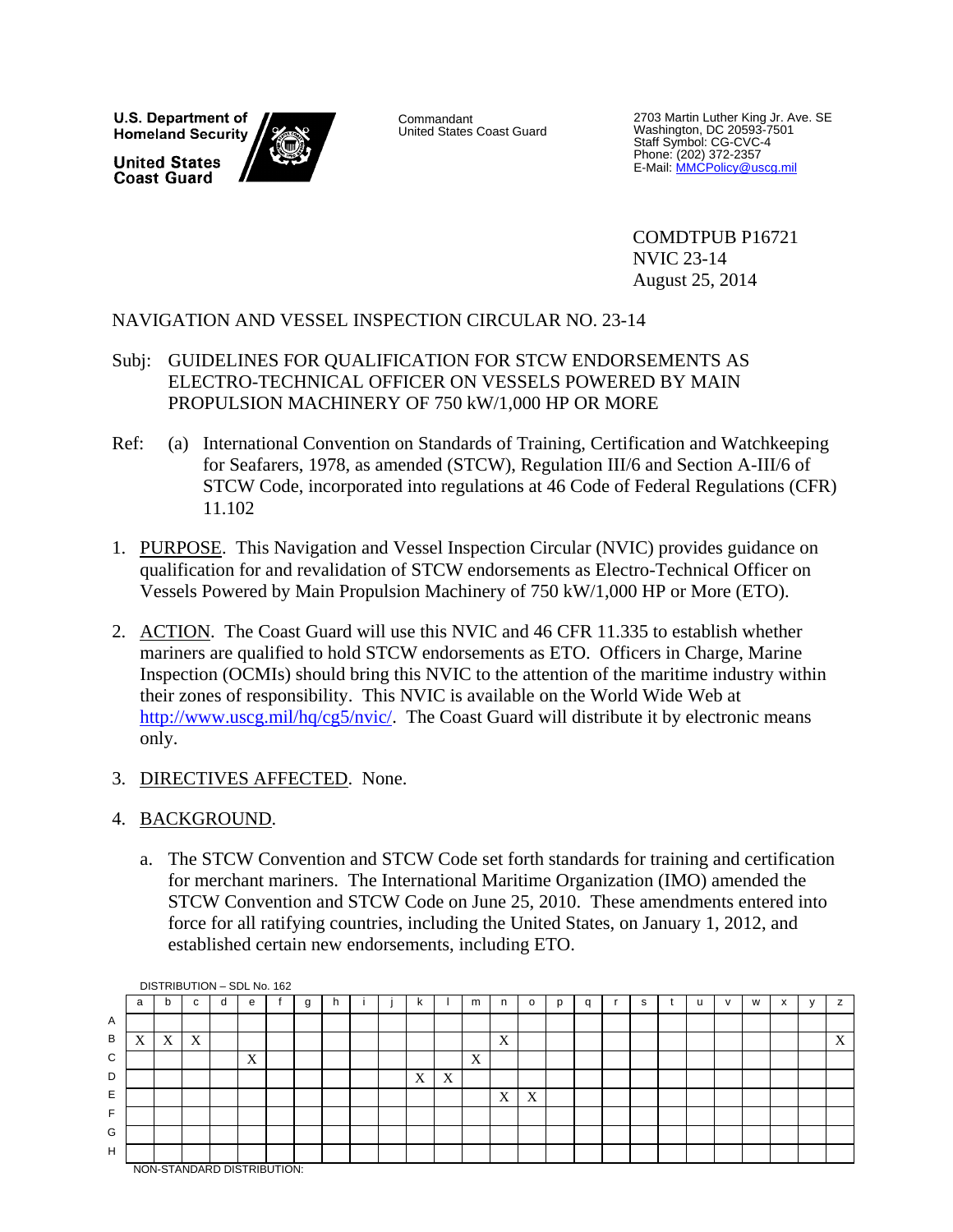U.S. Department of **Homeland Security United States Coast Guard** 

Commandant United States Coast Guard

2703 Martin Luther King Jr. Ave. SE Washington, DC 20593-7501 Staff Symbol: CG-CVC-4 Phone: (202) 372-2357<br>E-Mail: <u>MMCPolicy@uscg.mil</u>

 COMDTPUB P16721 NVIC 23-14 August 25, 2014

#### NAVIGATION AND VESSEL INSPECTION CIRCULAR NO. 23-14

- Subj: GUIDELINES FOR QUALIFICATION FOR STCW ENDORSEMENTS AS ELECTRO-TECHNICAL OFFICER ON VESSELS POWERED BY MAIN PROPULSION MACHINERY OF 750 kW/1,000 HP OR MORE
- Ref: (a) International Convention on Standards of Training, Certification and Watchkeeping for Seafarers, 1978, as amended (STCW), Regulation III/6 and Section A-III/6 of STCW Code, incorporated into regulations at 46 Code of Federal Regulations (CFR) 11.102
- 1. PURPOSE. This Navigation and Vessel Inspection Circular (NVIC) provides guidance on qualification for and revalidation of STCW endorsements as Electro-Technical Officer on Vessels Powered by Main Propulsion Machinery of 750 kW/1,000 HP or More (ETO).
- 2. ACTION. The Coast Guard will use this NVIC and 46 CFR 11.335 to establish whether mariners are qualified to hold STCW endorsements as ETO. Officers in Charge, Marine Inspection (OCMIs) should bring this NVIC to the attention of the maritime industry within their zones of responsibility. This NVIC is available on the World Wide Web at http://www.uscg.mil/hq/cg5/nvic/. The Coast Guard will distribute it by electronic means only.
- 3. DIRECTIVES AFFECTED. None.

#### 4. BACKGROUND.

a. The STCW Convention and STCW Code set forth standards for training and certification for merchant mariners. The International Maritime Organization (IMO) amended the STCW Convention and STCW Code on June 25, 2010. These amendments entered into force for all ratifying countries, including the United States, on January 1, 2012, and established certain new endorsements, including ETO.

|   |                            |   |   |  | DISTRIBUTION - SDL No. 162 |  |   |   |  |   |   |   |   |         |   |   |   |  |              |   |   |              |   |
|---|----------------------------|---|---|--|----------------------------|--|---|---|--|---|---|---|---|---------|---|---|---|--|--------------|---|---|--------------|---|
|   | a                          | b | c |  | e                          |  | g | n |  | κ |   | m | n | $\circ$ | p | q | s |  | $\mathsf{v}$ | W | x | $\mathbf{v}$ | z |
| A |                            |   |   |  |                            |  |   |   |  |   |   |   |   |         |   |   |   |  |              |   |   |              |   |
| B | v<br>Δ                     | X | X |  |                            |  |   |   |  |   |   |   | X |         |   |   |   |  |              |   |   |              | X |
| C |                            |   |   |  | X                          |  |   |   |  |   |   | X |   |         |   |   |   |  |              |   |   |              |   |
| D |                            |   |   |  |                            |  |   |   |  | X | X |   |   |         |   |   |   |  |              |   |   |              |   |
| E |                            |   |   |  |                            |  |   |   |  |   |   |   | X | X       |   |   |   |  |              |   |   |              |   |
| F |                            |   |   |  |                            |  |   |   |  |   |   |   |   |         |   |   |   |  |              |   |   |              |   |
| G |                            |   |   |  |                            |  |   |   |  |   |   |   |   |         |   |   |   |  |              |   |   |              |   |
| H |                            |   |   |  |                            |  |   |   |  |   |   |   |   |         |   |   |   |  |              |   |   |              |   |
|   | NON-STANDARD DISTRIBUTION: |   |   |  |                            |  |   |   |  |   |   |   |   |         |   |   |   |  |              |   |   |              |   |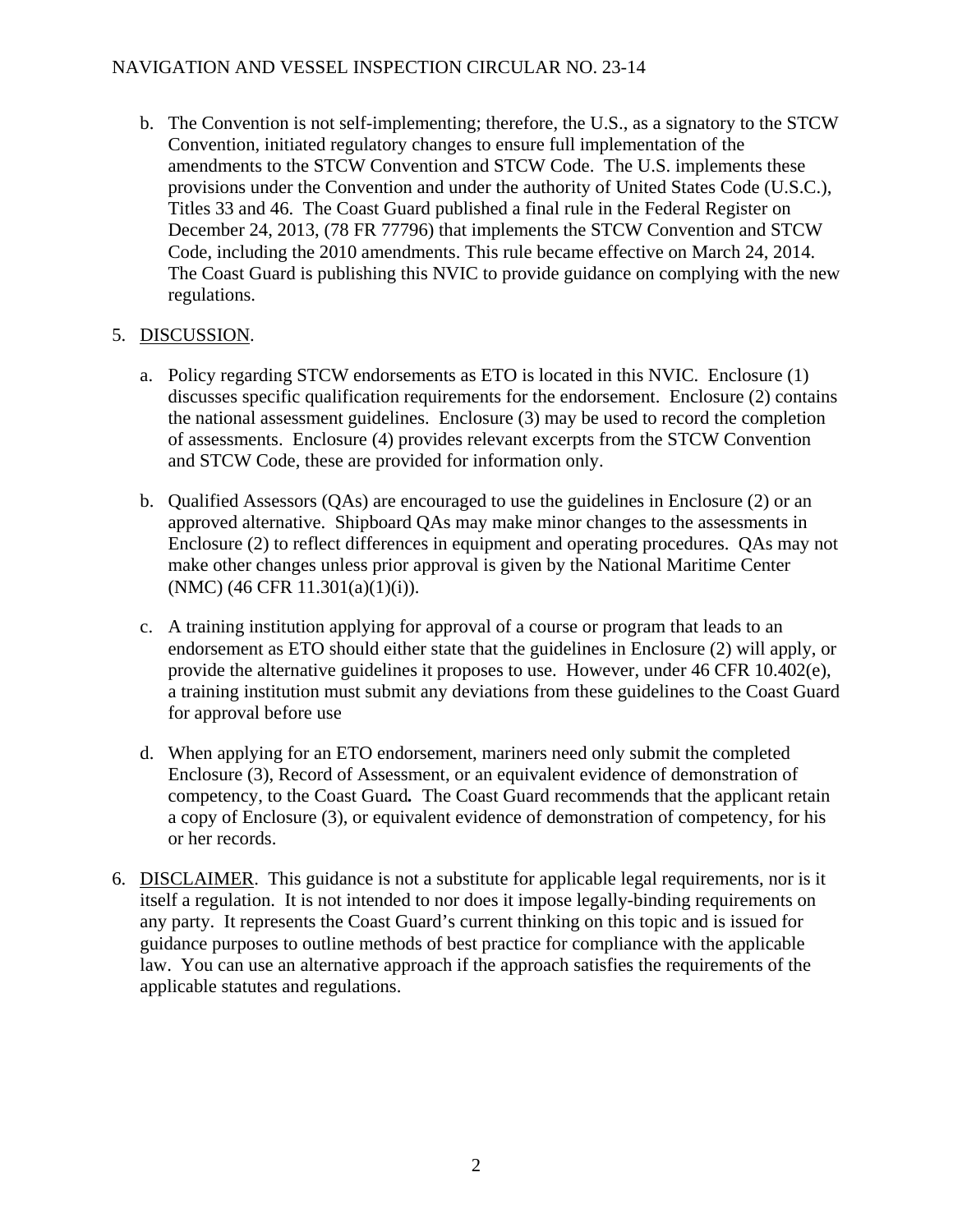#### NAVIGATION AND VESSEL INSPECTION CIRCULAR NO. 23-14

b. The Convention is not self-implementing; therefore, the U.S., as a signatory to the STCW Convention, initiated regulatory changes to ensure full implementation of the amendments to the STCW Convention and STCW Code. The U.S. implements these provisions under the Convention and under the authority of United States Code (U.S.C.), Titles 33 and 46. The Coast Guard published a final rule in the Federal Register on December 24, 2013, (78 FR 77796) that implements the STCW Convention and STCW Code, including the 2010 amendments. This rule became effective on March 24, 2014. The Coast Guard is publishing this NVIC to provide guidance on complying with the new regulations.

#### 5. DISCUSSION.

- a. Policy regarding STCW endorsements as ETO is located in this NVIC. Enclosure (1) discusses specific qualification requirements for the endorsement. Enclosure (2) contains the national assessment guidelines. Enclosure (3) may be used to record the completion of assessments. Enclosure (4) provides relevant excerpts from the STCW Convention and STCW Code, these are provided for information only.
- b. Qualified Assessors (QAs) are encouraged to use the guidelines in Enclosure (2) or an approved alternative. Shipboard QAs may make minor changes to the assessments in Enclosure (2) to reflect differences in equipment and operating procedures. QAs may not make other changes unless prior approval is given by the National Maritime Center (NMC) (46 CFR 11.301(a)(1)(i)).
- c. A training institution applying for approval of a course or program that leads to an endorsement as ETO should either state that the guidelines in Enclosure (2) will apply, or provide the alternative guidelines it proposes to use. However, under 46 CFR 10.402(e), a training institution must submit any deviations from these guidelines to the Coast Guard for approval before use
- d. When applying for an ETO endorsement, mariners need only submit the completed Enclosure (3), Record of Assessment, or an equivalent evidence of demonstration of competency, to the Coast Guard*.* The Coast Guard recommends that the applicant retain a copy of Enclosure (3), or equivalent evidence of demonstration of competency, for his or her records.
- 6. DISCLAIMER. This guidance is not a substitute for applicable legal requirements, nor is it itself a regulation. It is not intended to nor does it impose legally-binding requirements on any party. It represents the Coast Guard's current thinking on this topic and is issued for guidance purposes to outline methods of best practice for compliance with the applicable law. You can use an alternative approach if the approach satisfies the requirements of the applicable statutes and regulations.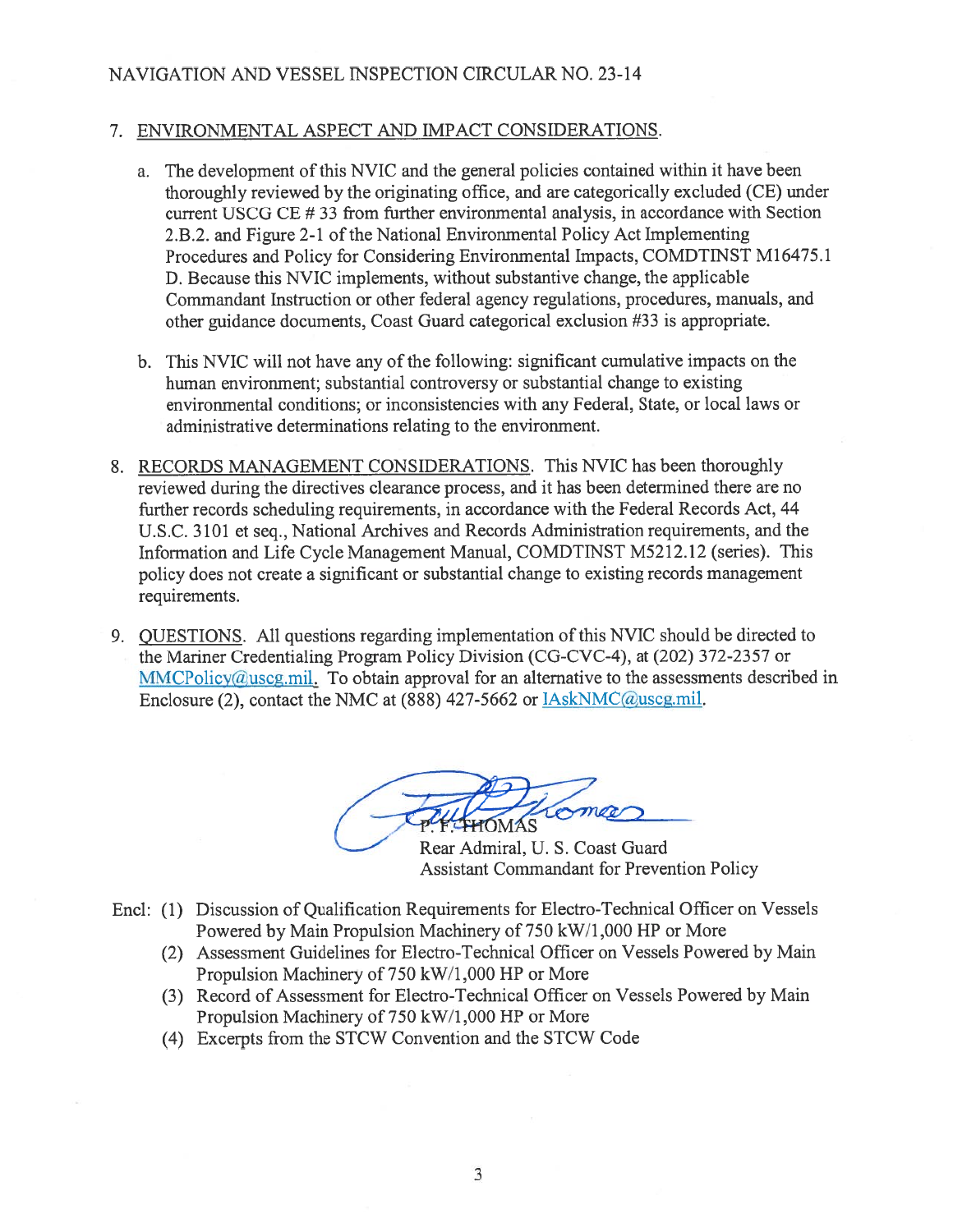#### NAVIGATION AND VESSEL INSPECTION CIRCULAR NO. 23-14

#### 7. ENVIRONMENTAL ASPECT AND IMPACT CONSIDERATIONS.

- a. The development of this NVIC and the general policies contained within it have been thoroughly reviewed by the originating office, and are categorically excluded (CE) under current USCG CE #33 from further environmental analysis, in accordance with Section 2.B.2. and Figure 2-1 of the National Environmental Policy Act Implementing Procedures and Policy for Considering Environmental Impacts, COMDTINST M16475.1 D. Because this NVIC implements, without substantive change, the applicable Commandant Instruction or other federal agency regulations, procedures, manuals, and other guidance documents, Coast Guard categorical exclusion #33 is appropriate.
- b. This NVIC will not have any of the following: significant cumulative impacts on the human environment; substantial controversy or substantial change to existing environmental conditions; or inconsistencies with any Federal, State, or local laws or administrative determinations relating to the environment.
- 8. RECORDS MANAGEMENT CONSIDERATIONS. This NVIC has been thoroughly reviewed during the directives clearance process, and it has been determined there are no further records scheduling requirements, in accordance with the Federal Records Act, 44 U.S.C. 3101 et seq., National Archives and Records Administration requirements, and the Information and Life Cycle Management Manual, COMDTINST M5212.12 (series). This policy does not create a significant or substantial change to existing records management requirements.
- 9. QUESTIONS. All questions regarding implementation of this NVIC should be directed to the Mariner Credentialing Program Policy Division (CG-CVC-4), at (202) 372-2357 or  $MMCPolicy@useg.mil.$  To obtain approval for an alternative to the assessments described in Enclosure (2), contact the NMC at (888) 427-5662 or **IAskNMC@uscg.mil**.

ma

Rear Admiral, U. S. Coast Guard **Assistant Commandant for Prevention Policy** 

- Encl: (1) Discussion of Qualification Requirements for Electro-Technical Officer on Vessels Powered by Main Propulsion Machinery of 750 kW/1,000 HP or More
	- (2) Assessment Guidelines for Electro-Technical Officer on Vessels Powered by Main Propulsion Machinery of 750 kW/1,000 HP or More
	- (3) Record of Assessment for Electro-Technical Officer on Vessels Powered by Main Propulsion Machinery of 750 kW/1,000 HP or More
	- (4) Excerpts from the STCW Convention and the STCW Code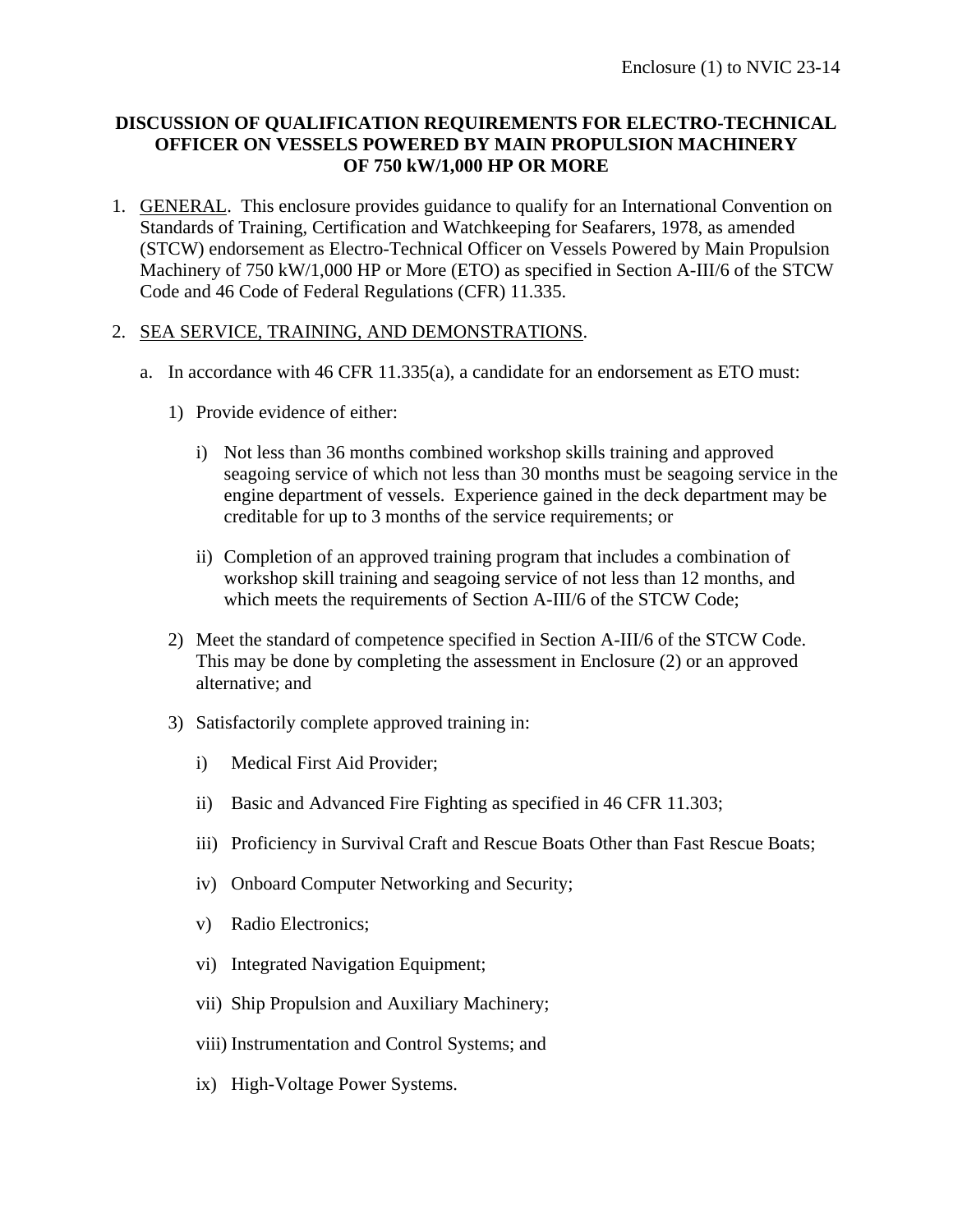#### **DISCUSSION OF QUALIFICATION REQUIREMENTS FOR ELECTRO-TECHNICAL OFFICER ON VESSELS POWERED BY MAIN PROPULSION MACHINERY OF 750 kW/1,000 HP OR MORE**

1. GENERAL. This enclosure provides guidance to qualify for an International Convention on Standards of Training, Certification and Watchkeeping for Seafarers, 1978, as amended (STCW) endorsement as Electro-Technical Officer on Vessels Powered by Main Propulsion Machinery of 750 kW/1,000 HP or More (ETO) as specified in Section A-III/6 of the STCW Code and 46 Code of Federal Regulations (CFR) 11.335.

#### 2. SEA SERVICE, TRAINING, AND DEMONSTRATIONS.

- a. In accordance with 46 CFR 11.335(a), a candidate for an endorsement as ETO must:
	- 1) Provide evidence of either:
		- i) Not less than 36 months combined workshop skills training and approved seagoing service of which not less than 30 months must be seagoing service in the engine department of vessels. Experience gained in the deck department may be creditable for up to 3 months of the service requirements; or
		- ii) Completion of an approved training program that includes a combination of workshop skill training and seagoing service of not less than 12 months, and which meets the requirements of Section A-III/6 of the STCW Code;
	- 2) Meet the standard of competence specified in Section A-III/6 of the STCW Code. This may be done by completing the assessment in Enclosure (2) or an approved alternative; and
	- 3) Satisfactorily complete approved training in:
		- i) Medical First Aid Provider;
		- ii) Basic and Advanced Fire Fighting as specified in 46 CFR 11.303;
		- iii) Proficiency in Survival Craft and Rescue Boats Other than Fast Rescue Boats;
		- iv) Onboard Computer Networking and Security;
		- v) Radio Electronics;
		- vi) Integrated Navigation Equipment;
		- vii) Ship Propulsion and Auxiliary Machinery;
		- viii) Instrumentation and Control Systems; and
		- ix) High-Voltage Power Systems.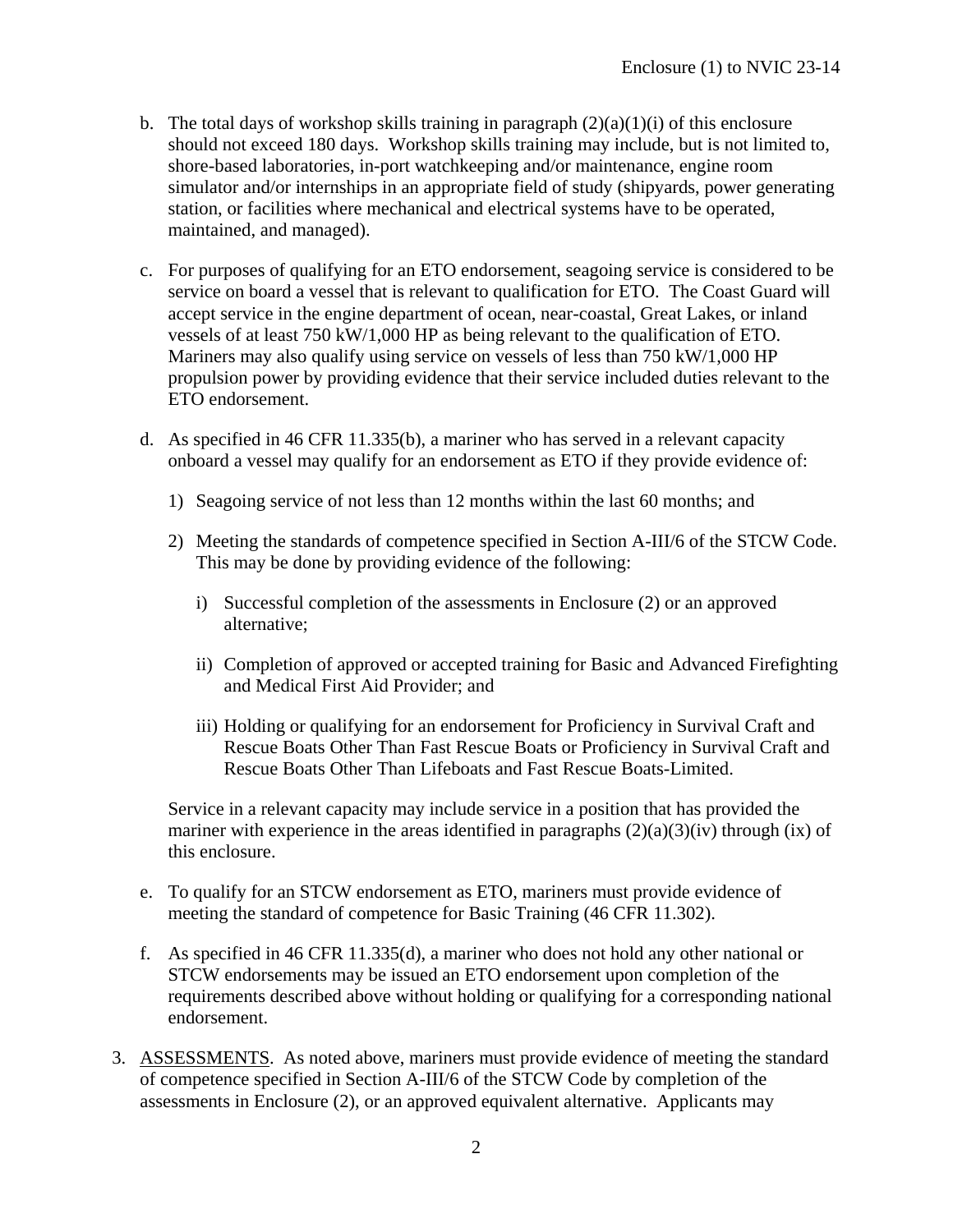- b. The total days of workshop skills training in paragraph  $(2)(a)(1)(i)$  of this enclosure should not exceed 180 days. Workshop skills training may include, but is not limited to, shore-based laboratories, in-port watchkeeping and/or maintenance, engine room simulator and/or internships in an appropriate field of study (shipyards, power generating station, or facilities where mechanical and electrical systems have to be operated, maintained, and managed).
- c. For purposes of qualifying for an ETO endorsement, seagoing service is considered to be service on board a vessel that is relevant to qualification for ETO. The Coast Guard will accept service in the engine department of ocean, near-coastal, Great Lakes, or inland vessels of at least 750 kW/1,000 HP as being relevant to the qualification of ETO. Mariners may also qualify using service on vessels of less than 750 kW/1,000 HP propulsion power by providing evidence that their service included duties relevant to the ETO endorsement.
- d. As specified in 46 CFR 11.335(b), a mariner who has served in a relevant capacity onboard a vessel may qualify for an endorsement as ETO if they provide evidence of:
	- 1) Seagoing service of not less than 12 months within the last 60 months; and
	- 2) Meeting the standards of competence specified in Section A-III/6 of the STCW Code. This may be done by providing evidence of the following:
		- i) Successful completion of the assessments in Enclosure (2) or an approved alternative;
		- ii) Completion of approved or accepted training for Basic and Advanced Firefighting and Medical First Aid Provider; and
		- iii) Holding or qualifying for an endorsement for Proficiency in Survival Craft and Rescue Boats Other Than Fast Rescue Boats or Proficiency in Survival Craft and Rescue Boats Other Than Lifeboats and Fast Rescue Boats-Limited.

Service in a relevant capacity may include service in a position that has provided the mariner with experience in the areas identified in paragraphs  $(2)(a)(3)(iv)$  through  $(ix)$  of this enclosure.

- e. To qualify for an STCW endorsement as ETO, mariners must provide evidence of meeting the standard of competence for Basic Training (46 CFR 11.302).
- f. As specified in 46 CFR 11.335(d), a mariner who does not hold any other national or STCW endorsements may be issued an ETO endorsement upon completion of the requirements described above without holding or qualifying for a corresponding national endorsement.
- 3. ASSESSMENTS. As noted above, mariners must provide evidence of meeting the standard of competence specified in Section A-III/6 of the STCW Code by completion of the assessments in Enclosure (2), or an approved equivalent alternative. Applicants may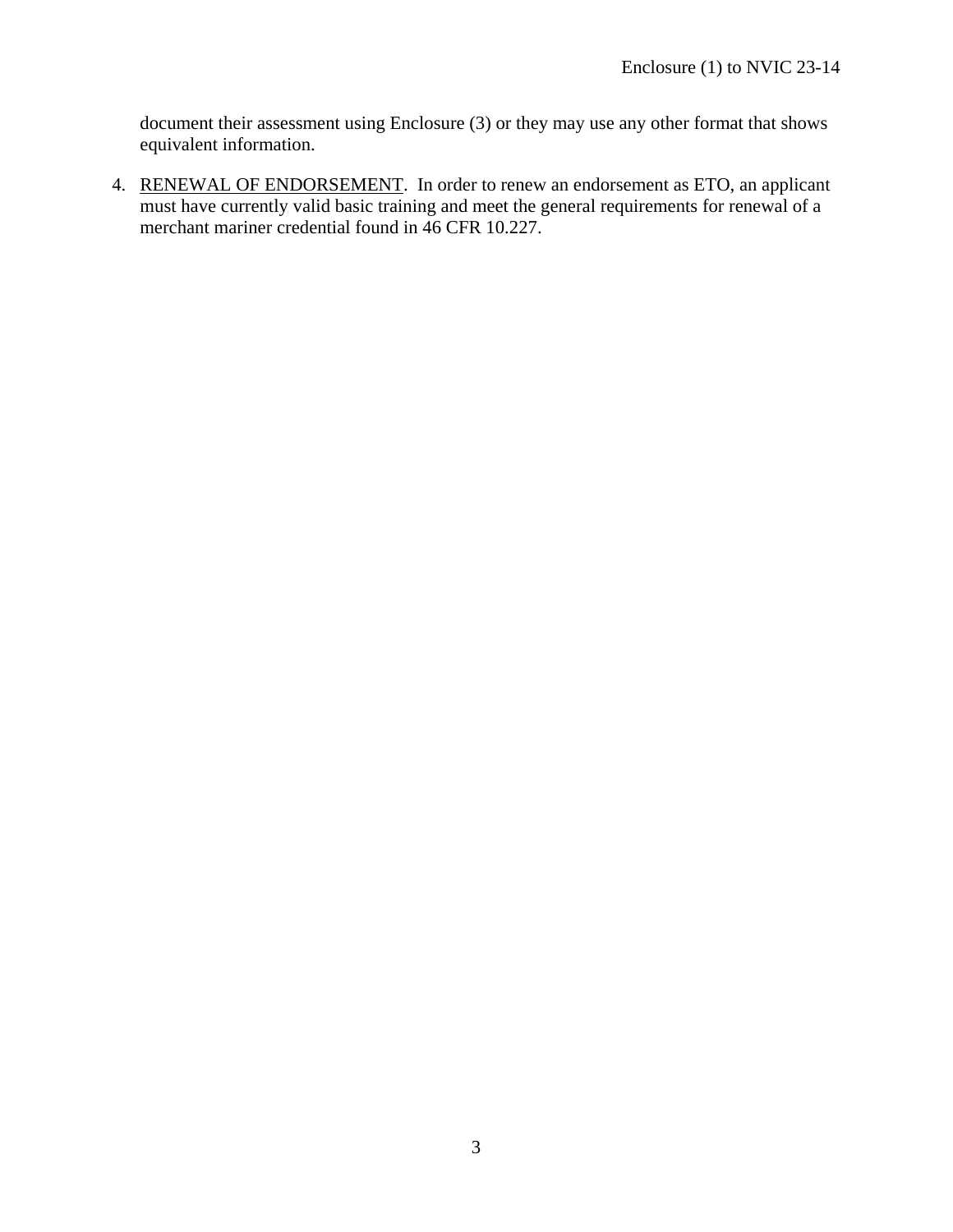document their assessment using Enclosure (3) or they may use any other format that shows equivalent information.

4. RENEWAL OF ENDORSEMENT. In order to renew an endorsement as ETO, an applicant must have currently valid basic training and meet the general requirements for renewal of a merchant mariner credential found in 46 CFR 10.227.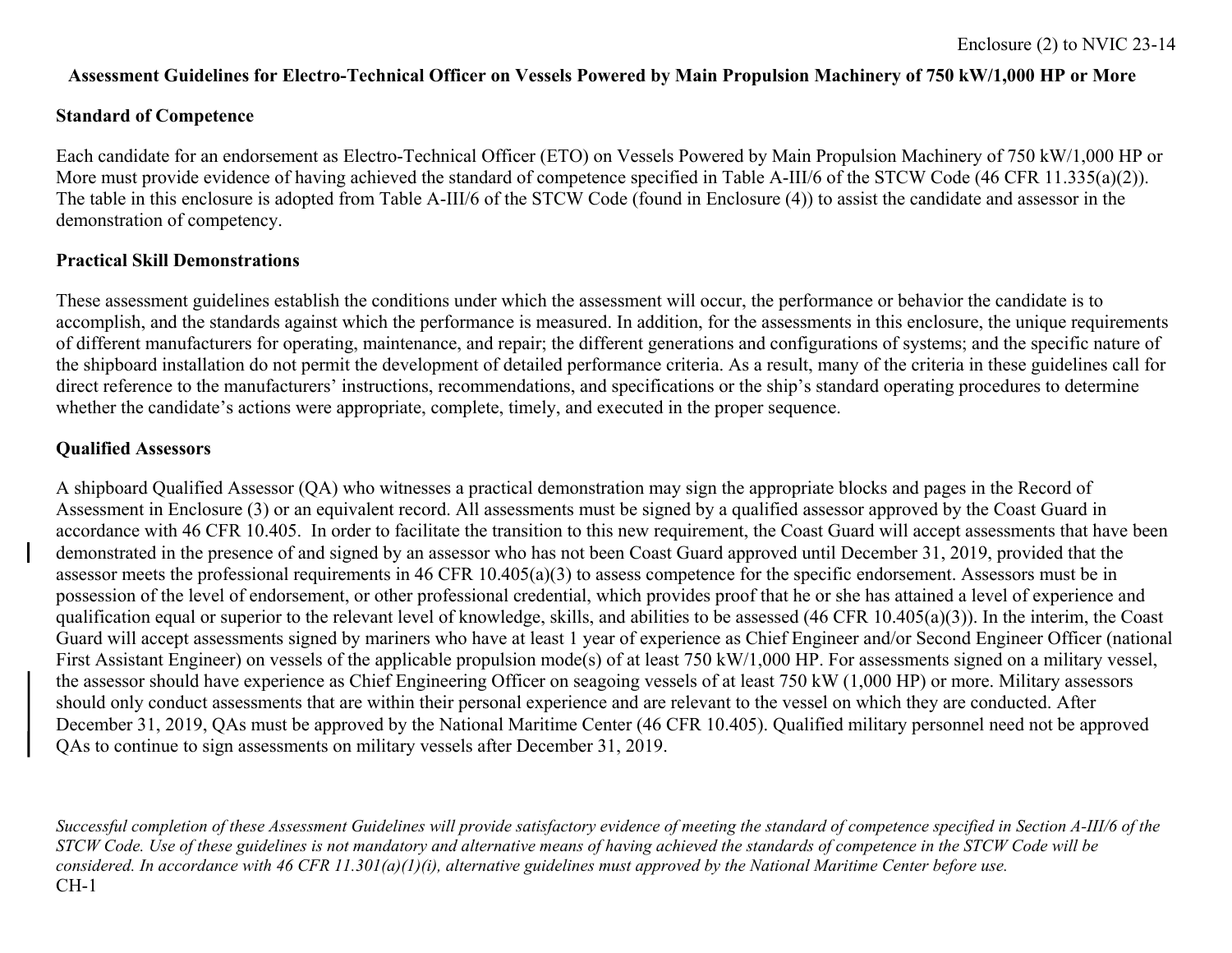#### **Assessment Guidelines for Electro-Technical Officer on Vessels Powered by Main Propulsion Machinery of 750 kW/1,000 HP or More**

#### **Standard of Competence**

Each candidate for an endorsement as Electro-Technical Officer (ETO) on Vessels Powered by Main Propulsion Machinery of 750 kW/1,000 HP or More must provide evidence of having achieved the standard of competence specified in Table A-III/6 of the STCW Code (46 CFR 11.335(a)(2)). The table in this enclosure is adopted from Table A-III/6 of the STCW Code (found in Enclosure (4)) to assist the candidate and assessor in the demonstration of competency.

#### **Practical Skill Demonstrations**

These assessment guidelines establish the conditions under which the assessment will occur, the performance or behavior the candidate is to accomplish, and the standards against which the performance is measured. In addition, for the assessments in this enclosure, the unique requirements of different manufacturers for operating, maintenance, and repair; the different generations and configurations of systems; and the specific nature of the shipboard installation do not permit the development of detailed performance criteria. As a result, many of the criteria in these guidelines call for direct reference to the manufacturers' instructions, recommendations, and specifications or the ship's standard operating procedures to determine whether the candidate's actions were appropriate, complete, timely, and executed in the proper sequence.

#### **Qualified Assessors**

A shipboard Qualified Assessor (QA) who witnesses a practical demonstration may sign the appropriate blocks and pages in the Record of Assessment in Enclosure (3) or an equivalent record. All assessments must be signed by a qualified assessor approved by the Coast Guard in accordance with 46 CFR 10.405. In order to facilitate the transition to this new requirement, the Coast Guard will accept assessments that have been demonstrated in the presence of and signed by an assessor who has not been Coast Guard approved until December 31, 2019, provided that the assessor meets the professional requirements in 46 CFR 10.405(a)(3) to assess competence for the specific endorsement. Assessors must be in possession of the level of endorsement, or other professional credential, which provides proof that he or she has attained a level of experience and qualification equal or superior to the relevant level of knowledge, skills, and abilities to be assessed (46 CFR 10.405(a)(3)). In the interim, the Coast Guard will accept assessments signed by mariners who have at least 1 year of experience as Chief Engineer and/or Second Engineer Officer (national First Assistant Engineer) on vessels of the applicable propulsion mode(s) of at least 750 kW/1,000 HP. For assessments signed on a military vessel, the assessor should have experience as Chief Engineering Officer on seagoing vessels of at least 750 kW (1,000 HP) or more. Military assessors should only conduct assessments that are within their personal experience and are relevant to the vessel on which they are conducted. After December 31, 2019, QAs must be approved by the National Maritime Center (46 CFR 10.405). Qualified military personnel need not be approved QAs to continue to sign assessments on military vessels after December 31, 2019.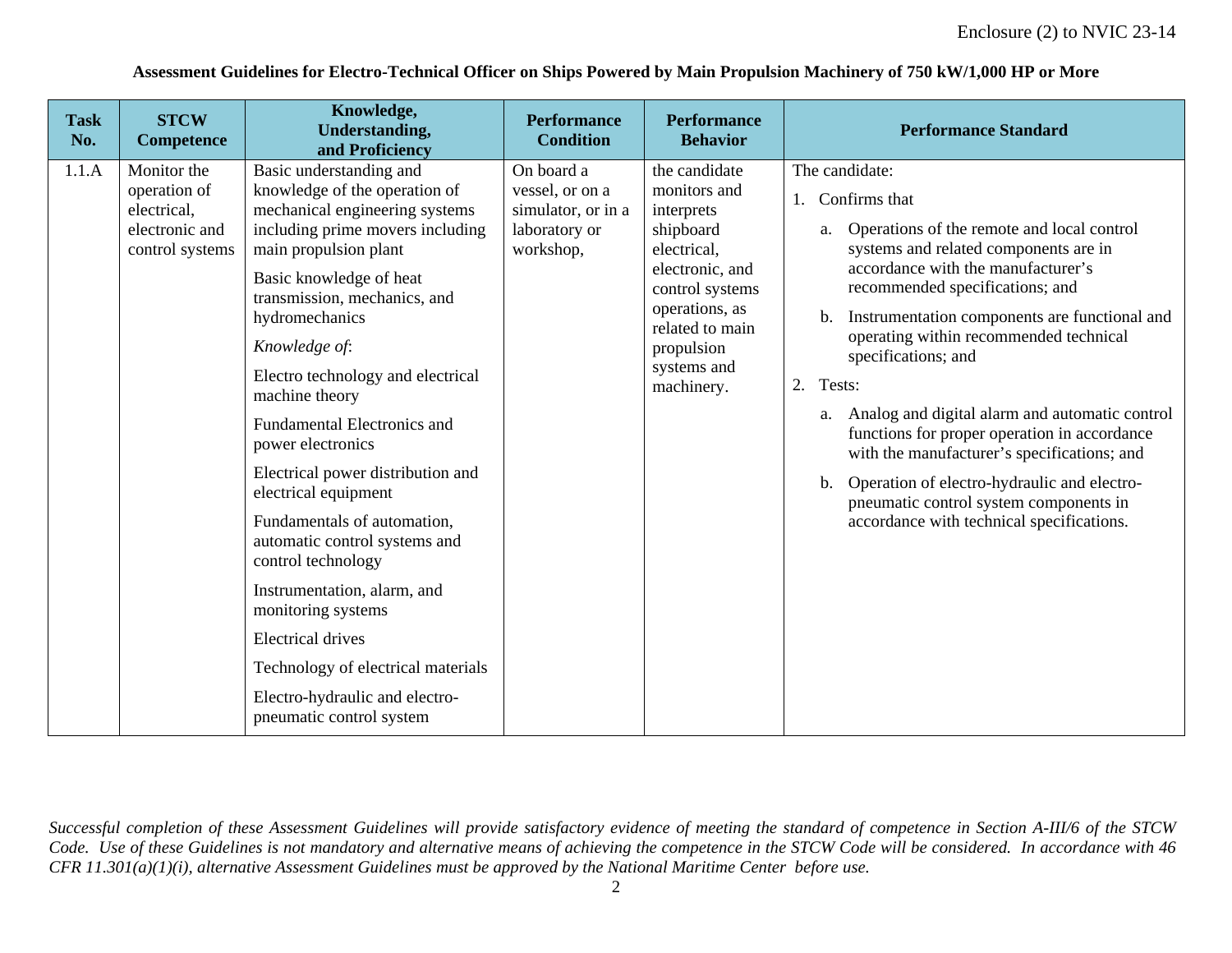#### **Assessment Guidelines for Electro-Technical Officer on Ships Powered by Main Propulsion Machinery of 750 kW/1,000 HP or More**

| <b>Task</b><br>No. | <b>STCW</b><br><b>Competence</b>                                                | Knowledge,<br><b>Understanding,</b><br>and Proficiency                                                                                                                                                                                                                                                                                                                                                                                                                                                                                                                                                                                                                                                          | <b>Performance</b><br><b>Condition</b>                                            | <b>Performance</b><br><b>Behavior</b>                                                                                                                                                         | <b>Performance Standard</b>                                                                                                                                                                                                                                                                                                                                                                                                                                                                                                                                                                                                                                                    |
|--------------------|---------------------------------------------------------------------------------|-----------------------------------------------------------------------------------------------------------------------------------------------------------------------------------------------------------------------------------------------------------------------------------------------------------------------------------------------------------------------------------------------------------------------------------------------------------------------------------------------------------------------------------------------------------------------------------------------------------------------------------------------------------------------------------------------------------------|-----------------------------------------------------------------------------------|-----------------------------------------------------------------------------------------------------------------------------------------------------------------------------------------------|--------------------------------------------------------------------------------------------------------------------------------------------------------------------------------------------------------------------------------------------------------------------------------------------------------------------------------------------------------------------------------------------------------------------------------------------------------------------------------------------------------------------------------------------------------------------------------------------------------------------------------------------------------------------------------|
| 1.1.A              | Monitor the<br>operation of<br>electrical,<br>electronic and<br>control systems | Basic understanding and<br>knowledge of the operation of<br>mechanical engineering systems<br>including prime movers including<br>main propulsion plant<br>Basic knowledge of heat<br>transmission, mechanics, and<br>hydromechanics<br>Knowledge of:<br>Electro technology and electrical<br>machine theory<br><b>Fundamental Electronics and</b><br>power electronics<br>Electrical power distribution and<br>electrical equipment<br>Fundamentals of automation,<br>automatic control systems and<br>control technology<br>Instrumentation, alarm, and<br>monitoring systems<br><b>Electrical drives</b><br>Technology of electrical materials<br>Electro-hydraulic and electro-<br>pneumatic control system | On board a<br>vessel, or on a<br>simulator, or in a<br>laboratory or<br>workshop, | the candidate<br>monitors and<br>interprets<br>shipboard<br>electrical,<br>electronic, and<br>control systems<br>operations, as<br>related to main<br>propulsion<br>systems and<br>machinery. | The candidate:<br>Confirms that<br>1.<br>Operations of the remote and local control<br>a.<br>systems and related components are in<br>accordance with the manufacturer's<br>recommended specifications; and<br>Instrumentation components are functional and<br>$\mathbf{b}$ .<br>operating within recommended technical<br>specifications; and<br>2.<br>Tests:<br>Analog and digital alarm and automatic control<br>a.<br>functions for proper operation in accordance<br>with the manufacturer's specifications; and<br>Operation of electro-hydraulic and electro-<br>$\mathbf{b}$ .<br>pneumatic control system components in<br>accordance with technical specifications. |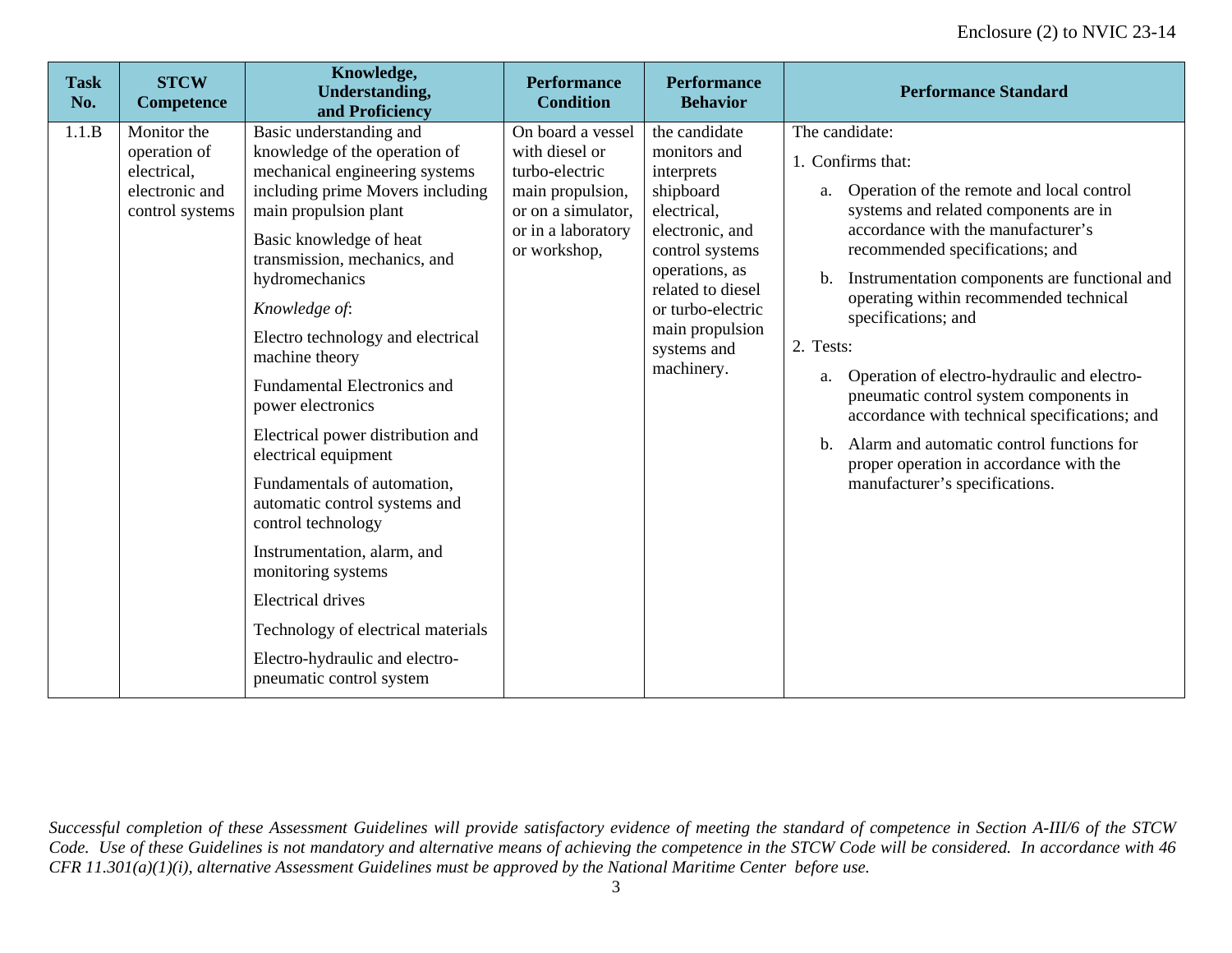| <b>Task</b><br>No. | <b>STCW</b><br><b>Competence</b>                                                | Knowledge,<br><b>Understanding,</b><br>and Proficiency                                                                                                                                                                                                                                                                                                                                                                                                                                                                                                                                                                                                                                                          | <b>Performance</b><br><b>Condition</b>                                                                                                | <b>Performance</b><br><b>Behavior</b>                                                                                                                                                                                     | <b>Performance Standard</b>                                                                                                                                                                                                                                                                                                                                                                                                                                                                                                                                                                                                                           |
|--------------------|---------------------------------------------------------------------------------|-----------------------------------------------------------------------------------------------------------------------------------------------------------------------------------------------------------------------------------------------------------------------------------------------------------------------------------------------------------------------------------------------------------------------------------------------------------------------------------------------------------------------------------------------------------------------------------------------------------------------------------------------------------------------------------------------------------------|---------------------------------------------------------------------------------------------------------------------------------------|---------------------------------------------------------------------------------------------------------------------------------------------------------------------------------------------------------------------------|-------------------------------------------------------------------------------------------------------------------------------------------------------------------------------------------------------------------------------------------------------------------------------------------------------------------------------------------------------------------------------------------------------------------------------------------------------------------------------------------------------------------------------------------------------------------------------------------------------------------------------------------------------|
| 1.1.B              | Monitor the<br>operation of<br>electrical,<br>electronic and<br>control systems | Basic understanding and<br>knowledge of the operation of<br>mechanical engineering systems<br>including prime Movers including<br>main propulsion plant<br>Basic knowledge of heat<br>transmission, mechanics, and<br>hydromechanics<br>Knowledge of:<br>Electro technology and electrical<br>machine theory<br><b>Fundamental Electronics and</b><br>power electronics<br>Electrical power distribution and<br>electrical equipment<br>Fundamentals of automation,<br>automatic control systems and<br>control technology<br>Instrumentation, alarm, and<br>monitoring systems<br><b>Electrical drives</b><br>Technology of electrical materials<br>Electro-hydraulic and electro-<br>pneumatic control system | On board a vessel<br>with diesel or<br>turbo-electric<br>main propulsion,<br>or on a simulator,<br>or in a laboratory<br>or workshop, | the candidate<br>monitors and<br>interprets<br>shipboard<br>electrical,<br>electronic, and<br>control systems<br>operations, as<br>related to diesel<br>or turbo-electric<br>main propulsion<br>systems and<br>machinery. | The candidate:<br>1. Confirms that:<br>Operation of the remote and local control<br>a.<br>systems and related components are in<br>accordance with the manufacturer's<br>recommended specifications; and<br>Instrumentation components are functional and<br>$\mathbf{b}$ .<br>operating within recommended technical<br>specifications; and<br>2. Tests:<br>Operation of electro-hydraulic and electro-<br>a.<br>pneumatic control system components in<br>accordance with technical specifications; and<br>Alarm and automatic control functions for<br>$\mathbf{b}$ .<br>proper operation in accordance with the<br>manufacturer's specifications. |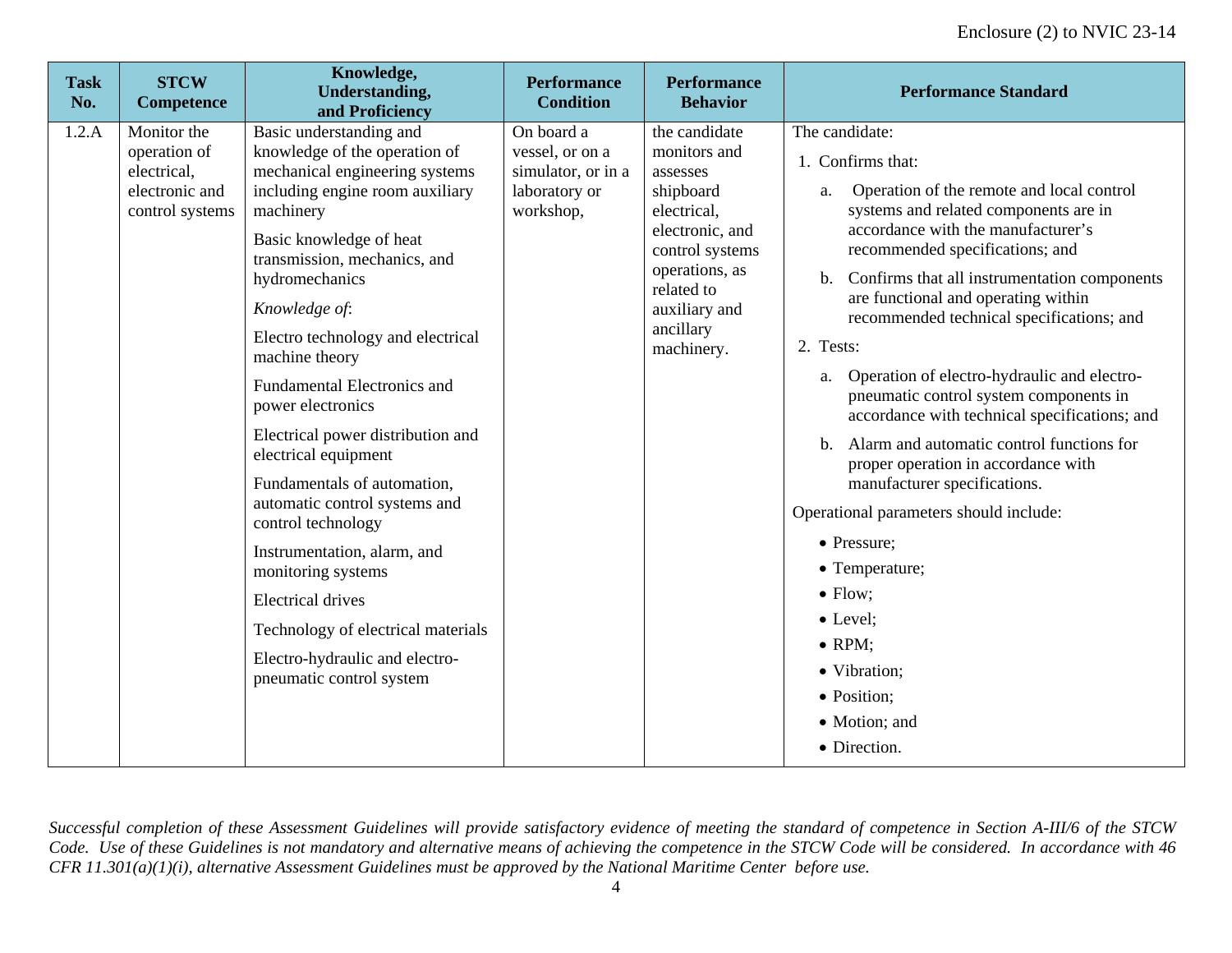| <b>Task</b><br>No. | <b>STCW</b><br><b>Competence</b>                                                | Knowledge,<br><b>Understanding,</b><br>and Proficiency                                                                                                                                                                                                                                                                                                                                                                                                                                                                                                                                                                                                                                             | <b>Performance</b><br><b>Condition</b>                                            | <b>Performance</b><br><b>Behavior</b>                                                                                                                                                   | <b>Performance Standard</b>                                                                                                                                                                                                                                                                                                                                                                                                                                                                                                                                                                                                                                                                                                                                                                                           |
|--------------------|---------------------------------------------------------------------------------|----------------------------------------------------------------------------------------------------------------------------------------------------------------------------------------------------------------------------------------------------------------------------------------------------------------------------------------------------------------------------------------------------------------------------------------------------------------------------------------------------------------------------------------------------------------------------------------------------------------------------------------------------------------------------------------------------|-----------------------------------------------------------------------------------|-----------------------------------------------------------------------------------------------------------------------------------------------------------------------------------------|-----------------------------------------------------------------------------------------------------------------------------------------------------------------------------------------------------------------------------------------------------------------------------------------------------------------------------------------------------------------------------------------------------------------------------------------------------------------------------------------------------------------------------------------------------------------------------------------------------------------------------------------------------------------------------------------------------------------------------------------------------------------------------------------------------------------------|
| 1.2.A              | Monitor the<br>operation of<br>electrical,<br>electronic and<br>control systems | Basic understanding and<br>knowledge of the operation of<br>mechanical engineering systems<br>including engine room auxiliary<br>machinery<br>Basic knowledge of heat<br>transmission, mechanics, and<br>hydromechanics<br>Knowledge of:<br>Electro technology and electrical<br>machine theory<br><b>Fundamental Electronics and</b><br>power electronics<br>Electrical power distribution and<br>electrical equipment<br>Fundamentals of automation,<br>automatic control systems and<br>control technology<br>Instrumentation, alarm, and<br>monitoring systems<br><b>Electrical drives</b><br>Technology of electrical materials<br>Electro-hydraulic and electro-<br>pneumatic control system | On board a<br>vessel, or on a<br>simulator, or in a<br>laboratory or<br>workshop, | the candidate<br>monitors and<br>assesses<br>shipboard<br>electrical,<br>electronic, and<br>control systems<br>operations, as<br>related to<br>auxiliary and<br>ancillary<br>machinery. | The candidate:<br>1. Confirms that:<br>Operation of the remote and local control<br>a.<br>systems and related components are in<br>accordance with the manufacturer's<br>recommended specifications; and<br>Confirms that all instrumentation components<br>$\mathbf{b}$ .<br>are functional and operating within<br>recommended technical specifications; and<br>2. Tests:<br>Operation of electro-hydraulic and electro-<br>a.<br>pneumatic control system components in<br>accordance with technical specifications; and<br>Alarm and automatic control functions for<br>$\mathbf{b}$ .<br>proper operation in accordance with<br>manufacturer specifications.<br>Operational parameters should include:<br>• Pressure;<br>• Temperature;<br>$\bullet$ Flow;<br>$\bullet$ Level;<br>$\bullet$ RPM;<br>• Vibration: |
|                    |                                                                                 |                                                                                                                                                                                                                                                                                                                                                                                                                                                                                                                                                                                                                                                                                                    |                                                                                   |                                                                                                                                                                                         | • Position;<br>• Motion; and<br>• Direction.                                                                                                                                                                                                                                                                                                                                                                                                                                                                                                                                                                                                                                                                                                                                                                          |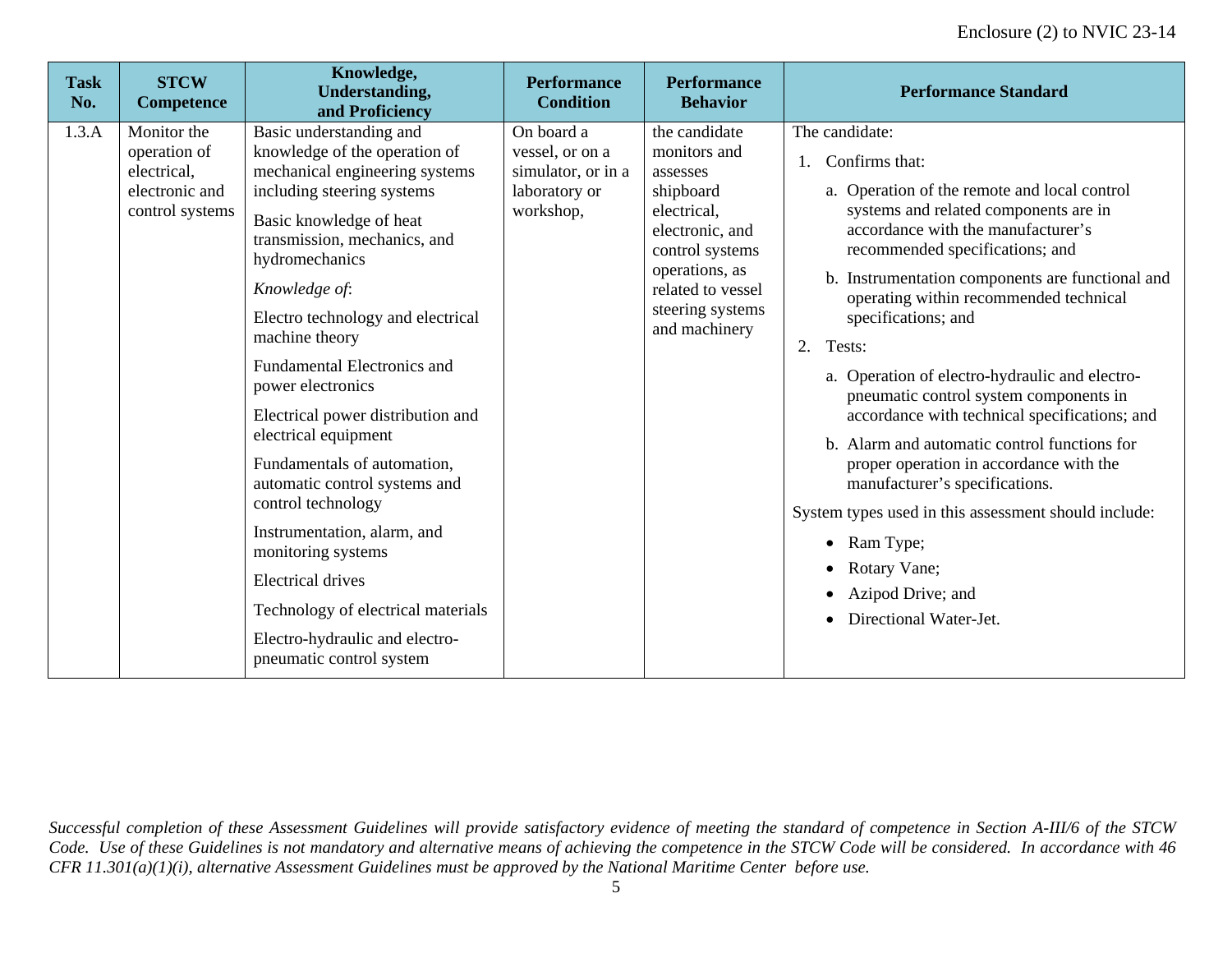| <b>Task</b><br>No. | <b>STCW</b><br><b>Competence</b>                                                | Knowledge,<br><b>Understanding,</b><br>and Proficiency                                                                                                                                                                                                                                                                                                                                                                                                                                                                                                                                                                                                                           | <b>Performance</b><br><b>Condition</b>                                            | <b>Performance</b><br><b>Behavior</b>                                                                                                                                                   | <b>Performance Standard</b>                                                                                                                                                                                                                                                                                                                                                                                                                                                                                                                                                                                                                                                                                                                                                          |
|--------------------|---------------------------------------------------------------------------------|----------------------------------------------------------------------------------------------------------------------------------------------------------------------------------------------------------------------------------------------------------------------------------------------------------------------------------------------------------------------------------------------------------------------------------------------------------------------------------------------------------------------------------------------------------------------------------------------------------------------------------------------------------------------------------|-----------------------------------------------------------------------------------|-----------------------------------------------------------------------------------------------------------------------------------------------------------------------------------------|--------------------------------------------------------------------------------------------------------------------------------------------------------------------------------------------------------------------------------------------------------------------------------------------------------------------------------------------------------------------------------------------------------------------------------------------------------------------------------------------------------------------------------------------------------------------------------------------------------------------------------------------------------------------------------------------------------------------------------------------------------------------------------------|
| 1.3.A              | Monitor the<br>operation of<br>electrical,<br>electronic and<br>control systems | Basic understanding and<br>knowledge of the operation of<br>mechanical engineering systems<br>including steering systems<br>Basic knowledge of heat<br>transmission, mechanics, and<br>hydromechanics<br>Knowledge of:<br>Electro technology and electrical<br>machine theory<br><b>Fundamental Electronics and</b><br>power electronics<br>Electrical power distribution and<br>electrical equipment<br>Fundamentals of automation,<br>automatic control systems and<br>control technology<br>Instrumentation, alarm, and<br>monitoring systems<br><b>Electrical drives</b><br>Technology of electrical materials<br>Electro-hydraulic and electro-<br>pneumatic control system | On board a<br>vessel, or on a<br>simulator, or in a<br>laboratory or<br>workshop, | the candidate<br>monitors and<br>assesses<br>shipboard<br>electrical,<br>electronic, and<br>control systems<br>operations, as<br>related to vessel<br>steering systems<br>and machinery | The candidate:<br>1. Confirms that:<br>a. Operation of the remote and local control<br>systems and related components are in<br>accordance with the manufacturer's<br>recommended specifications; and<br>Instrumentation components are functional and<br>$\mathbf{b}$ .<br>operating within recommended technical<br>specifications; and<br>Tests:<br>2.<br>a. Operation of electro-hydraulic and electro-<br>pneumatic control system components in<br>accordance with technical specifications; and<br>b. Alarm and automatic control functions for<br>proper operation in accordance with the<br>manufacturer's specifications.<br>System types used in this assessment should include:<br>Ram Type;<br>$\bullet$<br>Rotary Vane;<br>Azipod Drive; and<br>Directional Water-Jet. |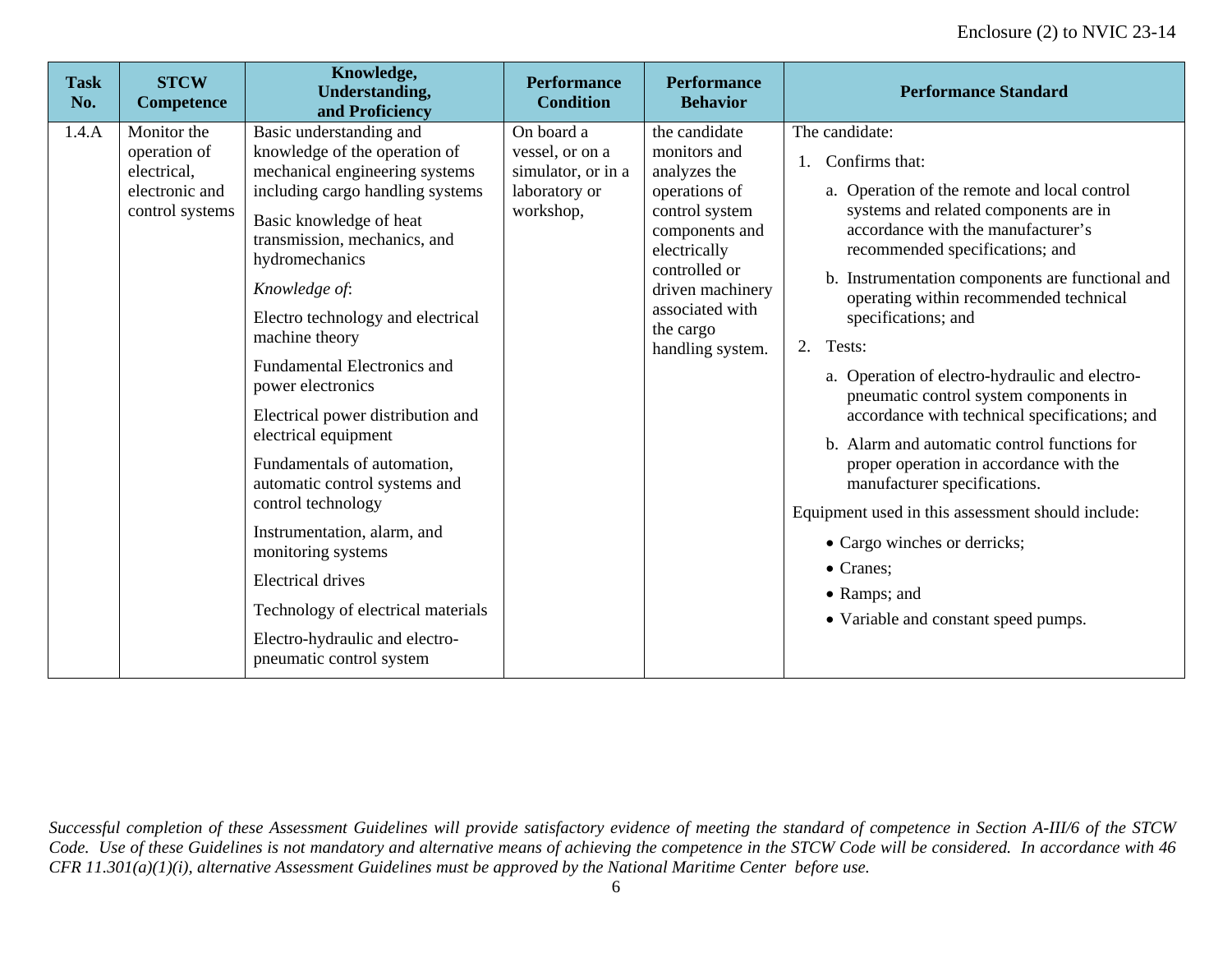| <b>Task</b><br>No. | <b>STCW</b><br><b>Competence</b>                                                | Knowledge,<br><b>Understanding,</b><br>and Proficiency                                                                                                                                                                                                                                                                                                                                                                                                                                                                                                                                                                                                                                 | <b>Performance</b><br><b>Condition</b>                                            | <b>Performance</b><br><b>Behavior</b>                                                                                                                                                                       | <b>Performance Standard</b>                                                                                                                                                                                                                                                                                                                                                                                                                                                                                                                                                                                                                                                                                                                                               |
|--------------------|---------------------------------------------------------------------------------|----------------------------------------------------------------------------------------------------------------------------------------------------------------------------------------------------------------------------------------------------------------------------------------------------------------------------------------------------------------------------------------------------------------------------------------------------------------------------------------------------------------------------------------------------------------------------------------------------------------------------------------------------------------------------------------|-----------------------------------------------------------------------------------|-------------------------------------------------------------------------------------------------------------------------------------------------------------------------------------------------------------|---------------------------------------------------------------------------------------------------------------------------------------------------------------------------------------------------------------------------------------------------------------------------------------------------------------------------------------------------------------------------------------------------------------------------------------------------------------------------------------------------------------------------------------------------------------------------------------------------------------------------------------------------------------------------------------------------------------------------------------------------------------------------|
| 1.4.A              | Monitor the<br>operation of<br>electrical,<br>electronic and<br>control systems | Basic understanding and<br>knowledge of the operation of<br>mechanical engineering systems<br>including cargo handling systems<br>Basic knowledge of heat<br>transmission, mechanics, and<br>hydromechanics<br>Knowledge of:<br>Electro technology and electrical<br>machine theory<br><b>Fundamental Electronics and</b><br>power electronics<br>Electrical power distribution and<br>electrical equipment<br>Fundamentals of automation,<br>automatic control systems and<br>control technology<br>Instrumentation, alarm, and<br>monitoring systems<br><b>Electrical drives</b><br>Technology of electrical materials<br>Electro-hydraulic and electro-<br>pneumatic control system | On board a<br>vessel, or on a<br>simulator, or in a<br>laboratory or<br>workshop, | the candidate<br>monitors and<br>analyzes the<br>operations of<br>control system<br>components and<br>electrically<br>controlled or<br>driven machinery<br>associated with<br>the cargo<br>handling system. | The candidate:<br>Confirms that:<br>a. Operation of the remote and local control<br>systems and related components are in<br>accordance with the manufacturer's<br>recommended specifications; and<br>b. Instrumentation components are functional and<br>operating within recommended technical<br>specifications; and<br>2.<br>Tests:<br>a. Operation of electro-hydraulic and electro-<br>pneumatic control system components in<br>accordance with technical specifications; and<br>b. Alarm and automatic control functions for<br>proper operation in accordance with the<br>manufacturer specifications.<br>Equipment used in this assessment should include:<br>• Cargo winches or derricks;<br>• Cranes;<br>• Ramps; and<br>• Variable and constant speed pumps. |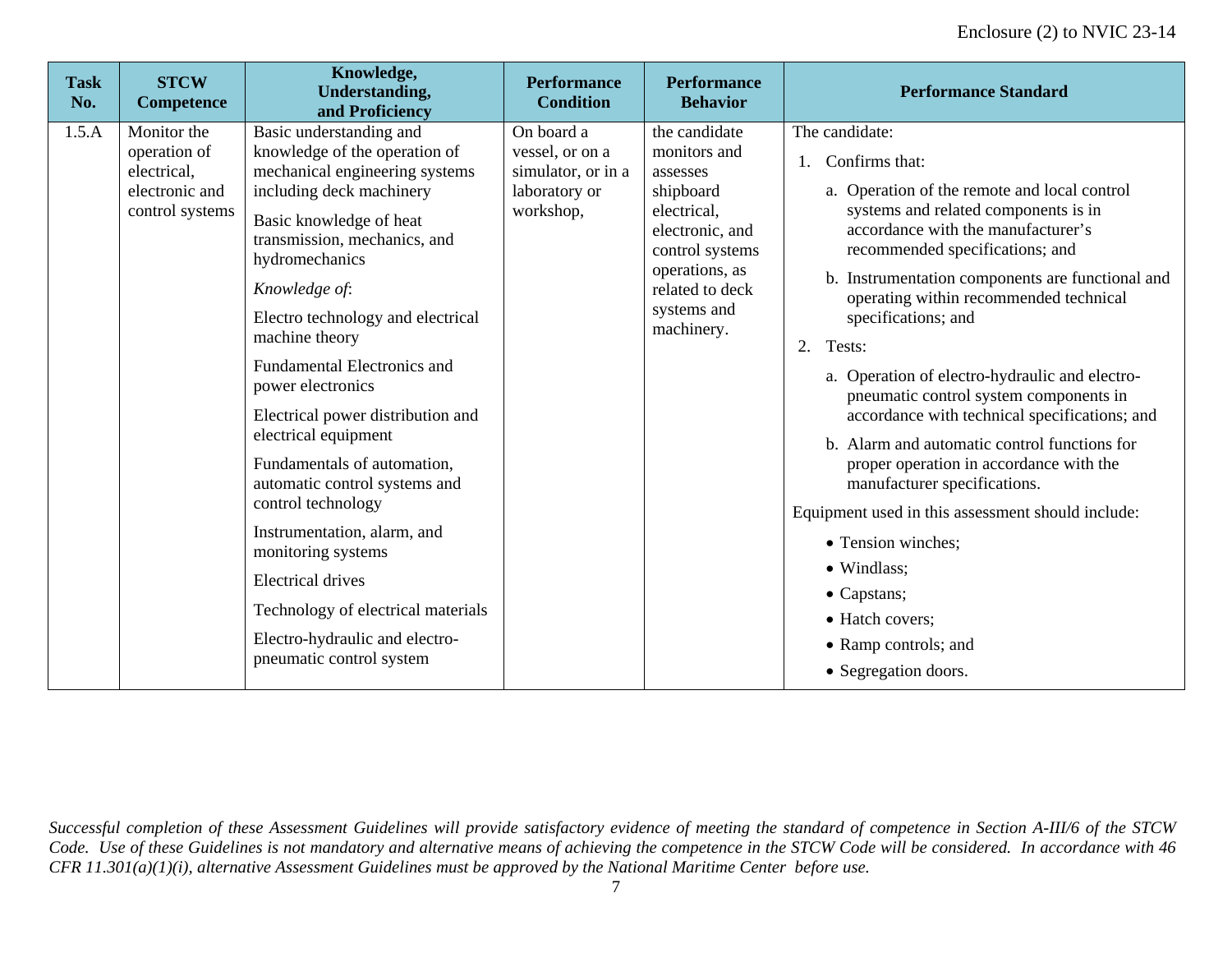| <b>Task</b><br>No. | <b>STCW</b><br><b>Competence</b>                                                | Knowledge,<br><b>Understanding,</b><br>and Proficiency                                                                                                                                                                                                                                                                                                                                                                                                                                                                                                                                                                                                                         | <b>Performance</b><br><b>Condition</b>                                            | <b>Performance</b><br><b>Behavior</b>                                                                                                                                         | <b>Performance Standard</b>                                                                                                                                                                                                                                                                                                                                                                                                                                                                                                                                                                                                                                                                                                                                                                |
|--------------------|---------------------------------------------------------------------------------|--------------------------------------------------------------------------------------------------------------------------------------------------------------------------------------------------------------------------------------------------------------------------------------------------------------------------------------------------------------------------------------------------------------------------------------------------------------------------------------------------------------------------------------------------------------------------------------------------------------------------------------------------------------------------------|-----------------------------------------------------------------------------------|-------------------------------------------------------------------------------------------------------------------------------------------------------------------------------|--------------------------------------------------------------------------------------------------------------------------------------------------------------------------------------------------------------------------------------------------------------------------------------------------------------------------------------------------------------------------------------------------------------------------------------------------------------------------------------------------------------------------------------------------------------------------------------------------------------------------------------------------------------------------------------------------------------------------------------------------------------------------------------------|
| 1.5.A              | Monitor the<br>operation of<br>electrical,<br>electronic and<br>control systems | Basic understanding and<br>knowledge of the operation of<br>mechanical engineering systems<br>including deck machinery<br>Basic knowledge of heat<br>transmission, mechanics, and<br>hydromechanics<br>Knowledge of:<br>Electro technology and electrical<br>machine theory<br><b>Fundamental Electronics and</b><br>power electronics<br>Electrical power distribution and<br>electrical equipment<br>Fundamentals of automation,<br>automatic control systems and<br>control technology<br>Instrumentation, alarm, and<br>monitoring systems<br><b>Electrical drives</b><br>Technology of electrical materials<br>Electro-hydraulic and electro-<br>pneumatic control system | On board a<br>vessel, or on a<br>simulator, or in a<br>laboratory or<br>workshop, | the candidate<br>monitors and<br>assesses<br>shipboard<br>electrical,<br>electronic, and<br>control systems<br>operations, as<br>related to deck<br>systems and<br>machinery. | The candidate:<br>Confirms that:<br>a. Operation of the remote and local control<br>systems and related components is in<br>accordance with the manufacturer's<br>recommended specifications; and<br>b. Instrumentation components are functional and<br>operating within recommended technical<br>specifications; and<br>Tests:<br>2.<br>a. Operation of electro-hydraulic and electro-<br>pneumatic control system components in<br>accordance with technical specifications; and<br>b. Alarm and automatic control functions for<br>proper operation in accordance with the<br>manufacturer specifications.<br>Equipment used in this assessment should include:<br>• Tension winches;<br>• Windlass;<br>• Capstans;<br>• Hatch covers;<br>• Ramp controls; and<br>• Segregation doors. |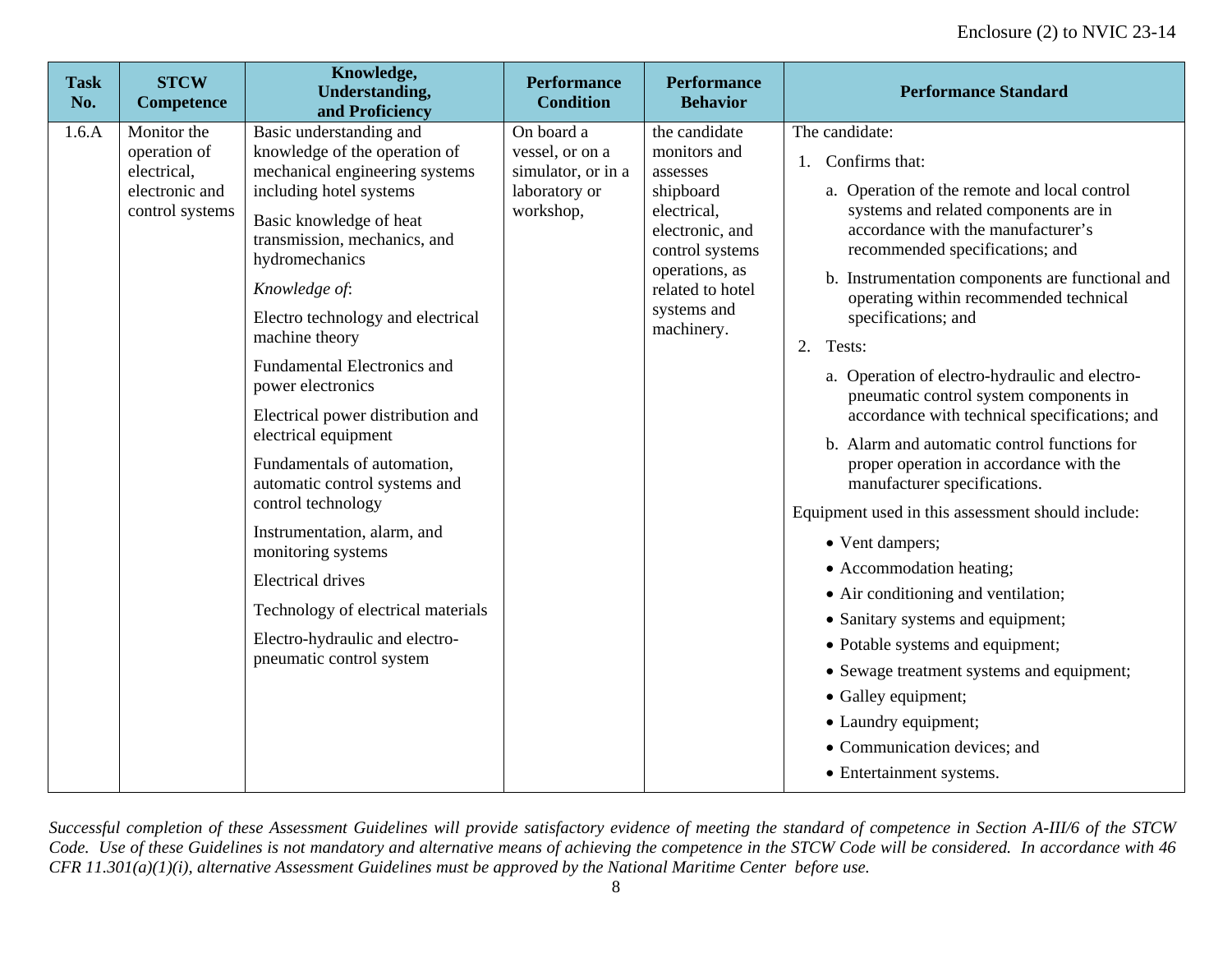| <b>Task</b><br>No. | <b>STCW</b><br><b>Competence</b>                                                | Knowledge,<br><b>Understanding,</b><br>and Proficiency                                                                                                                                                                                                                                                                                                                                                                                                                                                                                                                                                                                                                        | <b>Performance</b><br><b>Condition</b>                                            | <b>Performance</b><br><b>Behavior</b>                                                                                                                                          | <b>Performance Standard</b>                                                                                                                                                                                                                                                                                                                                                                                                                                                                                                                                                                                                                                                                                                                                                                                                                                                                                                                                     |
|--------------------|---------------------------------------------------------------------------------|-------------------------------------------------------------------------------------------------------------------------------------------------------------------------------------------------------------------------------------------------------------------------------------------------------------------------------------------------------------------------------------------------------------------------------------------------------------------------------------------------------------------------------------------------------------------------------------------------------------------------------------------------------------------------------|-----------------------------------------------------------------------------------|--------------------------------------------------------------------------------------------------------------------------------------------------------------------------------|-----------------------------------------------------------------------------------------------------------------------------------------------------------------------------------------------------------------------------------------------------------------------------------------------------------------------------------------------------------------------------------------------------------------------------------------------------------------------------------------------------------------------------------------------------------------------------------------------------------------------------------------------------------------------------------------------------------------------------------------------------------------------------------------------------------------------------------------------------------------------------------------------------------------------------------------------------------------|
| 1.6.A              | Monitor the<br>operation of<br>electrical,<br>electronic and<br>control systems | Basic understanding and<br>knowledge of the operation of<br>mechanical engineering systems<br>including hotel systems<br>Basic knowledge of heat<br>transmission, mechanics, and<br>hydromechanics<br>Knowledge of:<br>Electro technology and electrical<br>machine theory<br><b>Fundamental Electronics and</b><br>power electronics<br>Electrical power distribution and<br>electrical equipment<br>Fundamentals of automation,<br>automatic control systems and<br>control technology<br>Instrumentation, alarm, and<br>monitoring systems<br><b>Electrical drives</b><br>Technology of electrical materials<br>Electro-hydraulic and electro-<br>pneumatic control system | On board a<br>vessel, or on a<br>simulator, or in a<br>laboratory or<br>workshop, | the candidate<br>monitors and<br>assesses<br>shipboard<br>electrical,<br>electronic, and<br>control systems<br>operations, as<br>related to hotel<br>systems and<br>machinery. | The candidate:<br>1. Confirms that:<br>a. Operation of the remote and local control<br>systems and related components are in<br>accordance with the manufacturer's<br>recommended specifications; and<br>b. Instrumentation components are functional and<br>operating within recommended technical<br>specifications; and<br>2. Tests:<br>a. Operation of electro-hydraulic and electro-<br>pneumatic control system components in<br>accordance with technical specifications; and<br>b. Alarm and automatic control functions for<br>proper operation in accordance with the<br>manufacturer specifications.<br>Equipment used in this assessment should include:<br>• Vent dampers;<br>• Accommodation heating;<br>• Air conditioning and ventilation;<br>• Sanitary systems and equipment;<br>• Potable systems and equipment;<br>• Sewage treatment systems and equipment;<br>• Galley equipment;<br>• Laundry equipment;<br>• Communication devices; and |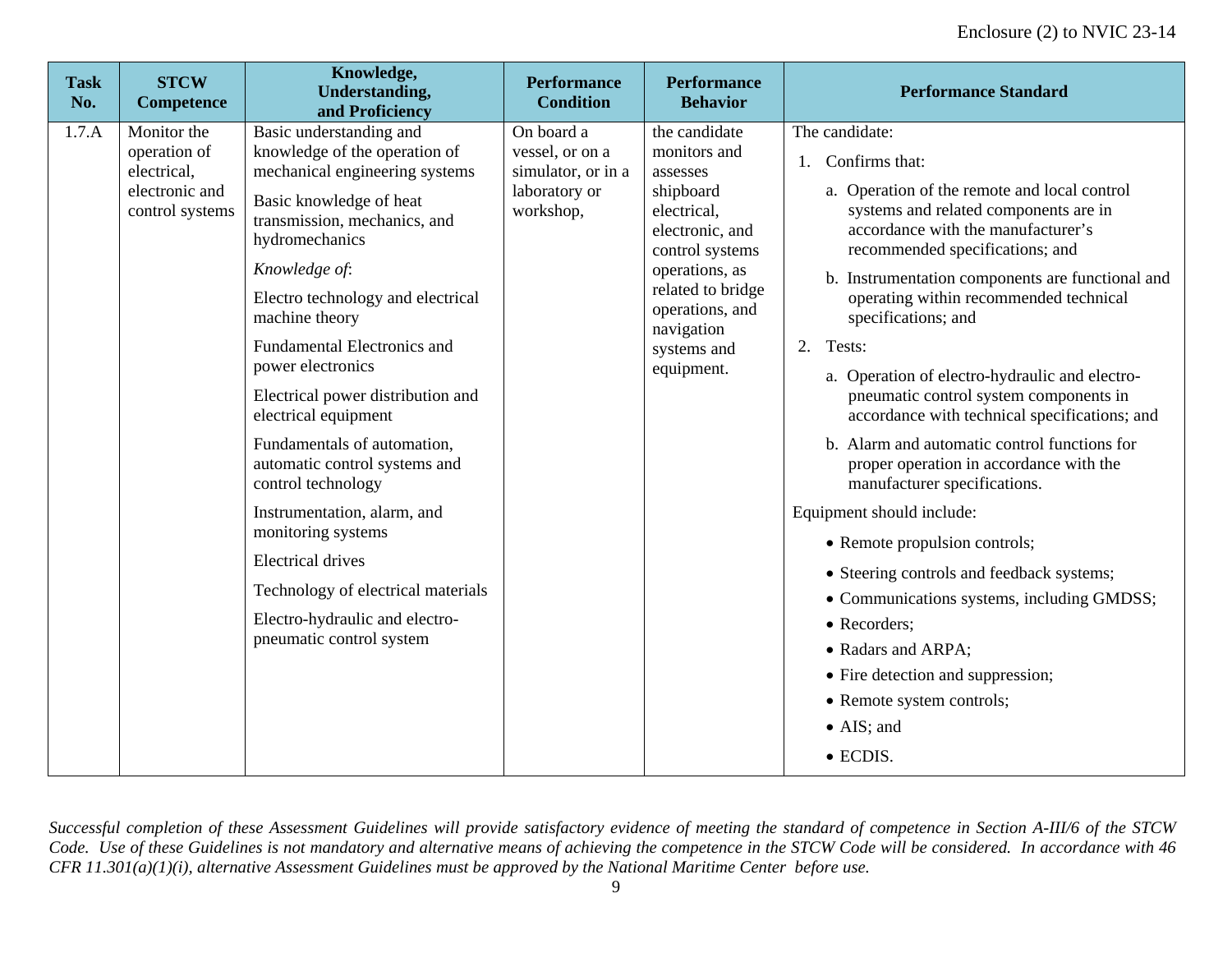| <b>Task</b><br>No. | <b>STCW</b><br><b>Competence</b>                                                | Knowledge,<br><b>Understanding,</b><br>and Proficiency                                                                                                                                                                                                                                                                                                                                                                                                                                                                                                                                                                                      | <b>Performance</b><br><b>Condition</b>                                            | <b>Performance</b><br><b>Behavior</b>                                                                                                                                                                            | <b>Performance Standard</b>                                                                                                                                                                                                                                                                                                                                                                                                                                                                                                                                                                                                                                                                                                                                                                                                                                                                            |
|--------------------|---------------------------------------------------------------------------------|---------------------------------------------------------------------------------------------------------------------------------------------------------------------------------------------------------------------------------------------------------------------------------------------------------------------------------------------------------------------------------------------------------------------------------------------------------------------------------------------------------------------------------------------------------------------------------------------------------------------------------------------|-----------------------------------------------------------------------------------|------------------------------------------------------------------------------------------------------------------------------------------------------------------------------------------------------------------|--------------------------------------------------------------------------------------------------------------------------------------------------------------------------------------------------------------------------------------------------------------------------------------------------------------------------------------------------------------------------------------------------------------------------------------------------------------------------------------------------------------------------------------------------------------------------------------------------------------------------------------------------------------------------------------------------------------------------------------------------------------------------------------------------------------------------------------------------------------------------------------------------------|
| 1.7.A              | Monitor the<br>operation of<br>electrical,<br>electronic and<br>control systems | Basic understanding and<br>knowledge of the operation of<br>mechanical engineering systems<br>Basic knowledge of heat<br>transmission, mechanics, and<br>hydromechanics<br>Knowledge of:<br>Electro technology and electrical<br>machine theory<br>Fundamental Electronics and<br>power electronics<br>Electrical power distribution and<br>electrical equipment<br>Fundamentals of automation,<br>automatic control systems and<br>control technology<br>Instrumentation, alarm, and<br>monitoring systems<br><b>Electrical drives</b><br>Technology of electrical materials<br>Electro-hydraulic and electro-<br>pneumatic control system | On board a<br>vessel, or on a<br>simulator, or in a<br>laboratory or<br>workshop, | the candidate<br>monitors and<br>assesses<br>shipboard<br>electrical,<br>electronic, and<br>control systems<br>operations, as<br>related to bridge<br>operations, and<br>navigation<br>systems and<br>equipment. | The candidate:<br>1. Confirms that:<br>a. Operation of the remote and local control<br>systems and related components are in<br>accordance with the manufacturer's<br>recommended specifications; and<br>b. Instrumentation components are functional and<br>operating within recommended technical<br>specifications; and<br>Tests:<br>$2^{2}$<br>a. Operation of electro-hydraulic and electro-<br>pneumatic control system components in<br>accordance with technical specifications; and<br>b. Alarm and automatic control functions for<br>proper operation in accordance with the<br>manufacturer specifications.<br>Equipment should include:<br>• Remote propulsion controls;<br>• Steering controls and feedback systems;<br>• Communications systems, including GMDSS;<br>• Recorders;<br>• Radars and ARPA;<br>• Fire detection and suppression;<br>• Remote system controls;<br>• AIS; and |
|                    |                                                                                 |                                                                                                                                                                                                                                                                                                                                                                                                                                                                                                                                                                                                                                             |                                                                                   |                                                                                                                                                                                                                  | • ECDIS.                                                                                                                                                                                                                                                                                                                                                                                                                                                                                                                                                                                                                                                                                                                                                                                                                                                                                               |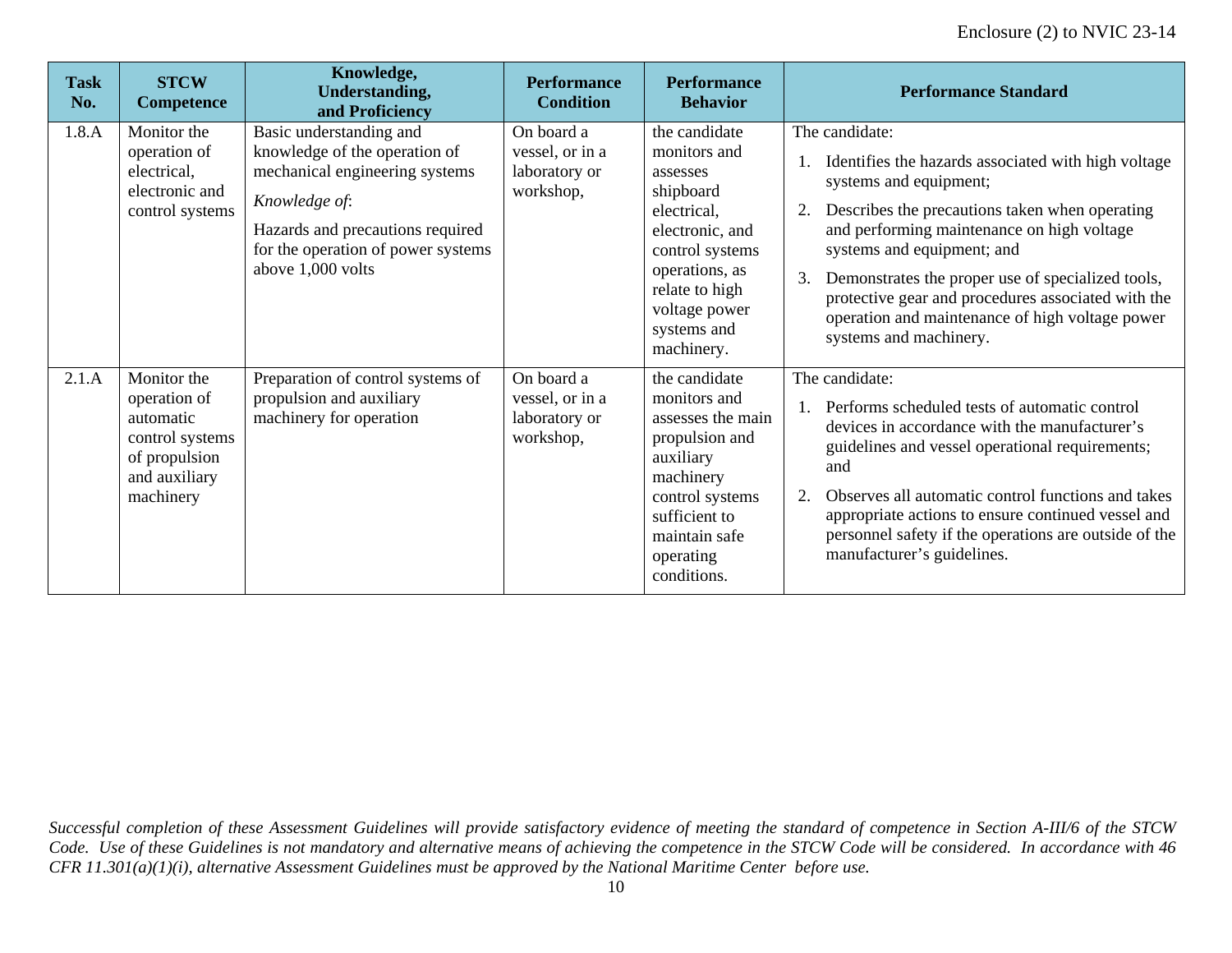| <b>Task</b><br>No. | <b>STCW</b><br><b>Competence</b>                                                                           | Knowledge,<br><b>Understanding,</b><br>and Proficiency                                                                                                                                                     | <b>Performance</b><br><b>Condition</b>                      | <b>Performance</b><br><b>Behavior</b>                                                                                                                                                         | <b>Performance Standard</b>                                                                                                                                                                                                                                                                                                                                                                                                 |
|--------------------|------------------------------------------------------------------------------------------------------------|------------------------------------------------------------------------------------------------------------------------------------------------------------------------------------------------------------|-------------------------------------------------------------|-----------------------------------------------------------------------------------------------------------------------------------------------------------------------------------------------|-----------------------------------------------------------------------------------------------------------------------------------------------------------------------------------------------------------------------------------------------------------------------------------------------------------------------------------------------------------------------------------------------------------------------------|
| 1.8.A              | Monitor the<br>operation of<br>electrical,<br>electronic and<br>control systems                            | Basic understanding and<br>knowledge of the operation of<br>mechanical engineering systems<br>Knowledge of:<br>Hazards and precautions required<br>for the operation of power systems<br>above 1,000 volts | On board a<br>vessel, or in a<br>laboratory or<br>workshop, | the candidate<br>monitors and<br>assesses<br>shipboard<br>electrical,<br>electronic, and<br>control systems<br>operations, as<br>relate to high<br>voltage power<br>systems and<br>machinery. | The candidate:<br>Identifies the hazards associated with high voltage<br>systems and equipment;<br>Describes the precautions taken when operating<br>and performing maintenance on high voltage<br>systems and equipment; and<br>3.<br>Demonstrates the proper use of specialized tools,<br>protective gear and procedures associated with the<br>operation and maintenance of high voltage power<br>systems and machinery. |
| 2.1.A              | Monitor the<br>operation of<br>automatic<br>control systems<br>of propulsion<br>and auxiliary<br>machinery | Preparation of control systems of<br>propulsion and auxiliary<br>machinery for operation                                                                                                                   | On board a<br>vessel, or in a<br>laboratory or<br>workshop, | the candidate<br>monitors and<br>assesses the main<br>propulsion and<br>auxiliary<br>machinery<br>control systems<br>sufficient to<br>maintain safe<br>operating<br>conditions.               | The candidate:<br>Performs scheduled tests of automatic control<br>devices in accordance with the manufacturer's<br>guidelines and vessel operational requirements;<br>and<br>Observes all automatic control functions and takes<br>2.<br>appropriate actions to ensure continued vessel and<br>personnel safety if the operations are outside of the<br>manufacturer's guidelines.                                         |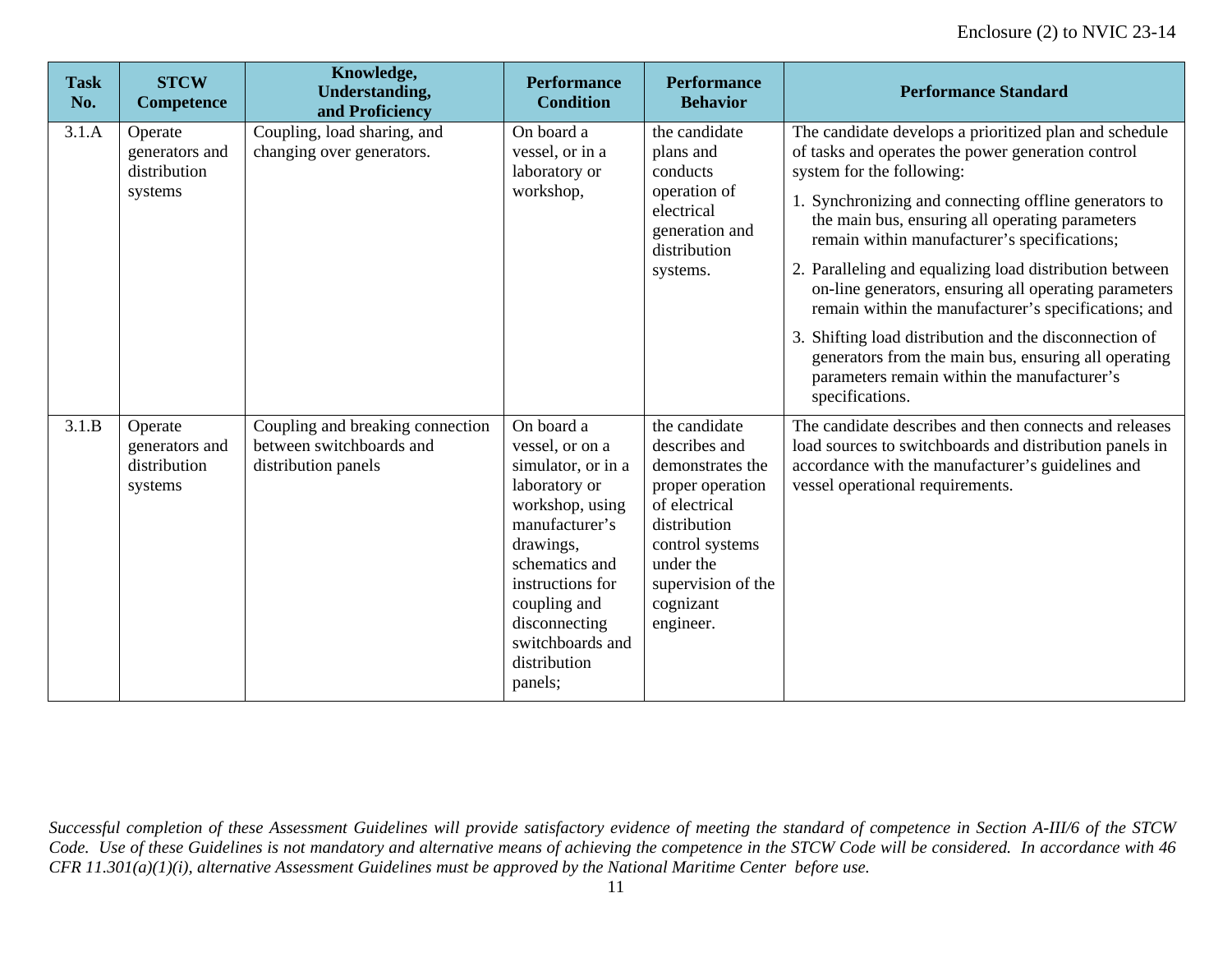| <b>Task</b><br>No. | <b>STCW</b><br><b>Competence</b>                     | Knowledge,<br><b>Understanding,</b><br>and Proficiency                              | <b>Performance</b><br><b>Condition</b>                                                                                                                                                                                                       | <b>Performance</b><br><b>Behavior</b>                                                                                                                                                   | <b>Performance Standard</b>                                                                                                                                                                                                                                                                                                                                                                                                                                                                                                                                                                                                                                           |
|--------------------|------------------------------------------------------|-------------------------------------------------------------------------------------|----------------------------------------------------------------------------------------------------------------------------------------------------------------------------------------------------------------------------------------------|-----------------------------------------------------------------------------------------------------------------------------------------------------------------------------------------|-----------------------------------------------------------------------------------------------------------------------------------------------------------------------------------------------------------------------------------------------------------------------------------------------------------------------------------------------------------------------------------------------------------------------------------------------------------------------------------------------------------------------------------------------------------------------------------------------------------------------------------------------------------------------|
| 3.1.A              | Operate<br>generators and<br>distribution<br>systems | Coupling, load sharing, and<br>changing over generators.                            | On board a<br>vessel, or in a<br>laboratory or<br>workshop,                                                                                                                                                                                  | the candidate<br>plans and<br>conducts<br>operation of<br>electrical<br>generation and<br>distribution<br>systems.                                                                      | The candidate develops a prioritized plan and schedule<br>of tasks and operates the power generation control<br>system for the following:<br>1. Synchronizing and connecting offline generators to<br>the main bus, ensuring all operating parameters<br>remain within manufacturer's specifications;<br>2. Paralleling and equalizing load distribution between<br>on-line generators, ensuring all operating parameters<br>remain within the manufacturer's specifications; and<br>3. Shifting load distribution and the disconnection of<br>generators from the main bus, ensuring all operating<br>parameters remain within the manufacturer's<br>specifications. |
| 3.1.B              | Operate<br>generators and<br>distribution<br>systems | Coupling and breaking connection<br>between switchboards and<br>distribution panels | On board a<br>vessel, or on a<br>simulator, or in a<br>laboratory or<br>workshop, using<br>manufacturer's<br>drawings,<br>schematics and<br>instructions for<br>coupling and<br>disconnecting<br>switchboards and<br>distribution<br>panels; | the candidate<br>describes and<br>demonstrates the<br>proper operation<br>of electrical<br>distribution<br>control systems<br>under the<br>supervision of the<br>cognizant<br>engineer. | The candidate describes and then connects and releases<br>load sources to switchboards and distribution panels in<br>accordance with the manufacturer's guidelines and<br>vessel operational requirements.                                                                                                                                                                                                                                                                                                                                                                                                                                                            |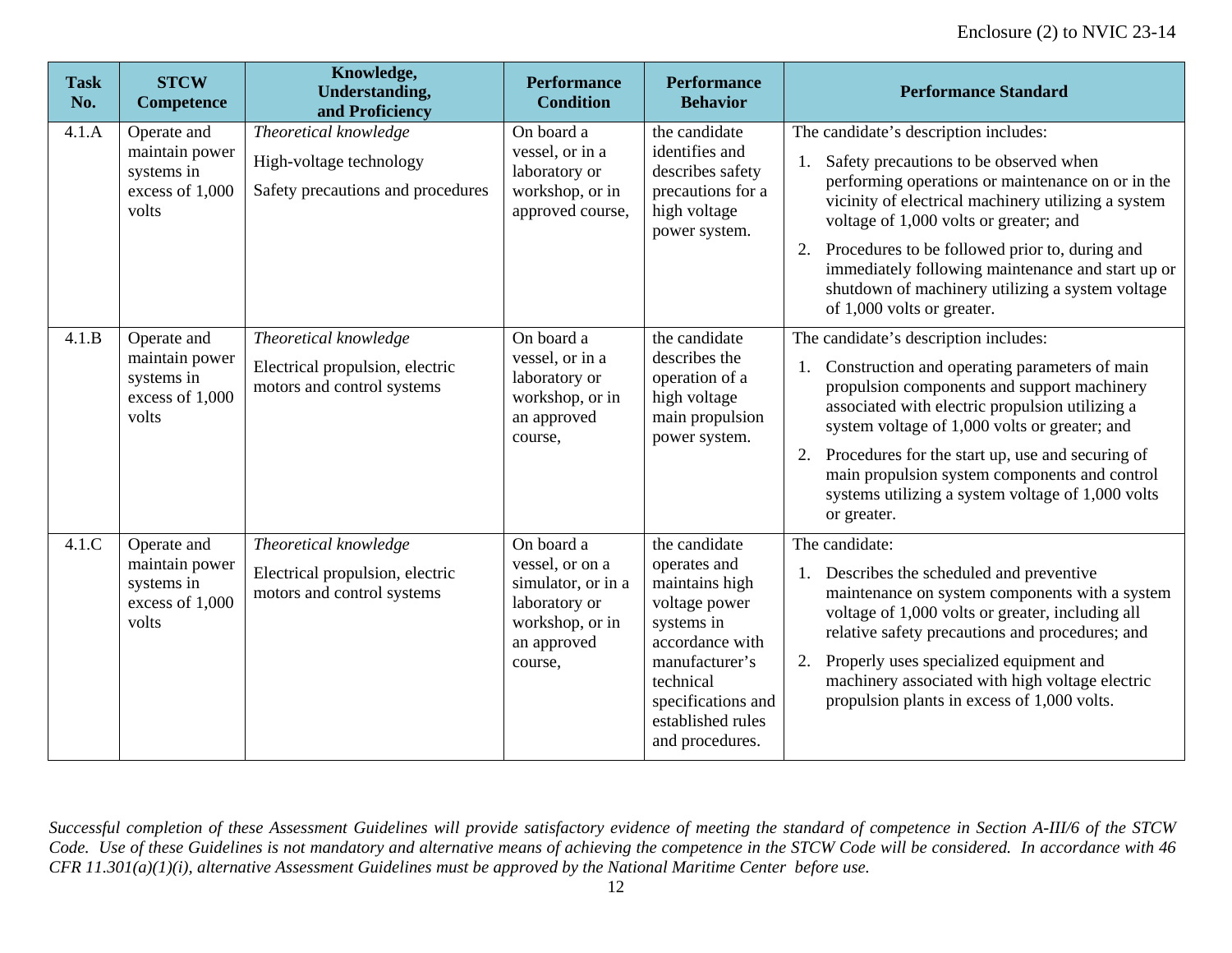| <b>Task</b><br>No. | <b>STCW</b><br><b>Competence</b>                                        | Knowledge,<br><b>Understanding,</b><br>and Proficiency                                 | <b>Performance</b><br><b>Condition</b>                                                                            | <b>Performance</b><br><b>Behavior</b>                                                                                                                                                          | <b>Performance Standard</b>                                                                                                                                                                                                                                                                                                                                                                                                             |
|--------------------|-------------------------------------------------------------------------|----------------------------------------------------------------------------------------|-------------------------------------------------------------------------------------------------------------------|------------------------------------------------------------------------------------------------------------------------------------------------------------------------------------------------|-----------------------------------------------------------------------------------------------------------------------------------------------------------------------------------------------------------------------------------------------------------------------------------------------------------------------------------------------------------------------------------------------------------------------------------------|
| 4.1.A              | Operate and<br>maintain power<br>systems in<br>excess of 1,000<br>volts | Theoretical knowledge<br>High-voltage technology<br>Safety precautions and procedures  | On board a<br>vessel, or in a<br>laboratory or<br>workshop, or in<br>approved course,                             | the candidate<br>identifies and<br>describes safety<br>precautions for a<br>high voltage<br>power system.                                                                                      | The candidate's description includes:<br>Safety precautions to be observed when<br>1.<br>performing operations or maintenance on or in the<br>vicinity of electrical machinery utilizing a system<br>voltage of 1,000 volts or greater; and<br>2. Procedures to be followed prior to, during and<br>immediately following maintenance and start up or<br>shutdown of machinery utilizing a system voltage<br>of 1,000 volts or greater. |
| 4.1.B              | Operate and<br>maintain power<br>systems in<br>excess of 1,000<br>volts | Theoretical knowledge<br>Electrical propulsion, electric<br>motors and control systems | On board a<br>vessel, or in a<br>laboratory or<br>workshop, or in<br>an approved<br>course,                       | the candidate<br>describes the<br>operation of a<br>high voltage<br>main propulsion<br>power system.                                                                                           | The candidate's description includes:<br>Construction and operating parameters of main<br>1.<br>propulsion components and support machinery<br>associated with electric propulsion utilizing a<br>system voltage of 1,000 volts or greater; and<br>2. Procedures for the start up, use and securing of<br>main propulsion system components and control<br>systems utilizing a system voltage of 1,000 volts<br>or greater.             |
| 4.1.C              | Operate and<br>maintain power<br>systems in<br>excess of 1,000<br>volts | Theoretical knowledge<br>Electrical propulsion, electric<br>motors and control systems | On board a<br>vessel, or on a<br>simulator, or in a<br>laboratory or<br>workshop, or in<br>an approved<br>course, | the candidate<br>operates and<br>maintains high<br>voltage power<br>systems in<br>accordance with<br>manufacturer's<br>technical<br>specifications and<br>established rules<br>and procedures. | The candidate:<br>Describes the scheduled and preventive<br>maintenance on system components with a system<br>voltage of 1,000 volts or greater, including all<br>relative safety precautions and procedures; and<br>2. Properly uses specialized equipment and<br>machinery associated with high voltage electric<br>propulsion plants in excess of 1,000 volts.                                                                       |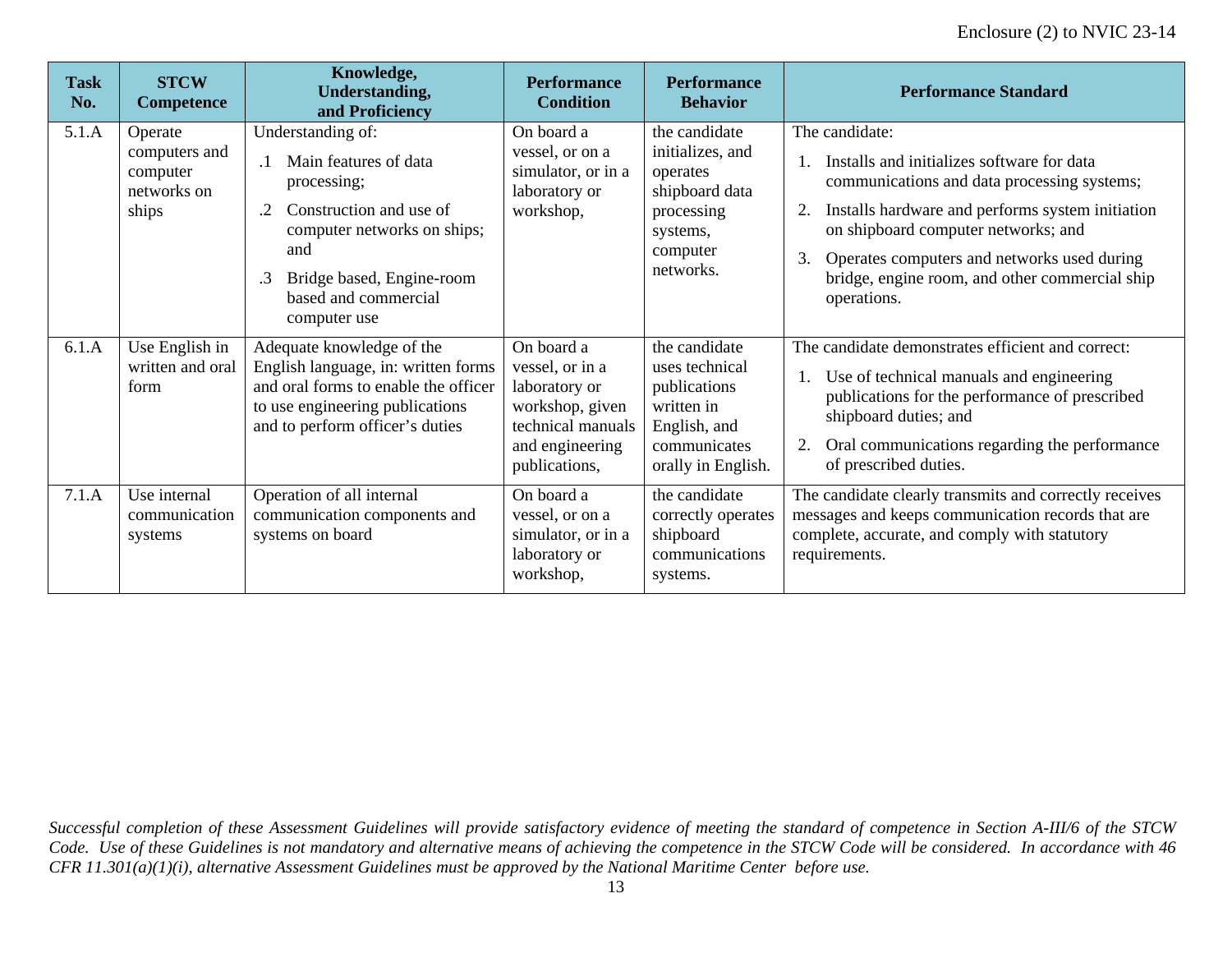| <b>Task</b><br>No. | <b>STCW</b><br><b>Competence</b>                             | Knowledge,<br><b>Understanding,</b><br>and Proficiency                                                                                                                                                                          | <b>Performance</b><br><b>Condition</b>                                                                                     | <b>Performance</b><br><b>Behavior</b>                                                                               | <b>Performance Standard</b>                                                                                                                                                                                                                                                                                                        |
|--------------------|--------------------------------------------------------------|---------------------------------------------------------------------------------------------------------------------------------------------------------------------------------------------------------------------------------|----------------------------------------------------------------------------------------------------------------------------|---------------------------------------------------------------------------------------------------------------------|------------------------------------------------------------------------------------------------------------------------------------------------------------------------------------------------------------------------------------------------------------------------------------------------------------------------------------|
| 5.1.A              | Operate<br>computers and<br>computer<br>networks on<br>ships | Understanding of:<br>Main features of data<br>$\cdot$ 1<br>processing;<br>Construction and use of<br>.2<br>computer networks on ships;<br>and<br>Bridge based, Engine-room<br>$\cdot$ 3<br>based and commercial<br>computer use | On board a<br>vessel, or on a<br>simulator, or in a<br>laboratory or<br>workshop,                                          | the candidate<br>initializes, and<br>operates<br>shipboard data<br>processing<br>systems,<br>computer<br>networks.  | The candidate:<br>Installs and initializes software for data<br>communications and data processing systems;<br>Installs hardware and performs system initiation<br>2.<br>on shipboard computer networks; and<br>3.<br>Operates computers and networks used during<br>bridge, engine room, and other commercial ship<br>operations. |
| 6.1.A              | Use English in<br>written and oral<br>form                   | Adequate knowledge of the<br>English language, in: written forms<br>and oral forms to enable the officer<br>to use engineering publications<br>and to perform officer's duties                                                  | On board a<br>vessel, or in a<br>laboratory or<br>workshop, given<br>technical manuals<br>and engineering<br>publications, | the candidate<br>uses technical<br>publications<br>written in<br>English, and<br>communicates<br>orally in English. | The candidate demonstrates efficient and correct:<br>Use of technical manuals and engineering<br>publications for the performance of prescribed<br>shipboard duties; and<br>Oral communications regarding the performance<br>of prescribed duties.                                                                                 |
| 7.1.A              | Use internal<br>communication<br>systems                     | Operation of all internal<br>communication components and<br>systems on board                                                                                                                                                   | On board a<br>vessel, or on a<br>simulator, or in a<br>laboratory or<br>workshop,                                          | the candidate<br>correctly operates<br>shipboard<br>communications<br>systems.                                      | The candidate clearly transmits and correctly receives<br>messages and keeps communication records that are<br>complete, accurate, and comply with statutory<br>requirements.                                                                                                                                                      |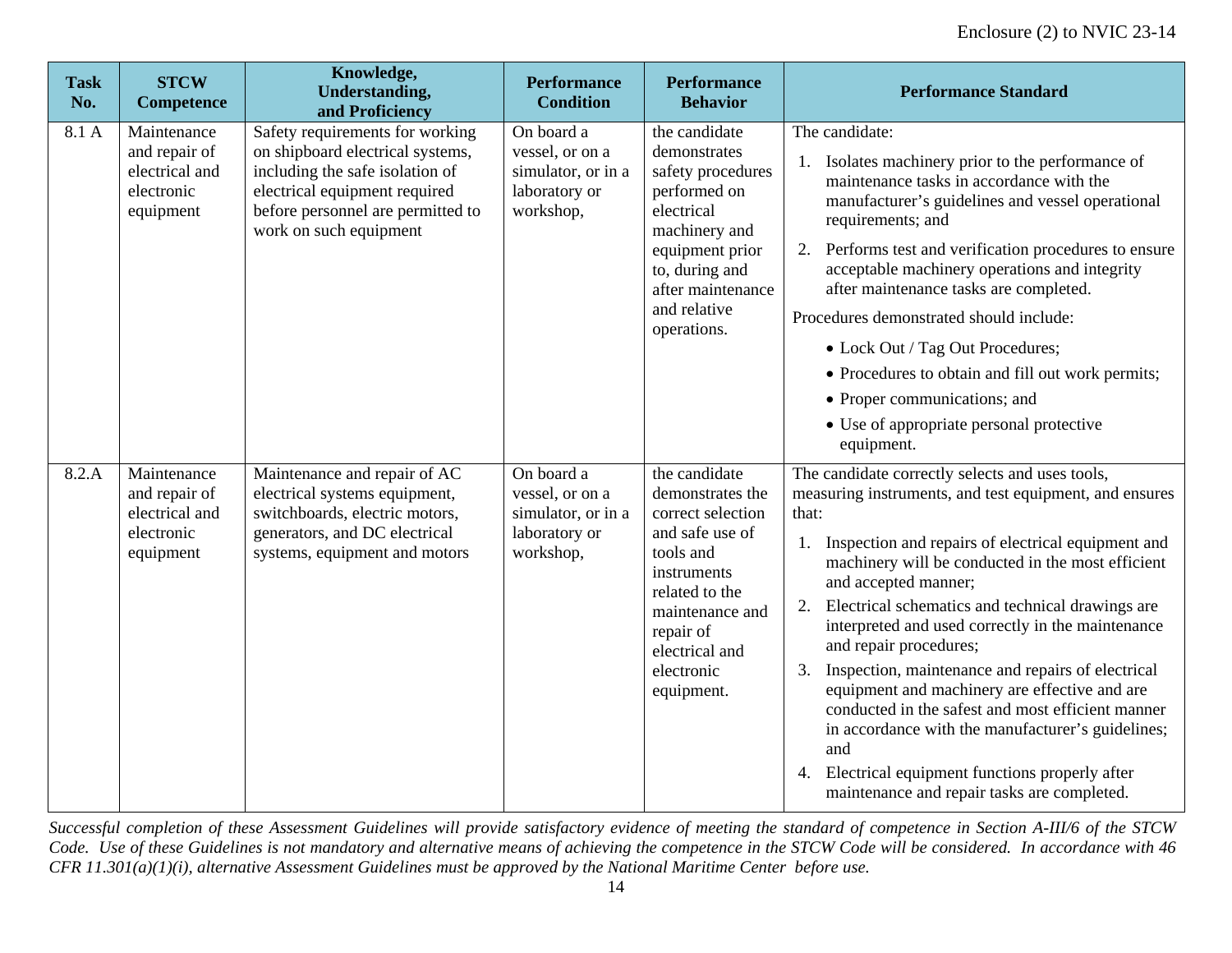| <b>Task</b><br>No. | <b>STCW</b><br><b>Competence</b>                                          | Knowledge,<br><b>Understanding,</b><br>and Proficiency                                                                                                                                                 | <b>Performance</b><br><b>Condition</b>                                            | <b>Performance</b><br><b>Behavior</b>                                                                                                                                                                 | <b>Performance Standard</b>                                                                                                                                                                                                                                                                                                                                                                                                                                                                                                                                                                                                                                                                                                    |
|--------------------|---------------------------------------------------------------------------|--------------------------------------------------------------------------------------------------------------------------------------------------------------------------------------------------------|-----------------------------------------------------------------------------------|-------------------------------------------------------------------------------------------------------------------------------------------------------------------------------------------------------|--------------------------------------------------------------------------------------------------------------------------------------------------------------------------------------------------------------------------------------------------------------------------------------------------------------------------------------------------------------------------------------------------------------------------------------------------------------------------------------------------------------------------------------------------------------------------------------------------------------------------------------------------------------------------------------------------------------------------------|
| 8.1 A              | Maintenance<br>and repair of<br>electrical and<br>electronic<br>equipment | Safety requirements for working<br>on shipboard electrical systems,<br>including the safe isolation of<br>electrical equipment required<br>before personnel are permitted to<br>work on such equipment | On board a<br>vessel, or on a<br>simulator, or in a<br>laboratory or<br>workshop, | the candidate<br>demonstrates<br>safety procedures<br>performed on<br>electrical<br>machinery and<br>equipment prior<br>to, during and<br>after maintenance<br>and relative<br>operations.            | The candidate:<br>1. Isolates machinery prior to the performance of<br>maintenance tasks in accordance with the<br>manufacturer's guidelines and vessel operational<br>requirements; and<br>2. Performs test and verification procedures to ensure<br>acceptable machinery operations and integrity<br>after maintenance tasks are completed.<br>Procedures demonstrated should include:<br>• Lock Out / Tag Out Procedures;<br>• Procedures to obtain and fill out work permits;<br>• Proper communications; and<br>• Use of appropriate personal protective<br>equipment.                                                                                                                                                    |
| 8.2.A              | Maintenance<br>and repair of<br>electrical and<br>electronic<br>equipment | Maintenance and repair of AC<br>electrical systems equipment,<br>switchboards, electric motors,<br>generators, and DC electrical<br>systems, equipment and motors                                      | On board a<br>vessel, or on a<br>simulator, or in a<br>laboratory or<br>workshop, | the candidate<br>demonstrates the<br>correct selection<br>and safe use of<br>tools and<br>instruments<br>related to the<br>maintenance and<br>repair of<br>electrical and<br>electronic<br>equipment. | The candidate correctly selects and uses tools,<br>measuring instruments, and test equipment, and ensures<br>that:<br>Inspection and repairs of electrical equipment and<br>machinery will be conducted in the most efficient<br>and accepted manner;<br>Electrical schematics and technical drawings are<br>2.<br>interpreted and used correctly in the maintenance<br>and repair procedures;<br>Inspection, maintenance and repairs of electrical<br>3.<br>equipment and machinery are effective and are<br>conducted in the safest and most efficient manner<br>in accordance with the manufacturer's guidelines;<br>and<br>4. Electrical equipment functions properly after<br>maintenance and repair tasks are completed. |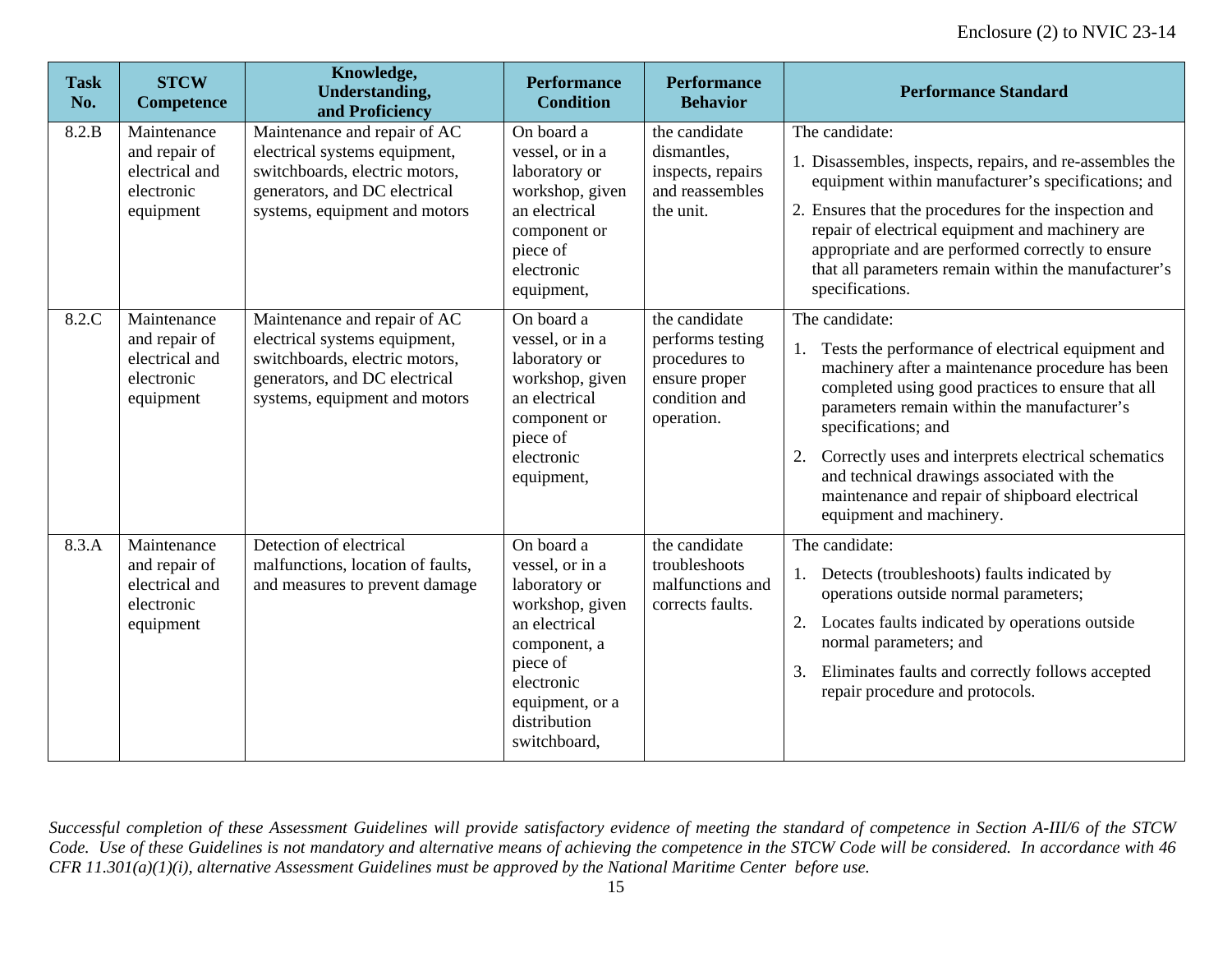| <b>Task</b><br>No. | <b>STCW</b><br>Competence                                                 | Knowledge,<br><b>Understanding,</b><br>and Proficiency                                                                                                            | <b>Performance</b><br><b>Condition</b>                                                                                                                                          | <b>Performance</b><br><b>Behavior</b>                                                              | <b>Performance Standard</b>                                                                                                                                                                                                                                                                                                                                                                                                                 |
|--------------------|---------------------------------------------------------------------------|-------------------------------------------------------------------------------------------------------------------------------------------------------------------|---------------------------------------------------------------------------------------------------------------------------------------------------------------------------------|----------------------------------------------------------------------------------------------------|---------------------------------------------------------------------------------------------------------------------------------------------------------------------------------------------------------------------------------------------------------------------------------------------------------------------------------------------------------------------------------------------------------------------------------------------|
| 8.2.B              | Maintenance<br>and repair of<br>electrical and<br>electronic<br>equipment | Maintenance and repair of AC<br>electrical systems equipment,<br>switchboards, electric motors,<br>generators, and DC electrical<br>systems, equipment and motors | On board a<br>vessel, or in a<br>laboratory or<br>workshop, given<br>an electrical<br>component or<br>piece of<br>electronic<br>equipment,                                      | the candidate<br>dismantles,<br>inspects, repairs<br>and reassembles<br>the unit.                  | The candidate:<br>1. Disassembles, inspects, repairs, and re-assembles the<br>equipment within manufacturer's specifications; and<br>2. Ensures that the procedures for the inspection and<br>repair of electrical equipment and machinery are<br>appropriate and are performed correctly to ensure<br>that all parameters remain within the manufacturer's<br>specifications.                                                              |
| 8.2.C              | Maintenance<br>and repair of<br>electrical and<br>electronic<br>equipment | Maintenance and repair of AC<br>electrical systems equipment,<br>switchboards, electric motors,<br>generators, and DC electrical<br>systems, equipment and motors | On board a<br>vessel, or in a<br>laboratory or<br>workshop, given<br>an electrical<br>component or<br>piece of<br>electronic<br>equipment,                                      | the candidate<br>performs testing<br>procedures to<br>ensure proper<br>condition and<br>operation. | The candidate:<br>Tests the performance of electrical equipment and<br>machinery after a maintenance procedure has been<br>completed using good practices to ensure that all<br>parameters remain within the manufacturer's<br>specifications; and<br>Correctly uses and interprets electrical schematics<br>2.<br>and technical drawings associated with the<br>maintenance and repair of shipboard electrical<br>equipment and machinery. |
| 8.3.A              | Maintenance<br>and repair of<br>electrical and<br>electronic<br>equipment | Detection of electrical<br>malfunctions, location of faults,<br>and measures to prevent damage                                                                    | On board a<br>vessel, or in a<br>laboratory or<br>workshop, given<br>an electrical<br>component, a<br>piece of<br>electronic<br>equipment, or a<br>distribution<br>switchboard, | the candidate<br>troubleshoots<br>malfunctions and<br>corrects faults.                             | The candidate:<br>Detects (troubleshoots) faults indicated by<br>operations outside normal parameters;<br>2. Locates faults indicated by operations outside<br>normal parameters; and<br>Eliminates faults and correctly follows accepted<br>3.<br>repair procedure and protocols.                                                                                                                                                          |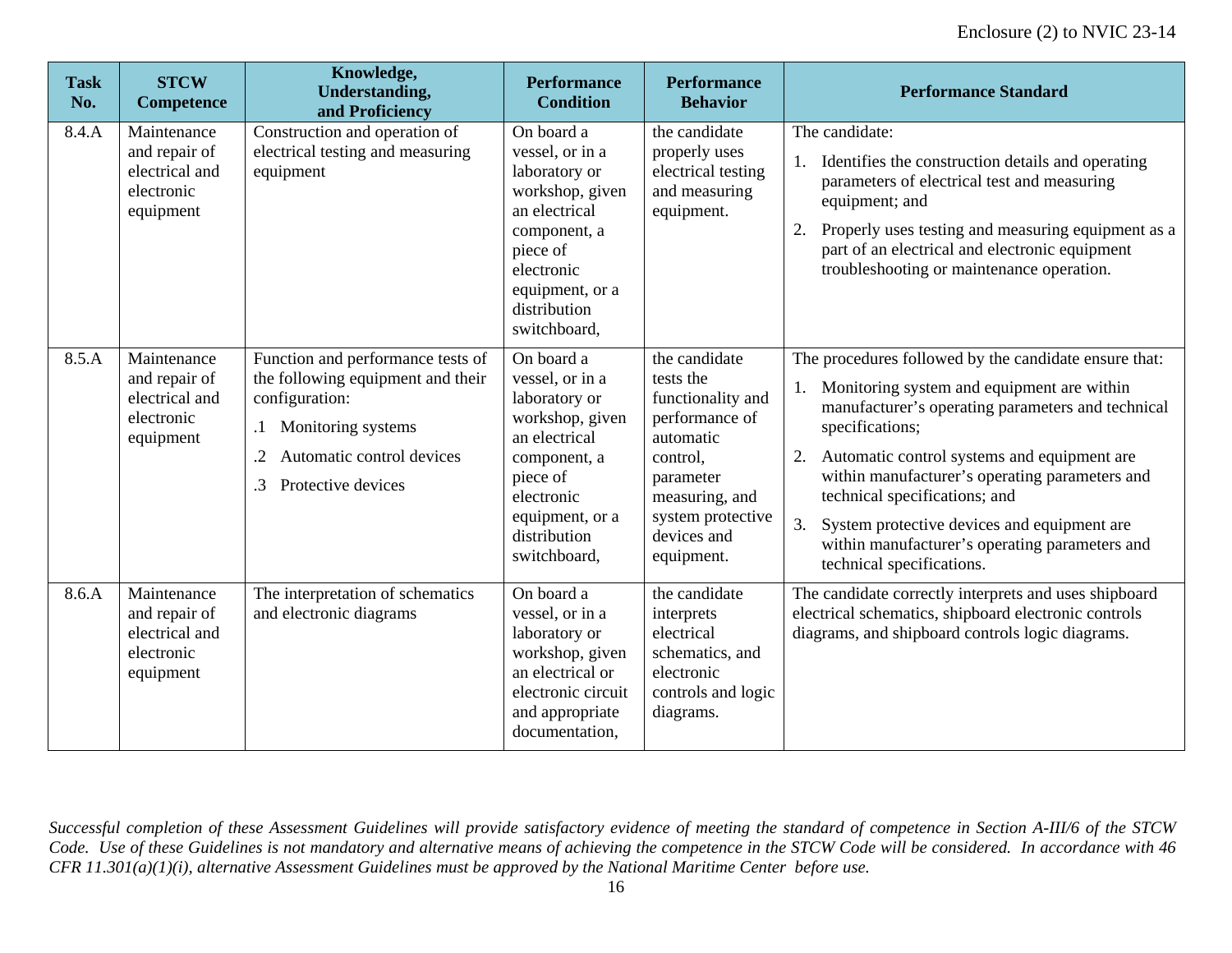| <b>Task</b><br>No. | <b>STCW</b><br><b>Competence</b>                                          | Knowledge,<br><b>Understanding,</b><br>and Proficiency                                                                                                                                            | <b>Performance</b><br><b>Condition</b>                                                                                                                                          | <b>Performance</b><br><b>Behavior</b>                                                                                                                                       | <b>Performance Standard</b>                                                                                                                                                                                                                                                                                                                                                                                                                          |
|--------------------|---------------------------------------------------------------------------|---------------------------------------------------------------------------------------------------------------------------------------------------------------------------------------------------|---------------------------------------------------------------------------------------------------------------------------------------------------------------------------------|-----------------------------------------------------------------------------------------------------------------------------------------------------------------------------|------------------------------------------------------------------------------------------------------------------------------------------------------------------------------------------------------------------------------------------------------------------------------------------------------------------------------------------------------------------------------------------------------------------------------------------------------|
| 8.4.A              | Maintenance<br>and repair of<br>electrical and<br>electronic<br>equipment | Construction and operation of<br>electrical testing and measuring<br>equipment                                                                                                                    | On board a<br>vessel, or in a<br>laboratory or<br>workshop, given<br>an electrical<br>component, a<br>piece of<br>electronic<br>equipment, or a<br>distribution<br>switchboard, | the candidate<br>properly uses<br>electrical testing<br>and measuring<br>equipment.                                                                                         | The candidate:<br>Identifies the construction details and operating<br>parameters of electrical test and measuring<br>equipment; and<br>Properly uses testing and measuring equipment as a<br>2.<br>part of an electrical and electronic equipment<br>troubleshooting or maintenance operation.                                                                                                                                                      |
| 8.5.A              | Maintenance<br>and repair of<br>electrical and<br>electronic<br>equipment | Function and performance tests of<br>the following equipment and their<br>configuration:<br>Monitoring systems<br>$\cdot$ 1<br>Automatic control devices<br>.2<br>Protective devices<br>$\cdot$ 3 | On board a<br>vessel, or in a<br>laboratory or<br>workshop, given<br>an electrical<br>component, a<br>piece of<br>electronic<br>equipment, or a<br>distribution<br>switchboard, | the candidate<br>tests the<br>functionality and<br>performance of<br>automatic<br>control,<br>parameter<br>measuring, and<br>system protective<br>devices and<br>equipment. | The procedures followed by the candidate ensure that:<br>Monitoring system and equipment are within<br>manufacturer's operating parameters and technical<br>specifications;<br>2. Automatic control systems and equipment are<br>within manufacturer's operating parameters and<br>technical specifications; and<br>3.<br>System protective devices and equipment are<br>within manufacturer's operating parameters and<br>technical specifications. |
| 8.6.A              | Maintenance<br>and repair of<br>electrical and<br>electronic<br>equipment | The interpretation of schematics<br>and electronic diagrams                                                                                                                                       | On board a<br>vessel, or in a<br>laboratory or<br>workshop, given<br>an electrical or<br>electronic circuit<br>and appropriate<br>documentation,                                | the candidate<br>interprets<br>electrical<br>schematics, and<br>electronic<br>controls and logic<br>diagrams.                                                               | The candidate correctly interprets and uses shipboard<br>electrical schematics, shipboard electronic controls<br>diagrams, and shipboard controls logic diagrams.                                                                                                                                                                                                                                                                                    |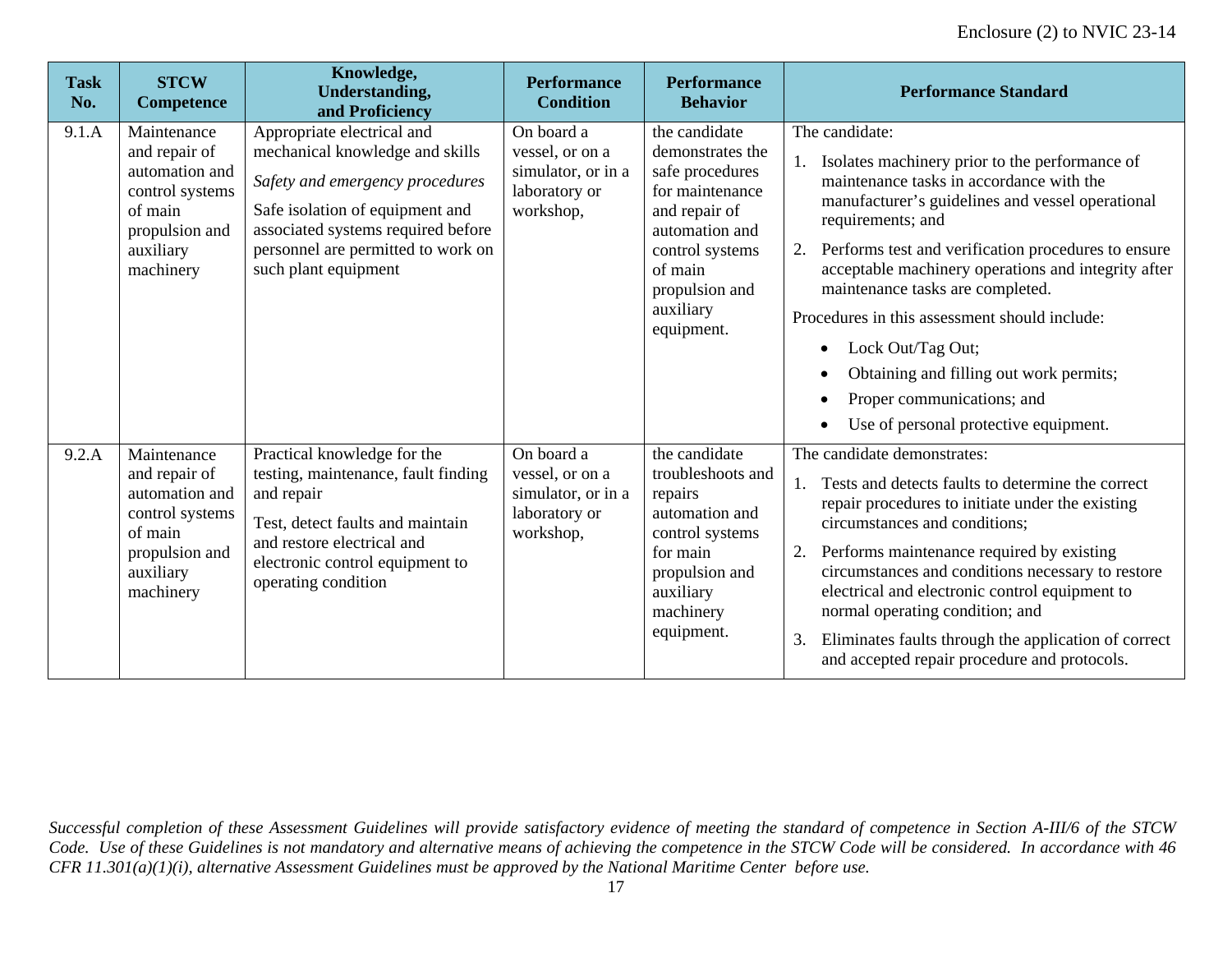| <b>Task</b><br>No. | <b>STCW</b><br><b>Competence</b>                                                                                         | Knowledge,<br>Understanding,<br>and Proficiency                                                                                                                                                                                         | <b>Performance</b><br><b>Condition</b>                                            | <b>Performance</b><br><b>Behavior</b>                                                                                                                                                 | <b>Performance Standard</b>                                                                                                                                                                                                                                                                                                                                                                                                                                                                                                                  |
|--------------------|--------------------------------------------------------------------------------------------------------------------------|-----------------------------------------------------------------------------------------------------------------------------------------------------------------------------------------------------------------------------------------|-----------------------------------------------------------------------------------|---------------------------------------------------------------------------------------------------------------------------------------------------------------------------------------|----------------------------------------------------------------------------------------------------------------------------------------------------------------------------------------------------------------------------------------------------------------------------------------------------------------------------------------------------------------------------------------------------------------------------------------------------------------------------------------------------------------------------------------------|
| 9.1.A              | Maintenance<br>and repair of<br>automation and<br>control systems<br>of main<br>propulsion and<br>auxiliary<br>machinery | Appropriate electrical and<br>mechanical knowledge and skills<br>Safety and emergency procedures<br>Safe isolation of equipment and<br>associated systems required before<br>personnel are permitted to work on<br>such plant equipment | On board a<br>vessel, or on a<br>simulator, or in a<br>laboratory or<br>workshop, | the candidate<br>demonstrates the<br>safe procedures<br>for maintenance<br>and repair of<br>automation and<br>control systems<br>of main<br>propulsion and<br>auxiliary<br>equipment. | The candidate:<br>Isolates machinery prior to the performance of<br>maintenance tasks in accordance with the<br>manufacturer's guidelines and vessel operational<br>requirements; and<br>Performs test and verification procedures to ensure<br>acceptable machinery operations and integrity after<br>maintenance tasks are completed.<br>Procedures in this assessment should include:<br>Lock Out/Tag Out;<br>$\bullet$<br>Obtaining and filling out work permits;<br>Proper communications; and<br>Use of personal protective equipment. |
| 9.2.A              | Maintenance<br>and repair of<br>automation and<br>control systems<br>of main<br>propulsion and<br>auxiliary<br>machinery | Practical knowledge for the<br>testing, maintenance, fault finding<br>and repair<br>Test, detect faults and maintain<br>and restore electrical and<br>electronic control equipment to<br>operating condition                            | On board a<br>vessel, or on a<br>simulator, or in a<br>laboratory or<br>workshop, | the candidate<br>troubleshoots and<br>repairs<br>automation and<br>control systems<br>for main<br>propulsion and<br>auxiliary<br>machinery<br>equipment.                              | The candidate demonstrates:<br>Tests and detects faults to determine the correct<br>repair procedures to initiate under the existing<br>circumstances and conditions;<br>Performs maintenance required by existing<br>2.<br>circumstances and conditions necessary to restore<br>electrical and electronic control equipment to<br>normal operating condition; and<br>Eliminates faults through the application of correct<br>3.<br>and accepted repair procedure and protocols.                                                             |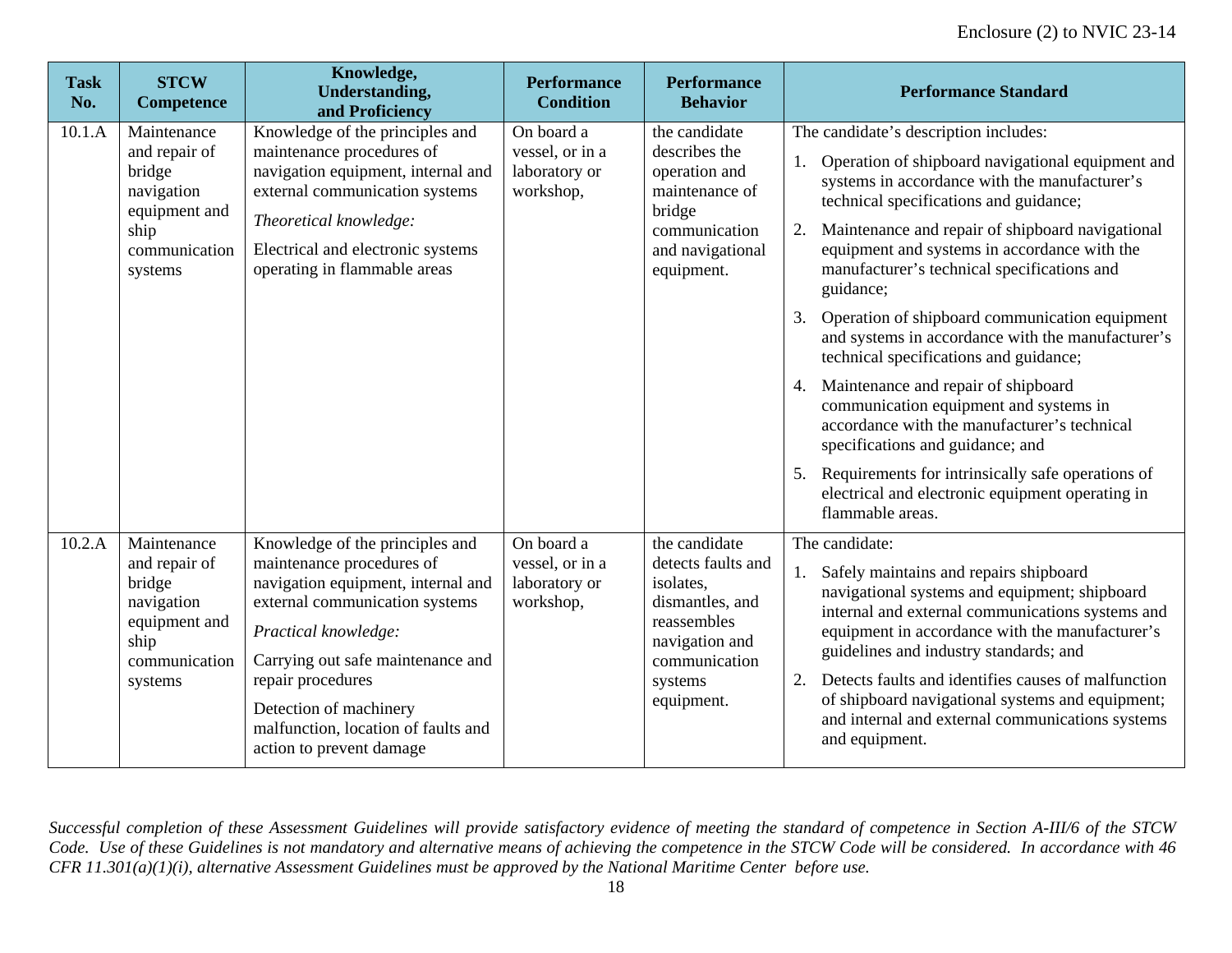| <b>Task</b><br>No. | <b>STCW</b><br><b>Competence</b>                                                                          | Knowledge,<br><b>Understanding,</b><br>and Proficiency                                                                                                                                                                                                                                                              | <b>Performance</b><br><b>Condition</b>                      | <b>Performance</b><br><b>Behavior</b>                                                                                                          | <b>Performance Standard</b>                                                                                                                                                                                                                                                                                                                                                                                                                                                                                                                                                                                                                                                                                                                                                                                          |
|--------------------|-----------------------------------------------------------------------------------------------------------|---------------------------------------------------------------------------------------------------------------------------------------------------------------------------------------------------------------------------------------------------------------------------------------------------------------------|-------------------------------------------------------------|------------------------------------------------------------------------------------------------------------------------------------------------|----------------------------------------------------------------------------------------------------------------------------------------------------------------------------------------------------------------------------------------------------------------------------------------------------------------------------------------------------------------------------------------------------------------------------------------------------------------------------------------------------------------------------------------------------------------------------------------------------------------------------------------------------------------------------------------------------------------------------------------------------------------------------------------------------------------------|
| 10.1.A             | Maintenance<br>and repair of<br>bridge<br>navigation<br>equipment and<br>ship<br>communication<br>systems | Knowledge of the principles and<br>maintenance procedures of<br>navigation equipment, internal and<br>external communication systems<br>Theoretical knowledge:<br>Electrical and electronic systems<br>operating in flammable areas                                                                                 | On board a<br>vessel, or in a<br>laboratory or<br>workshop, | the candidate<br>describes the<br>operation and<br>maintenance of<br>bridge<br>communication<br>and navigational<br>equipment.                 | The candidate's description includes:<br>Operation of shipboard navigational equipment and<br>systems in accordance with the manufacturer's<br>technical specifications and guidance;<br>Maintenance and repair of shipboard navigational<br>equipment and systems in accordance with the<br>manufacturer's technical specifications and<br>guidance;<br>Operation of shipboard communication equipment<br>3.<br>and systems in accordance with the manufacturer's<br>technical specifications and guidance;<br>Maintenance and repair of shipboard<br>4.<br>communication equipment and systems in<br>accordance with the manufacturer's technical<br>specifications and guidance; and<br>Requirements for intrinsically safe operations of<br>electrical and electronic equipment operating in<br>flammable areas. |
| 10.2.A             | Maintenance<br>and repair of<br>bridge<br>navigation<br>equipment and<br>ship<br>communication<br>systems | Knowledge of the principles and<br>maintenance procedures of<br>navigation equipment, internal and<br>external communication systems<br>Practical knowledge:<br>Carrying out safe maintenance and<br>repair procedures<br>Detection of machinery<br>malfunction, location of faults and<br>action to prevent damage | On board a<br>vessel, or in a<br>laboratory or<br>workshop, | the candidate<br>detects faults and<br>isolates,<br>dismantles, and<br>reassembles<br>navigation and<br>communication<br>systems<br>equipment. | The candidate:<br>Safely maintains and repairs shipboard<br>navigational systems and equipment; shipboard<br>internal and external communications systems and<br>equipment in accordance with the manufacturer's<br>guidelines and industry standards; and<br>Detects faults and identifies causes of malfunction<br>2.<br>of shipboard navigational systems and equipment;<br>and internal and external communications systems<br>and equipment.                                                                                                                                                                                                                                                                                                                                                                    |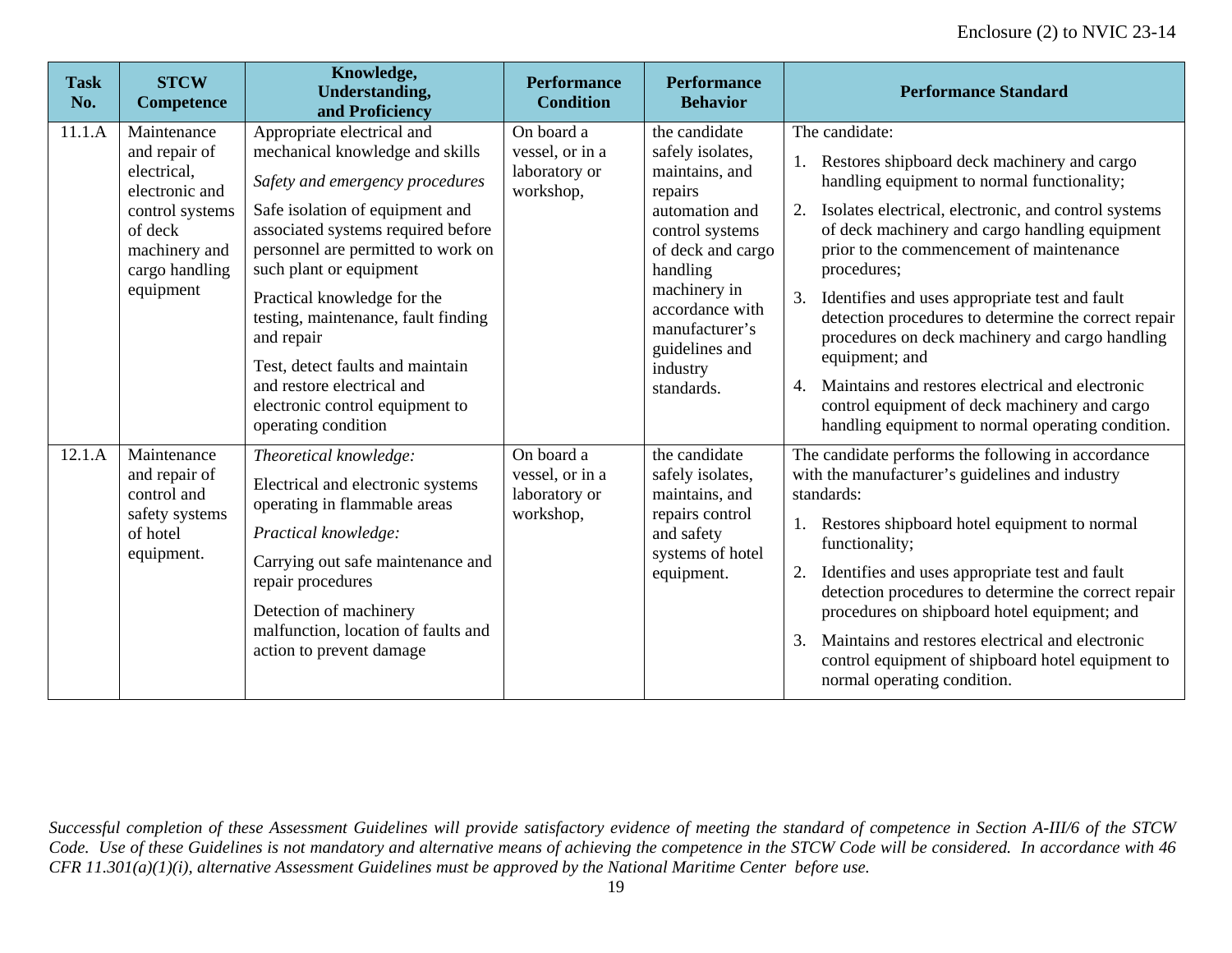| <b>Task</b><br>No. | <b>STCW</b><br><b>Competence</b>                                                                                                            | Knowledge,<br><b>Understanding,</b><br>and Proficiency                                                                                                                                                                                                                                                                                                                                                                                                     | <b>Performance</b><br><b>Condition</b>                      | <b>Performance</b><br><b>Behavior</b>                                                                                                                                                                                                 | <b>Performance Standard</b>                                                                                                                                                                                                                                                                                                                                                                                                                                                                                                                                                                                                                              |
|--------------------|---------------------------------------------------------------------------------------------------------------------------------------------|------------------------------------------------------------------------------------------------------------------------------------------------------------------------------------------------------------------------------------------------------------------------------------------------------------------------------------------------------------------------------------------------------------------------------------------------------------|-------------------------------------------------------------|---------------------------------------------------------------------------------------------------------------------------------------------------------------------------------------------------------------------------------------|----------------------------------------------------------------------------------------------------------------------------------------------------------------------------------------------------------------------------------------------------------------------------------------------------------------------------------------------------------------------------------------------------------------------------------------------------------------------------------------------------------------------------------------------------------------------------------------------------------------------------------------------------------|
| 11.1.A             | Maintenance<br>and repair of<br>electrical,<br>electronic and<br>control systems<br>of deck<br>machinery and<br>cargo handling<br>equipment | Appropriate electrical and<br>mechanical knowledge and skills<br>Safety and emergency procedures<br>Safe isolation of equipment and<br>associated systems required before<br>personnel are permitted to work on<br>such plant or equipment<br>Practical knowledge for the<br>testing, maintenance, fault finding<br>and repair<br>Test, detect faults and maintain<br>and restore electrical and<br>electronic control equipment to<br>operating condition | On board a<br>vessel, or in a<br>laboratory or<br>workshop, | the candidate<br>safely isolates,<br>maintains, and<br>repairs<br>automation and<br>control systems<br>of deck and cargo<br>handling<br>machinery in<br>accordance with<br>manufacturer's<br>guidelines and<br>industry<br>standards. | The candidate:<br>Restores shipboard deck machinery and cargo<br>handling equipment to normal functionality;<br>Isolates electrical, electronic, and control systems<br>2.<br>of deck machinery and cargo handling equipment<br>prior to the commencement of maintenance<br>procedures;<br>3.<br>Identifies and uses appropriate test and fault<br>detection procedures to determine the correct repair<br>procedures on deck machinery and cargo handling<br>equipment; and<br>Maintains and restores electrical and electronic<br>$\mathbf{4}$ .<br>control equipment of deck machinery and cargo<br>handling equipment to normal operating condition. |
| 12.1.A             | Maintenance<br>and repair of<br>control and<br>safety systems<br>of hotel<br>equipment.                                                     | Theoretical knowledge:<br>Electrical and electronic systems<br>operating in flammable areas<br>Practical knowledge:<br>Carrying out safe maintenance and<br>repair procedures<br>Detection of machinery<br>malfunction, location of faults and<br>action to prevent damage                                                                                                                                                                                 | On board a<br>vessel, or in a<br>laboratory or<br>workshop, | the candidate<br>safely isolates,<br>maintains, and<br>repairs control<br>and safety<br>systems of hotel<br>equipment.                                                                                                                | The candidate performs the following in accordance<br>with the manufacturer's guidelines and industry<br>standards:<br>Restores shipboard hotel equipment to normal<br>functionality;<br>Identifies and uses appropriate test and fault<br>2.<br>detection procedures to determine the correct repair<br>procedures on shipboard hotel equipment; and<br>Maintains and restores electrical and electronic<br>3.<br>control equipment of shipboard hotel equipment to<br>normal operating condition.                                                                                                                                                      |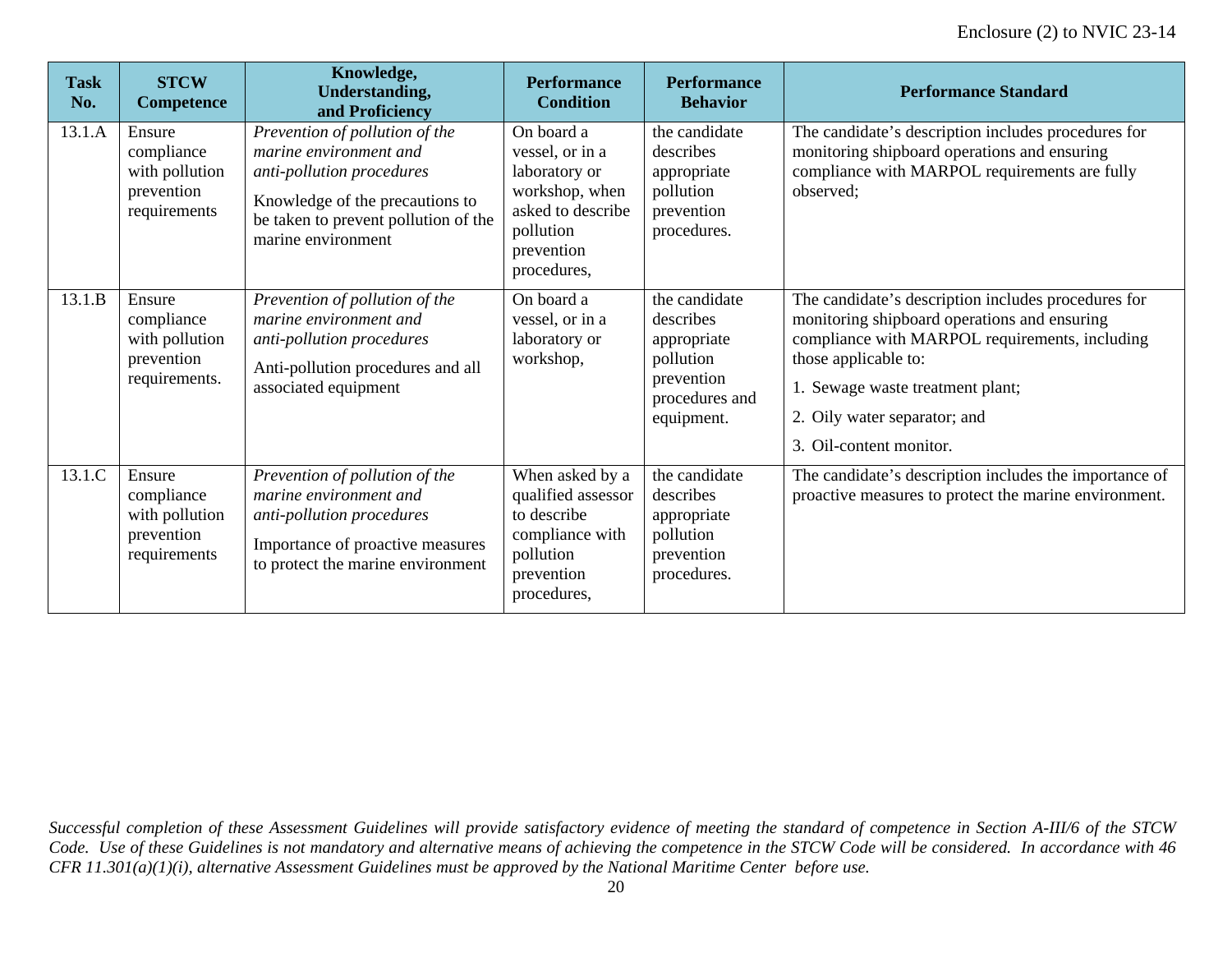| <b>Task</b><br>No. | <b>STCW</b><br><b>Competence</b>                                      | Knowledge,<br><b>Understanding,</b><br>and Proficiency                                                                                                                                 | <b>Performance</b><br><b>Condition</b>                                                                                          | <b>Performance</b><br><b>Behavior</b>                                                                | <b>Performance Standard</b>                                                                                                                                                                                                                                                  |
|--------------------|-----------------------------------------------------------------------|----------------------------------------------------------------------------------------------------------------------------------------------------------------------------------------|---------------------------------------------------------------------------------------------------------------------------------|------------------------------------------------------------------------------------------------------|------------------------------------------------------------------------------------------------------------------------------------------------------------------------------------------------------------------------------------------------------------------------------|
| 13.1.A             | Ensure<br>compliance<br>with pollution<br>prevention<br>requirements  | Prevention of pollution of the<br>marine environment and<br>anti-pollution procedures<br>Knowledge of the precautions to<br>be taken to prevent pollution of the<br>marine environment | On board a<br>vessel, or in a<br>laboratory or<br>workshop, when<br>asked to describe<br>pollution<br>prevention<br>procedures, | the candidate<br>describes<br>appropriate<br>pollution<br>prevention<br>procedures.                  | The candidate's description includes procedures for<br>monitoring shipboard operations and ensuring<br>compliance with MARPOL requirements are fully<br>observed;                                                                                                            |
| 13.1.B             | Ensure<br>compliance<br>with pollution<br>prevention<br>requirements. | Prevention of pollution of the<br>marine environment and<br>anti-pollution procedures<br>Anti-pollution procedures and all<br>associated equipment                                     | On board a<br>vessel, or in a<br>laboratory or<br>workshop,                                                                     | the candidate<br>describes<br>appropriate<br>pollution<br>prevention<br>procedures and<br>equipment. | The candidate's description includes procedures for<br>monitoring shipboard operations and ensuring<br>compliance with MARPOL requirements, including<br>those applicable to:<br>1. Sewage waste treatment plant;<br>2. Oily water separator; and<br>3. Oil-content monitor. |
| 13.1.C             | Ensure<br>compliance<br>with pollution<br>prevention<br>requirements  | Prevention of pollution of the<br>marine environment and<br>anti-pollution procedures<br>Importance of proactive measures<br>to protect the marine environment                         | When asked by a<br>qualified assessor<br>to describe<br>compliance with<br>pollution<br>prevention<br>procedures,               | the candidate<br>describes<br>appropriate<br>pollution<br>prevention<br>procedures.                  | The candidate's description includes the importance of<br>proactive measures to protect the marine environment.                                                                                                                                                              |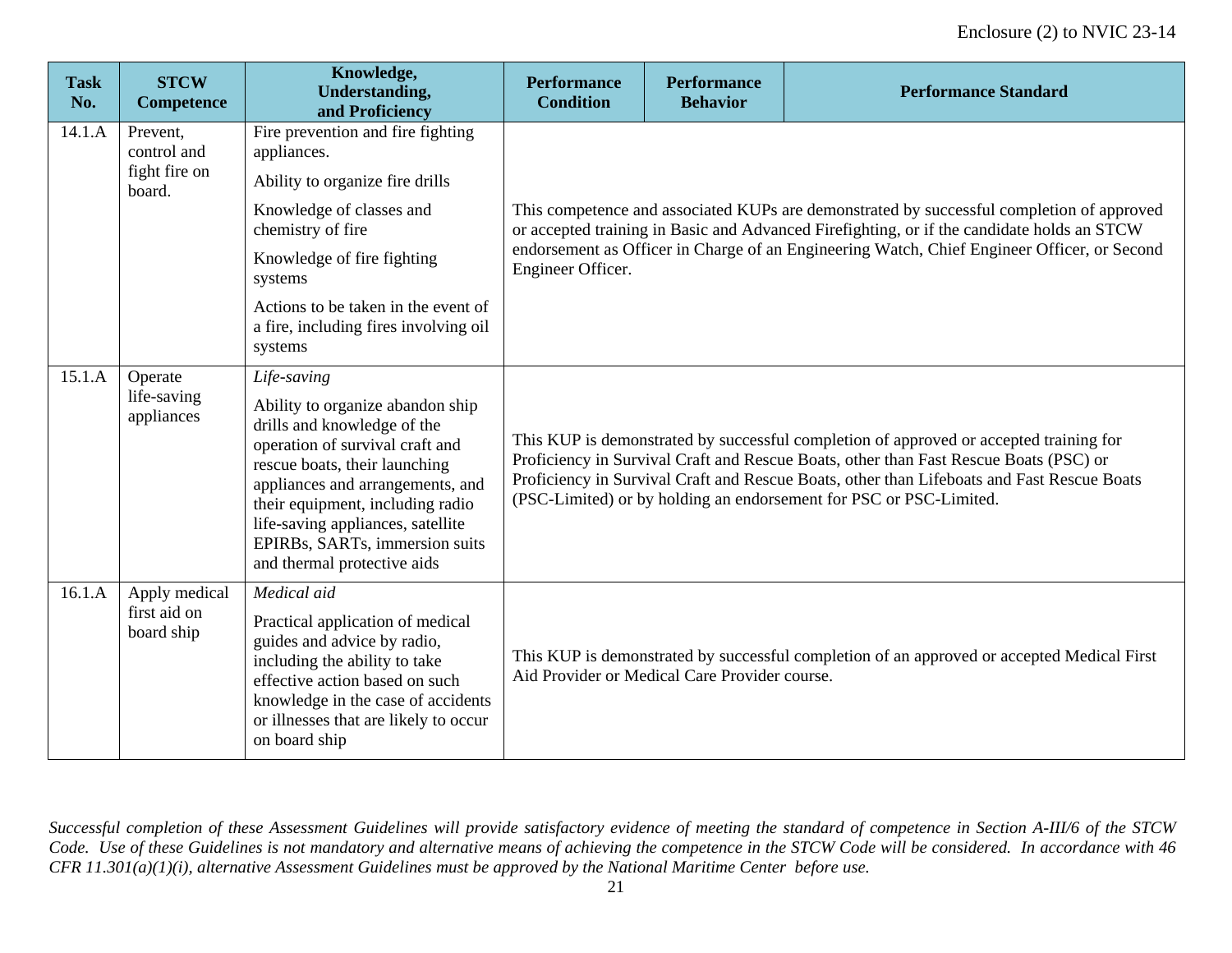| <b>Task</b><br>No. | <b>STCW</b><br><b>Competence</b>                   | Knowledge,<br><b>Understanding,</b><br>and Proficiency                                                                                                                                                                                                                                                                           | <b>Performance</b><br><b>Condition</b>                                                                                                                                                                                                                                                                                                              | <b>Performance</b><br><b>Behavior</b>         | <b>Performance Standard</b>                                                                                                                                                                                                                                                            |  |
|--------------------|----------------------------------------------------|----------------------------------------------------------------------------------------------------------------------------------------------------------------------------------------------------------------------------------------------------------------------------------------------------------------------------------|-----------------------------------------------------------------------------------------------------------------------------------------------------------------------------------------------------------------------------------------------------------------------------------------------------------------------------------------------------|-----------------------------------------------|----------------------------------------------------------------------------------------------------------------------------------------------------------------------------------------------------------------------------------------------------------------------------------------|--|
| 14.1.A             | Prevent,<br>control and<br>fight fire on<br>board. | Fire prevention and fire fighting<br>appliances.<br>Ability to organize fire drills<br>Knowledge of classes and<br>chemistry of fire<br>Knowledge of fire fighting<br>systems<br>Actions to be taken in the event of<br>a fire, including fires involving oil<br>systems                                                         | Engineer Officer.                                                                                                                                                                                                                                                                                                                                   |                                               | This competence and associated KUPs are demonstrated by successful completion of approved<br>or accepted training in Basic and Advanced Firefighting, or if the candidate holds an STCW<br>endorsement as Officer in Charge of an Engineering Watch, Chief Engineer Officer, or Second |  |
| 15.1.A             | Operate<br>life-saving<br>appliances               | Life-saving<br>Ability to organize abandon ship<br>drills and knowledge of the<br>operation of survival craft and<br>rescue boats, their launching<br>appliances and arrangements, and<br>their equipment, including radio<br>life-saving appliances, satellite<br>EPIRBs, SARTs, immersion suits<br>and thermal protective aids | This KUP is demonstrated by successful completion of approved or accepted training for<br>Proficiency in Survival Craft and Rescue Boats, other than Fast Rescue Boats (PSC) or<br>Proficiency in Survival Craft and Rescue Boats, other than Lifeboats and Fast Rescue Boats<br>(PSC-Limited) or by holding an endorsement for PSC or PSC-Limited. |                                               |                                                                                                                                                                                                                                                                                        |  |
| 16.1.A             | Apply medical<br>first aid on<br>board ship        | Medical aid<br>Practical application of medical<br>guides and advice by radio,<br>including the ability to take<br>effective action based on such<br>knowledge in the case of accidents<br>or illnesses that are likely to occur<br>on board ship                                                                                |                                                                                                                                                                                                                                                                                                                                                     | Aid Provider or Medical Care Provider course. | This KUP is demonstrated by successful completion of an approved or accepted Medical First                                                                                                                                                                                             |  |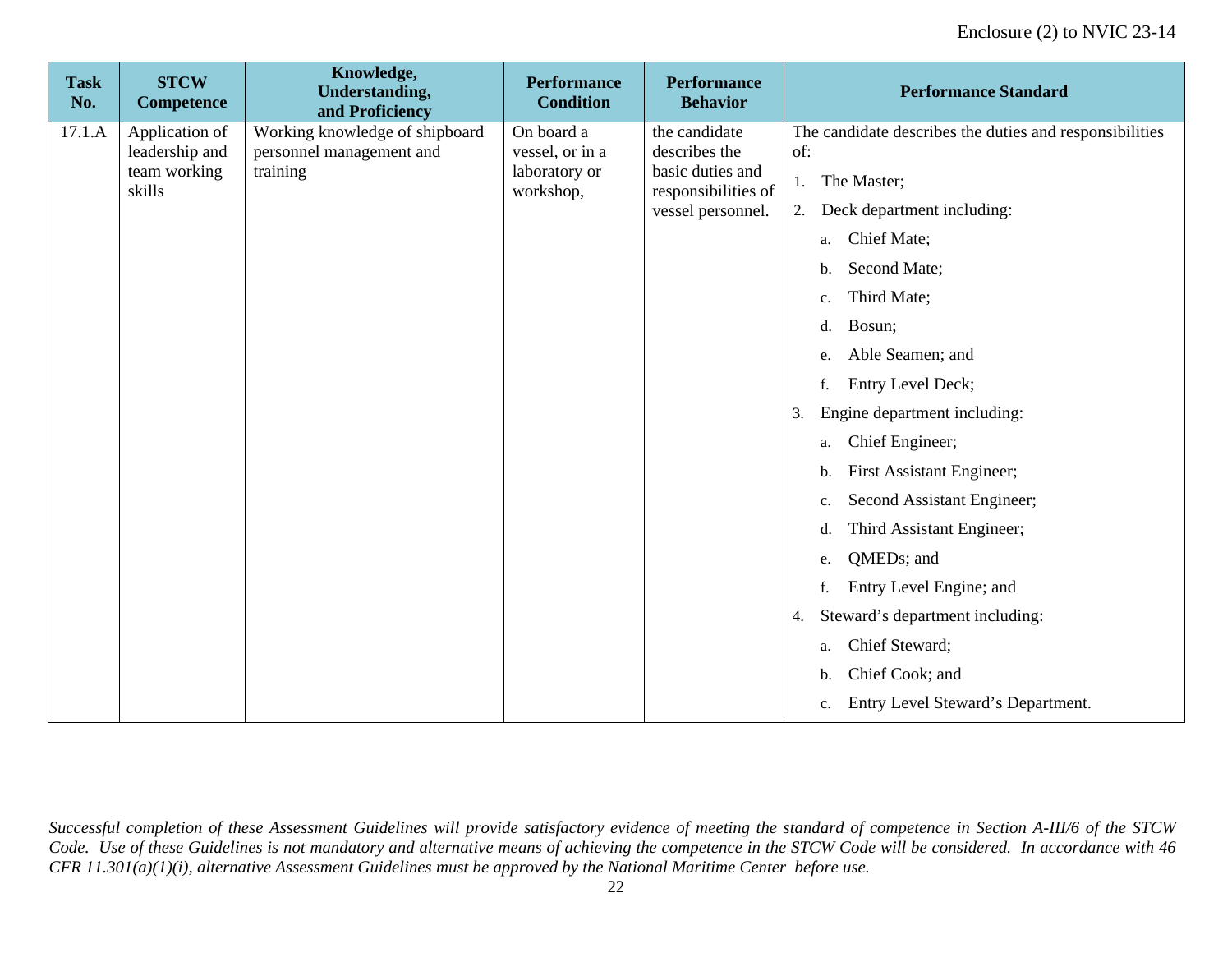| <b>Task</b><br>No. | <b>STCW</b><br>Competence      | Knowledge,<br><b>Understanding,</b><br>and Proficiency | <b>Performance</b><br><b>Condition</b> | <b>Performance</b><br><b>Behavior</b> | <b>Performance Standard</b>                             |
|--------------------|--------------------------------|--------------------------------------------------------|----------------------------------------|---------------------------------------|---------------------------------------------------------|
| 17.1.A             | Application of                 | Working knowledge of shipboard                         | On board a                             | the candidate                         | The candidate describes the duties and responsibilities |
|                    | leadership and<br>team working | personnel management and<br>training                   | vessel, or in a<br>laboratory or       | describes the<br>basic duties and     | of:                                                     |
|                    | skills                         |                                                        | workshop,                              | responsibilities of                   | The Master;<br>1.                                       |
|                    |                                |                                                        |                                        | vessel personnel.                     | Deck department including:<br>2.                        |
|                    |                                |                                                        |                                        |                                       | Chief Mate;<br>a.                                       |
|                    |                                |                                                        |                                        |                                       | Second Mate;<br>b.                                      |
|                    |                                |                                                        |                                        |                                       | Third Mate;<br>c.                                       |
|                    |                                |                                                        |                                        |                                       | Bosun;<br>d.                                            |
|                    |                                |                                                        |                                        |                                       | Able Seamen; and<br>e.                                  |
|                    |                                |                                                        |                                        |                                       | Entry Level Deck;<br>f.                                 |
|                    |                                |                                                        |                                        |                                       | Engine department including:<br>3.                      |
|                    |                                |                                                        |                                        |                                       | Chief Engineer;<br>a.                                   |
|                    |                                |                                                        |                                        |                                       | First Assistant Engineer;<br>b.                         |
|                    |                                |                                                        |                                        |                                       | Second Assistant Engineer;<br>c.                        |
|                    |                                |                                                        |                                        |                                       | Third Assistant Engineer;<br>d.                         |
|                    |                                |                                                        |                                        |                                       | QMED <sub>s</sub> ; and<br>e.                           |
|                    |                                |                                                        |                                        |                                       | Entry Level Engine; and<br>f.                           |
|                    |                                |                                                        |                                        |                                       | Steward's department including:<br>4.                   |
|                    |                                |                                                        |                                        |                                       | Chief Steward;<br>a.                                    |
|                    |                                |                                                        |                                        |                                       | Chief Cook; and<br>b.                                   |
|                    |                                |                                                        |                                        |                                       | Entry Level Steward's Department.<br>c.                 |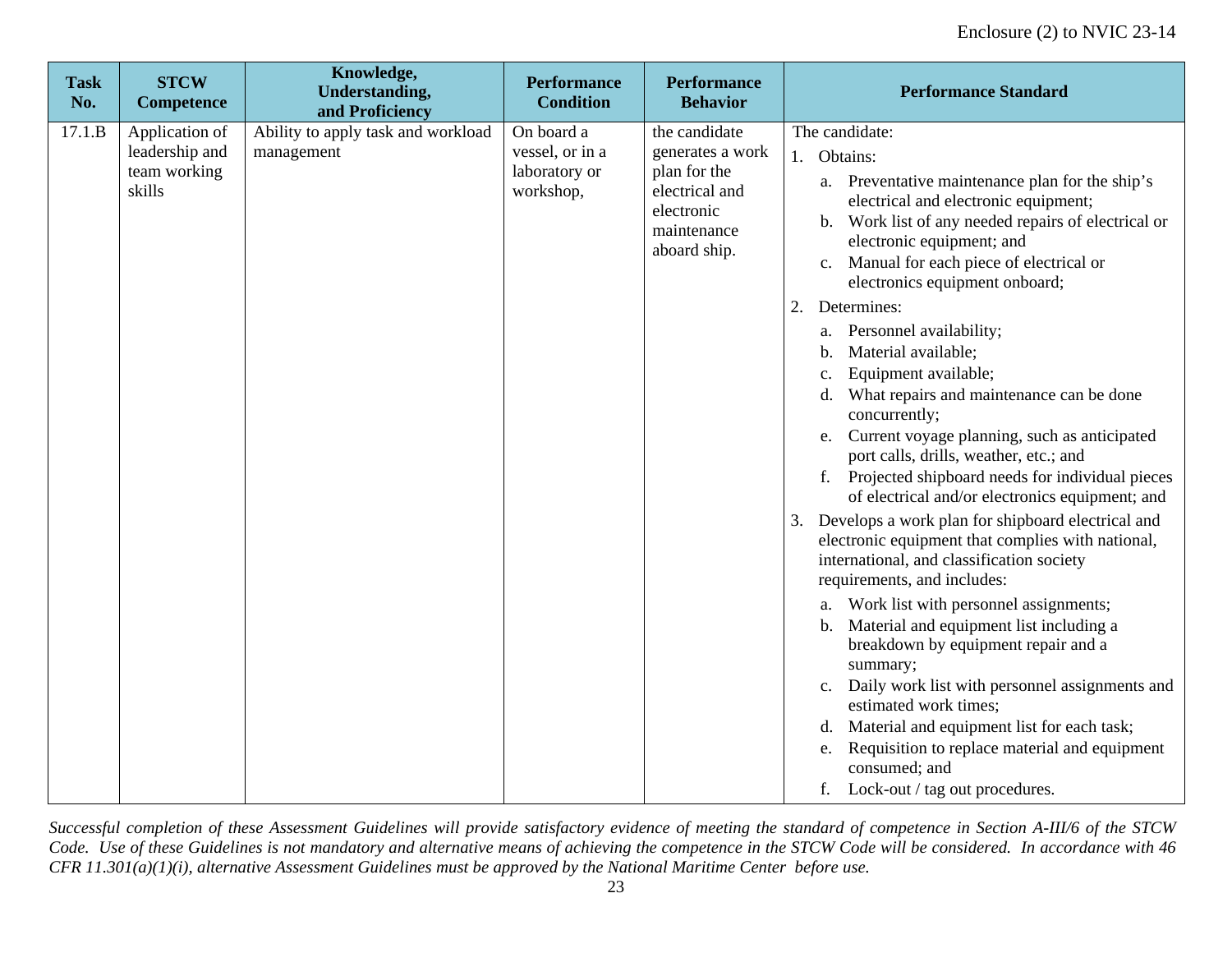| <b>Task</b><br>No. | <b>STCW</b><br><b>Competence</b>                           | Knowledge,<br><b>Understanding,</b><br>and Proficiency | <b>Performance</b><br><b>Condition</b>                      | <b>Performance</b><br><b>Behavior</b>                                                                            | <b>Performance Standard</b>                                                                                                                                                                                                                                                                                                                                                                                                                                                                                                                                                                                                                                                                                                                                                                                                                                                                                                                                                                                                                                                                                                                                                                                                                                                                                   |
|--------------------|------------------------------------------------------------|--------------------------------------------------------|-------------------------------------------------------------|------------------------------------------------------------------------------------------------------------------|---------------------------------------------------------------------------------------------------------------------------------------------------------------------------------------------------------------------------------------------------------------------------------------------------------------------------------------------------------------------------------------------------------------------------------------------------------------------------------------------------------------------------------------------------------------------------------------------------------------------------------------------------------------------------------------------------------------------------------------------------------------------------------------------------------------------------------------------------------------------------------------------------------------------------------------------------------------------------------------------------------------------------------------------------------------------------------------------------------------------------------------------------------------------------------------------------------------------------------------------------------------------------------------------------------------|
| 17.1.B             | Application of<br>leadership and<br>team working<br>skills | Ability to apply task and workload<br>management       | On board a<br>vessel, or in a<br>laboratory or<br>workshop, | the candidate<br>generates a work<br>plan for the<br>electrical and<br>electronic<br>maintenance<br>aboard ship. | The candidate:<br>1. Obtains:<br>a. Preventative maintenance plan for the ship's<br>electrical and electronic equipment;<br>Work list of any needed repairs of electrical or<br>b.<br>electronic equipment; and<br>Manual for each piece of electrical or<br>c.<br>electronics equipment onboard;<br>Determines:<br>2.<br>a. Personnel availability;<br>Material available;<br>$\mathbf b$ .<br>Equipment available;<br>c.<br>What repairs and maintenance can be done<br>d.<br>concurrently;<br>Current voyage planning, such as anticipated<br>e.<br>port calls, drills, weather, etc.; and<br>Projected shipboard needs for individual pieces<br>of electrical and/or electronics equipment; and<br>Develops a work plan for shipboard electrical and<br>3.<br>electronic equipment that complies with national,<br>international, and classification society<br>requirements, and includes:<br>Work list with personnel assignments;<br>а.<br>Material and equipment list including a<br>b.<br>breakdown by equipment repair and a<br>summary;<br>Daily work list with personnel assignments and<br>$c_{\cdot}$<br>estimated work times;<br>Material and equipment list for each task;<br>d.<br>Requisition to replace material and equipment<br>e.<br>consumed; and<br>f. Lock-out / tag out procedures. |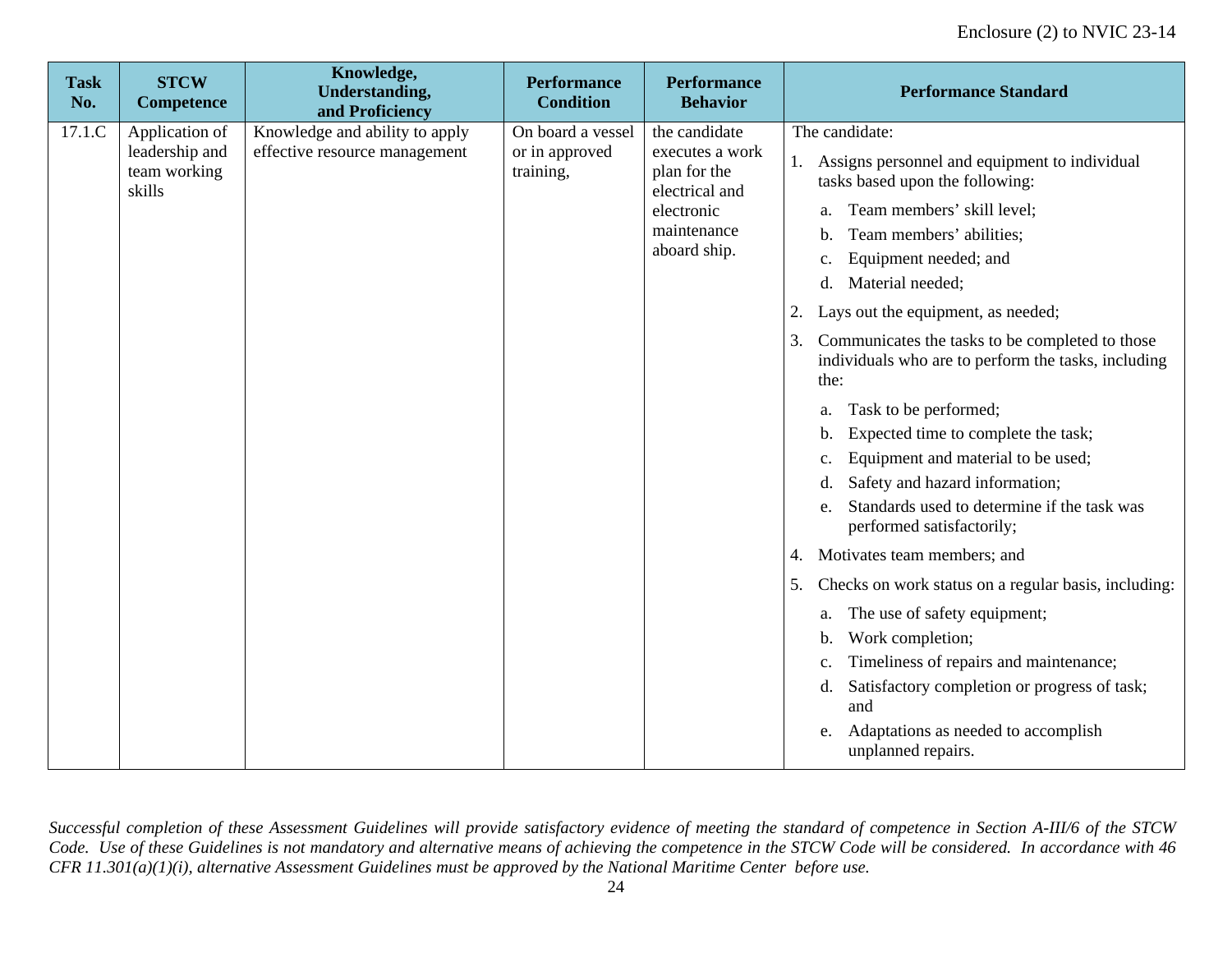| <b>Task</b><br>No. | <b>STCW</b><br><b>Competence</b>                           | Knowledge,<br><b>Understanding,</b><br>and Proficiency          | <b>Performance</b><br><b>Condition</b>           | <b>Performance</b><br><b>Behavior</b>                                                                           | <b>Performance Standard</b>                                                                                                                                                                                                                                                                                                                                                                                                                                                                                                                                                                                                                                                                                                                                                                                                                                                                                                                                                                |
|--------------------|------------------------------------------------------------|-----------------------------------------------------------------|--------------------------------------------------|-----------------------------------------------------------------------------------------------------------------|--------------------------------------------------------------------------------------------------------------------------------------------------------------------------------------------------------------------------------------------------------------------------------------------------------------------------------------------------------------------------------------------------------------------------------------------------------------------------------------------------------------------------------------------------------------------------------------------------------------------------------------------------------------------------------------------------------------------------------------------------------------------------------------------------------------------------------------------------------------------------------------------------------------------------------------------------------------------------------------------|
| 17.1.C             | Application of<br>leadership and<br>team working<br>skills | Knowledge and ability to apply<br>effective resource management | On board a vessel<br>or in approved<br>training, | the candidate<br>executes a work<br>plan for the<br>electrical and<br>electronic<br>maintenance<br>aboard ship. | The candidate:<br>Assigns personnel and equipment to individual<br>1.<br>tasks based upon the following:<br>Team members' skill level;<br>a.<br>Team members' abilities;<br>b.<br>Equipment needed; and<br>c.<br>Material needed;<br>d.<br>Lays out the equipment, as needed;<br>2.<br>Communicates the tasks to be completed to those<br>3.<br>individuals who are to perform the tasks, including<br>the:<br>Task to be performed;<br>a.<br>Expected time to complete the task;<br>b.<br>Equipment and material to be used;<br>c.<br>Safety and hazard information;<br>d.<br>Standards used to determine if the task was<br>e.<br>performed satisfactorily;<br>Motivates team members; and<br>4.<br>Checks on work status on a regular basis, including:<br>5.<br>The use of safety equipment;<br>a.<br>Work completion;<br>b.<br>Timeliness of repairs and maintenance;<br>c.<br>Satisfactory completion or progress of task;<br>d.<br>and<br>Adaptations as needed to accomplish<br>e. |
|                    |                                                            |                                                                 |                                                  |                                                                                                                 | unplanned repairs.                                                                                                                                                                                                                                                                                                                                                                                                                                                                                                                                                                                                                                                                                                                                                                                                                                                                                                                                                                         |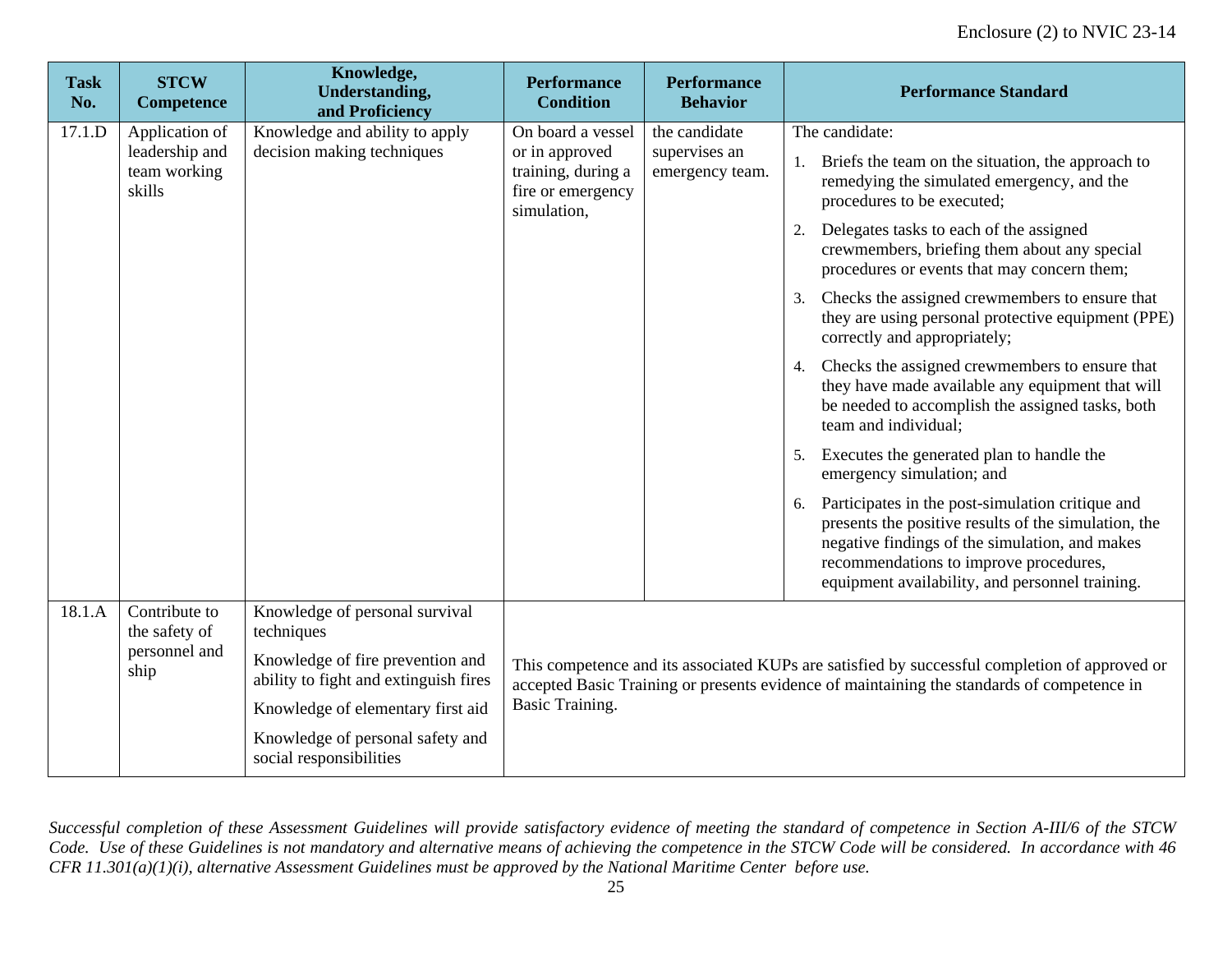| <b>Task</b><br>No. | <b>STCW</b><br>Competence                | Knowledge,<br><b>Understanding,</b><br>and Proficiency                    | <b>Performance</b><br><b>Condition</b>                    | <b>Performance</b><br><b>Behavior</b> | <b>Performance Standard</b>                                                                                                                                                                                                                                   |  |  |             |  |  |  |                                  |                                                                                                                               |
|--------------------|------------------------------------------|---------------------------------------------------------------------------|-----------------------------------------------------------|---------------------------------------|---------------------------------------------------------------------------------------------------------------------------------------------------------------------------------------------------------------------------------------------------------------|--|--|-------------|--|--|--|----------------------------------|-------------------------------------------------------------------------------------------------------------------------------|
| 17.1.D             | Application of                           | Knowledge and ability to apply                                            | On board a vessel                                         | the candidate                         | The candidate:                                                                                                                                                                                                                                                |  |  |             |  |  |  |                                  |                                                                                                                               |
|                    | leadership and<br>team working<br>skills | decision making techniques                                                | or in approved<br>training, during a<br>fire or emergency |                                       |                                                                                                                                                                                                                                                               |  |  | simulation, |  |  |  | supervises an<br>emergency team. | Briefs the team on the situation, the approach to<br>remedying the simulated emergency, and the<br>procedures to be executed; |
|                    |                                          |                                                                           |                                                           |                                       | Delegates tasks to each of the assigned<br>2.<br>crewmembers, briefing them about any special<br>procedures or events that may concern them;                                                                                                                  |  |  |             |  |  |  |                                  |                                                                                                                               |
|                    |                                          |                                                                           |                                                           |                                       | Checks the assigned crewmembers to ensure that<br>3.<br>they are using personal protective equipment (PPE)<br>correctly and appropriately;                                                                                                                    |  |  |             |  |  |  |                                  |                                                                                                                               |
|                    |                                          |                                                                           |                                                           |                                       | 4. Checks the assigned crewmembers to ensure that<br>they have made available any equipment that will<br>be needed to accomplish the assigned tasks, both<br>team and individual;                                                                             |  |  |             |  |  |  |                                  |                                                                                                                               |
|                    |                                          |                                                                           |                                                           |                                       | Executes the generated plan to handle the<br>5.<br>emergency simulation; and                                                                                                                                                                                  |  |  |             |  |  |  |                                  |                                                                                                                               |
|                    |                                          |                                                                           |                                                           |                                       | Participates in the post-simulation critique and<br>6.<br>presents the positive results of the simulation, the<br>negative findings of the simulation, and makes<br>recommendations to improve procedures,<br>equipment availability, and personnel training. |  |  |             |  |  |  |                                  |                                                                                                                               |
| 18.1.A             | Contribute to<br>the safety of           | Knowledge of personal survival<br>techniques                              |                                                           |                                       |                                                                                                                                                                                                                                                               |  |  |             |  |  |  |                                  |                                                                                                                               |
|                    | personnel and<br>ship                    | Knowledge of fire prevention and<br>ability to fight and extinguish fires |                                                           |                                       | This competence and its associated KUPs are satisfied by successful completion of approved or<br>accepted Basic Training or presents evidence of maintaining the standards of competence in                                                                   |  |  |             |  |  |  |                                  |                                                                                                                               |
|                    |                                          | Knowledge of elementary first aid                                         | Basic Training.                                           |                                       |                                                                                                                                                                                                                                                               |  |  |             |  |  |  |                                  |                                                                                                                               |
|                    |                                          | Knowledge of personal safety and<br>social responsibilities               |                                                           |                                       |                                                                                                                                                                                                                                                               |  |  |             |  |  |  |                                  |                                                                                                                               |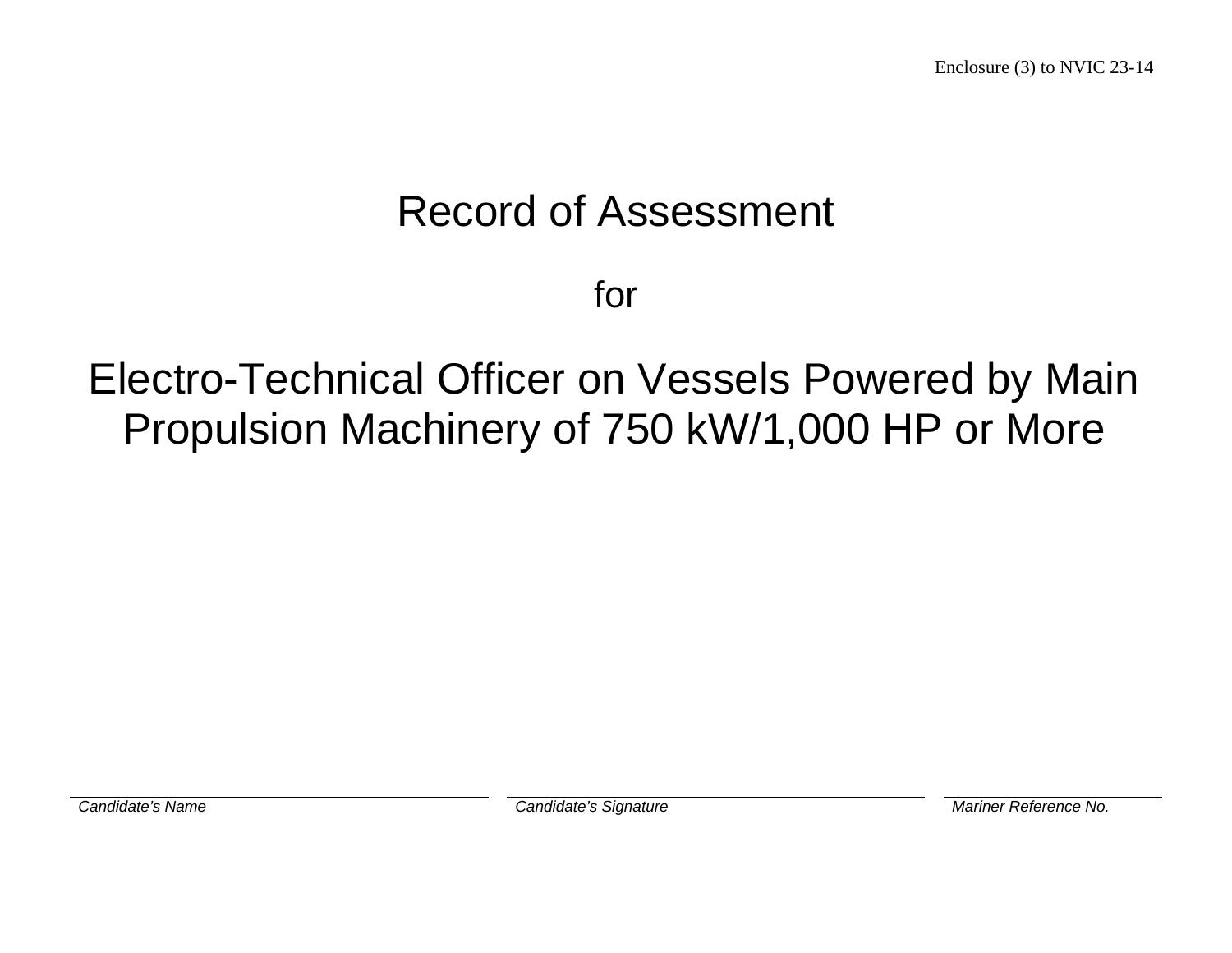# Record of Assessment

for

# Electro-Technical Officer on Vessels Powered by Main Propulsion Machinery of 750 kW/1,000 HP or More

**Candidate's Name Candidate's Signature Candidate's Signature Mariner Reference No.**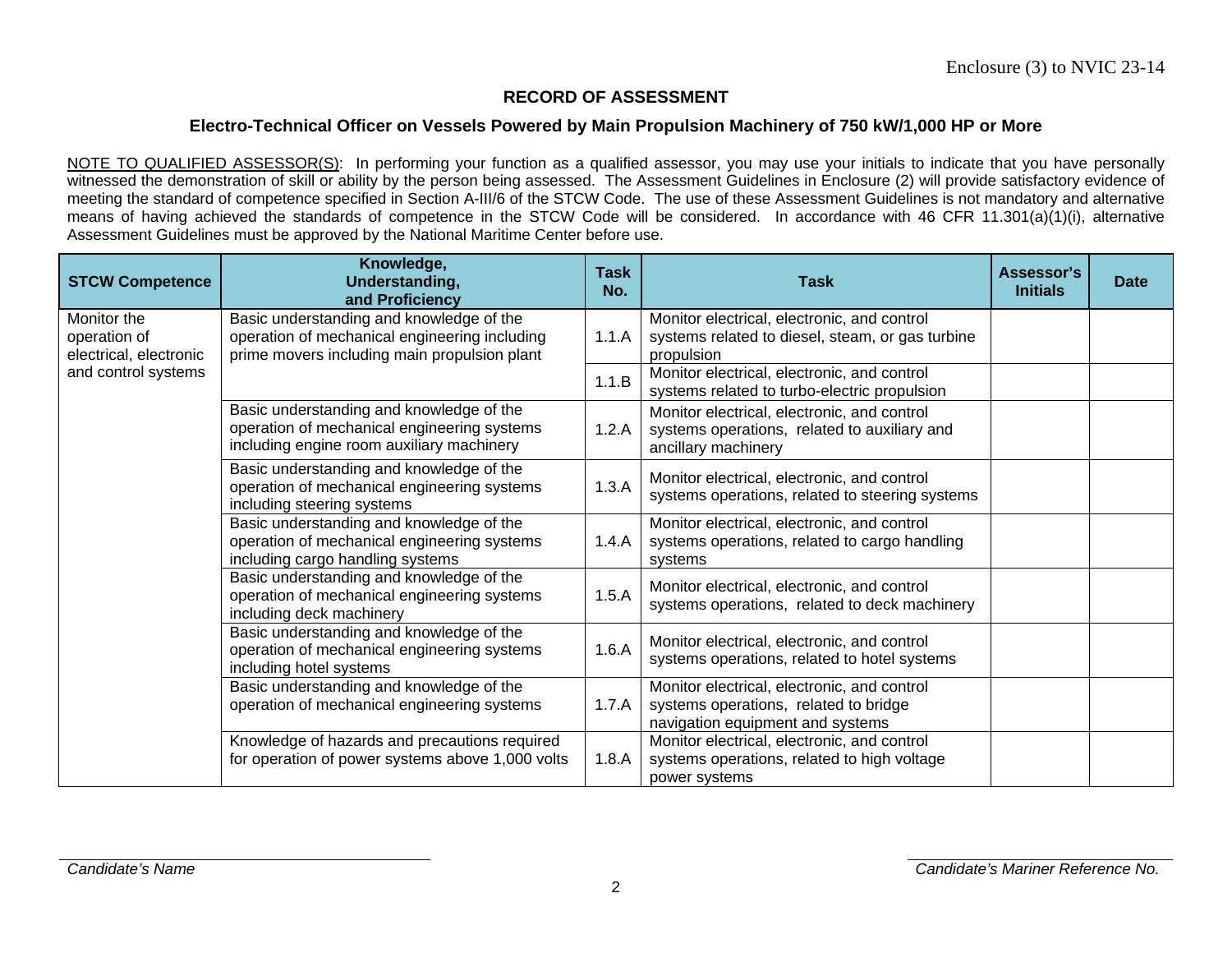#### **Electro-Technical Officer on Vessels Powered by Main Propulsion Machinery of 750 kW/1,000 HP or More**

NOTE TO QUALIFIED ASSESSOR(S): In performing your function as a qualified assessor, you may use your initials to indicate that you have personally witnessed the demonstration of skill or ability by the person being assessed. The Assessment Guidelines in Enclosure (2) will provide satisfactory evidence of meeting the standard of competence specified in Section A-III/6 of the STCW Code. The use of these Assessment Guidelines is not mandatory and alternative means of having achieved the standards of competence in the STCW Code will be considered. In accordance with 46 CFR 11.301(a)(1)(i), alternative Assessment Guidelines must be approved by the National Maritime Center before use.

| <b>STCW Competence</b>                                | Knowledge,<br>Understanding,<br>and Proficiency                                                                                                    | <b>Task</b><br>No. | <b>Task</b>                                                                                                                       | Assessor's<br><b>Initials</b> | <b>Date</b> |
|-------------------------------------------------------|----------------------------------------------------------------------------------------------------------------------------------------------------|--------------------|-----------------------------------------------------------------------------------------------------------------------------------|-------------------------------|-------------|
| Monitor the<br>operation of<br>electrical, electronic | Basic understanding and knowledge of the<br>operation of mechanical engineering including<br>1.1.A<br>prime movers including main propulsion plant |                    | Monitor electrical, electronic, and control<br>systems related to diesel, steam, or gas turbine<br>propulsion                     |                               |             |
| and control systems                                   |                                                                                                                                                    | 1.1.B              | Monitor electrical, electronic, and control<br>systems related to turbo-electric propulsion                                       |                               |             |
|                                                       | Basic understanding and knowledge of the<br>operation of mechanical engineering systems<br>including engine room auxiliary machinery               |                    | Monitor electrical, electronic, and control<br>systems operations, related to auxiliary and<br>ancillary machinery                |                               |             |
|                                                       | Basic understanding and knowledge of the<br>operation of mechanical engineering systems<br>including steering systems                              |                    | Monitor electrical, electronic, and control<br>systems operations, related to steering systems                                    |                               |             |
|                                                       | Basic understanding and knowledge of the<br>operation of mechanical engineering systems<br>including cargo handling systems                        | 1.4.A              | Monitor electrical, electronic, and control<br>systems operations, related to cargo handling<br>systems                           |                               |             |
|                                                       | Basic understanding and knowledge of the<br>operation of mechanical engineering systems<br>including deck machinery                                | 1.5.A              | Monitor electrical, electronic, and control<br>systems operations, related to deck machinery                                      |                               |             |
|                                                       | Basic understanding and knowledge of the<br>operation of mechanical engineering systems<br>including hotel systems                                 |                    | Monitor electrical, electronic, and control<br>systems operations, related to hotel systems                                       |                               |             |
|                                                       | Basic understanding and knowledge of the<br>operation of mechanical engineering systems                                                            |                    | Monitor electrical, electronic, and control<br>1.7.A<br>systems operations, related to bridge<br>navigation equipment and systems |                               |             |
|                                                       | Knowledge of hazards and precautions required<br>for operation of power systems above 1,000 volts                                                  | 1.8.A              | Monitor electrical, electronic, and control<br>systems operations, related to high voltage<br>power systems                       |                               |             |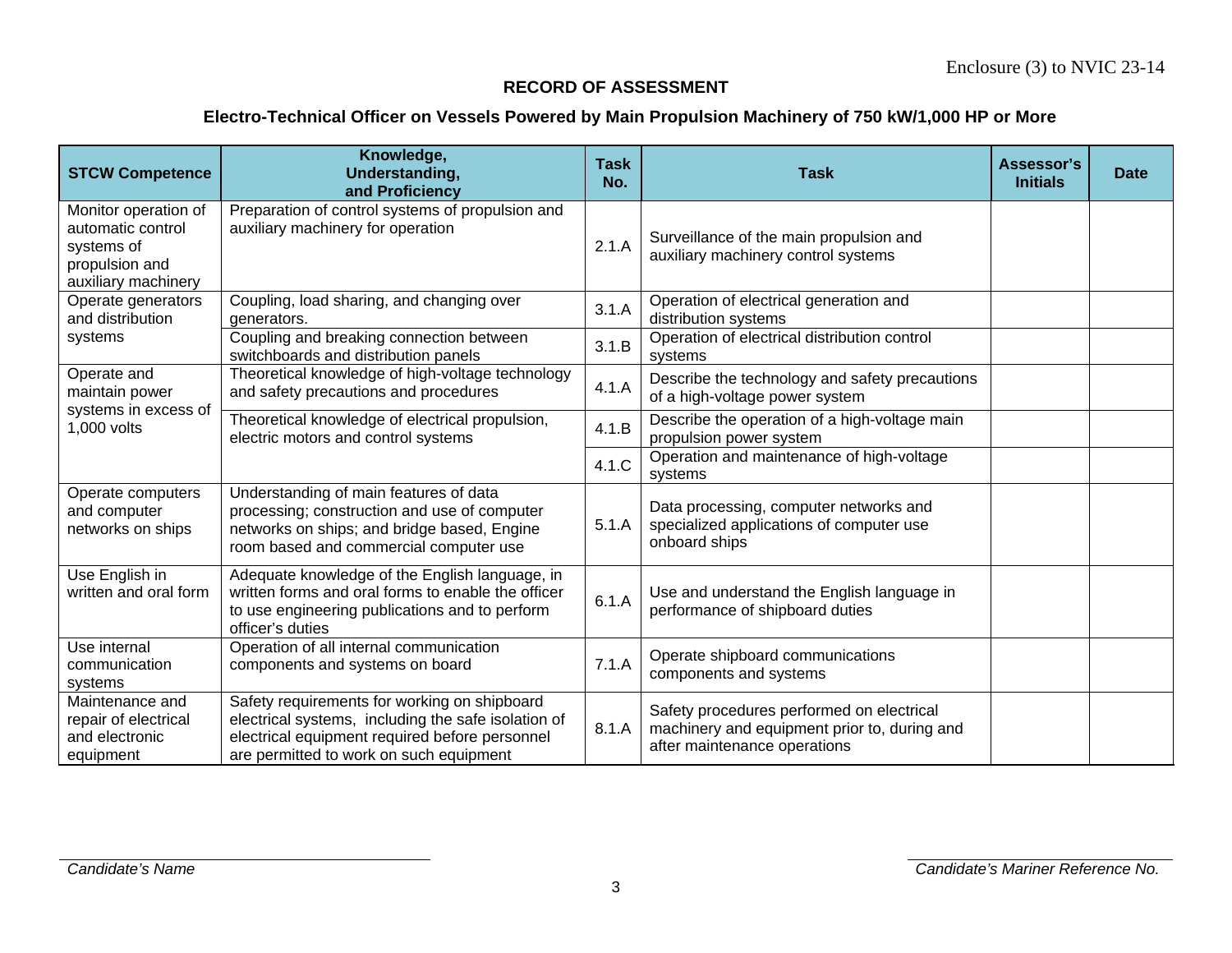| <b>STCW Competence</b>                                                                           | Knowledge,<br>Understanding,<br>and Proficiency                                                                                                                                                  | <b>Task</b><br>No. | <b>Task</b>                                                                                                               | Assessor's<br><b>Initials</b> | <b>Date</b> |
|--------------------------------------------------------------------------------------------------|--------------------------------------------------------------------------------------------------------------------------------------------------------------------------------------------------|--------------------|---------------------------------------------------------------------------------------------------------------------------|-------------------------------|-------------|
| Monitor operation of<br>automatic control<br>systems of<br>propulsion and<br>auxiliary machinery | Preparation of control systems of propulsion and<br>auxiliary machinery for operation                                                                                                            | 2.1.A              | Surveillance of the main propulsion and<br>auxiliary machinery control systems                                            |                               |             |
| Operate generators<br>and distribution                                                           | Coupling, load sharing, and changing over<br>generators.                                                                                                                                         | 3.1.A              | Operation of electrical generation and<br>distribution systems                                                            |                               |             |
| systems                                                                                          | Coupling and breaking connection between<br>switchboards and distribution panels                                                                                                                 | 3.1.B              | Operation of electrical distribution control<br>systems                                                                   |                               |             |
| Operate and<br>maintain power                                                                    | Theoretical knowledge of high-voltage technology<br>and safety precautions and procedures                                                                                                        | 4.1.A              | Describe the technology and safety precautions<br>of a high-voltage power system                                          |                               |             |
| systems in excess of<br>1,000 volts                                                              | Theoretical knowledge of electrical propulsion,<br>electric motors and control systems                                                                                                           |                    | Describe the operation of a high-voltage main<br>propulsion power system                                                  |                               |             |
|                                                                                                  |                                                                                                                                                                                                  |                    | Operation and maintenance of high-voltage<br>systems                                                                      |                               |             |
| Operate computers<br>and computer<br>networks on ships                                           | Understanding of main features of data<br>processing; construction and use of computer<br>networks on ships; and bridge based, Engine<br>room based and commercial computer use                  | 5.1.A              | Data processing, computer networks and<br>specialized applications of computer use<br>onboard ships                       |                               |             |
| Use English in<br>written and oral form                                                          | Adequate knowledge of the English language, in<br>written forms and oral forms to enable the officer<br>to use engineering publications and to perform<br>officer's duties                       | 6.1.A              | Use and understand the English language in<br>performance of shipboard duties                                             |                               |             |
| Use internal<br>communication<br>systems                                                         | Operation of all internal communication<br>components and systems on board                                                                                                                       | 7.1.A              | Operate shipboard communications<br>components and systems                                                                |                               |             |
| Maintenance and<br>repair of electrical<br>and electronic<br>equipment                           | Safety requirements for working on shipboard<br>electrical systems, including the safe isolation of<br>electrical equipment required before personnel<br>are permitted to work on such equipment | 8.1.A              | Safety procedures performed on electrical<br>machinery and equipment prior to, during and<br>after maintenance operations |                               |             |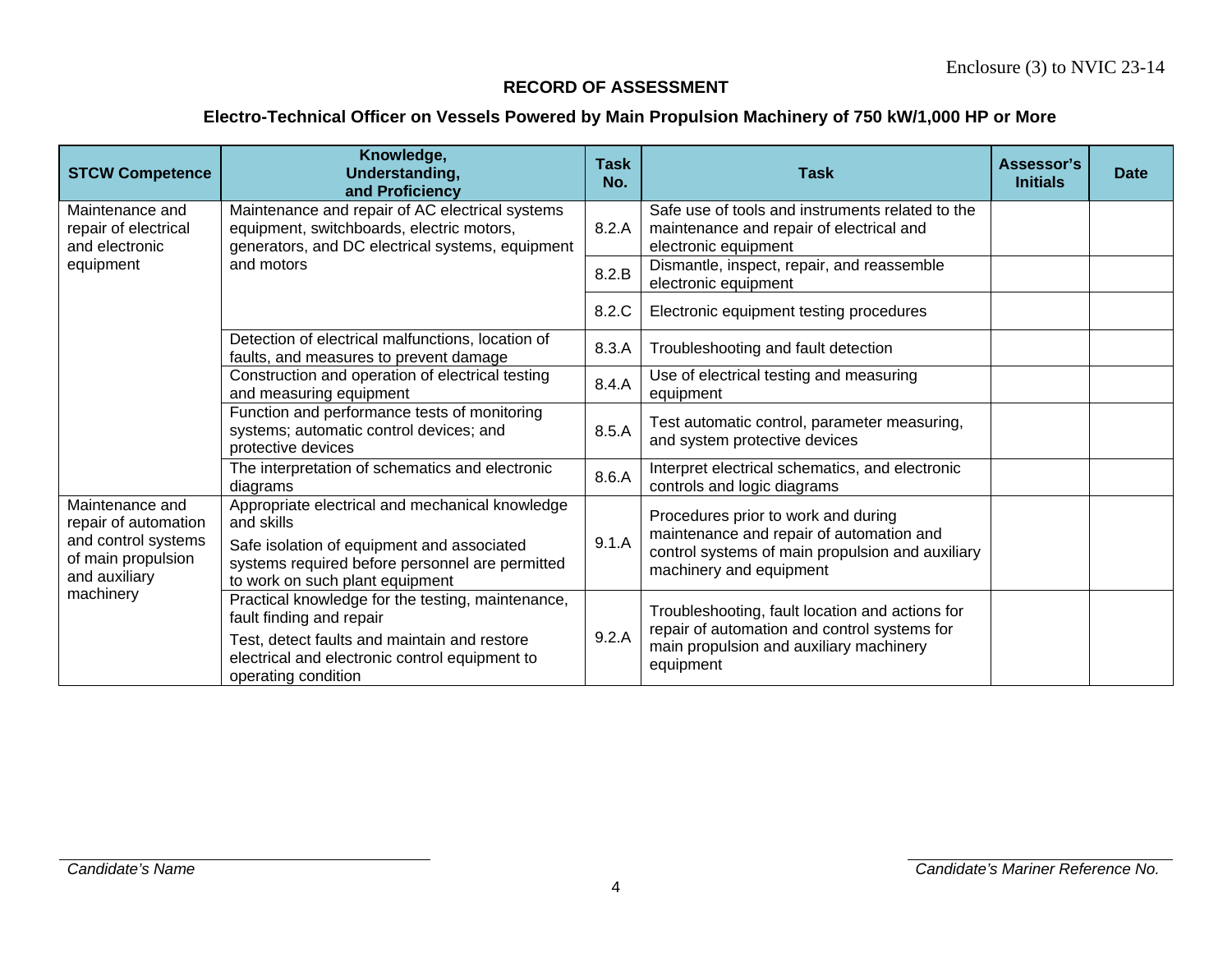| <b>STCW Competence</b>                                                                                | Knowledge,<br>Understanding,<br>and Proficiency                                                                                                                                                        | <b>Task</b><br>No. | <b>Task</b>                                                                                                                                                    | Assessor's<br><b>Initials</b> | <b>Date</b> |
|-------------------------------------------------------------------------------------------------------|--------------------------------------------------------------------------------------------------------------------------------------------------------------------------------------------------------|--------------------|----------------------------------------------------------------------------------------------------------------------------------------------------------------|-------------------------------|-------------|
| Maintenance and<br>repair of electrical<br>and electronic                                             | Maintenance and repair of AC electrical systems<br>equipment, switchboards, electric motors,<br>8.2.A<br>generators, and DC electrical systems, equipment                                              |                    | Safe use of tools and instruments related to the<br>maintenance and repair of electrical and<br>electronic equipment                                           |                               |             |
| equipment                                                                                             | and motors                                                                                                                                                                                             | 8.2.B              | Dismantle, inspect, repair, and reassemble<br>electronic equipment                                                                                             |                               |             |
|                                                                                                       |                                                                                                                                                                                                        | 8.2.C              | Electronic equipment testing procedures                                                                                                                        |                               |             |
|                                                                                                       | Detection of electrical malfunctions, location of<br>faults, and measures to prevent damage                                                                                                            |                    | Troubleshooting and fault detection                                                                                                                            |                               |             |
|                                                                                                       | Construction and operation of electrical testing<br>and measuring equipment                                                                                                                            | 8.4.A              | Use of electrical testing and measuring<br>equipment                                                                                                           |                               |             |
|                                                                                                       | Function and performance tests of monitoring<br>systems; automatic control devices; and<br>protective devices                                                                                          | 8.5.A              | Test automatic control, parameter measuring,<br>and system protective devices                                                                                  |                               |             |
|                                                                                                       | The interpretation of schematics and electronic<br>diagrams                                                                                                                                            | 8.6.A              | Interpret electrical schematics, and electronic<br>controls and logic diagrams                                                                                 |                               |             |
| Maintenance and<br>repair of automation<br>and control systems<br>of main propulsion<br>and auxiliary | Appropriate electrical and mechanical knowledge<br>and skills<br>Safe isolation of equipment and associated<br>systems required before personnel are permitted<br>to work on such plant equipment      |                    | Procedures prior to work and during<br>maintenance and repair of automation and<br>control systems of main propulsion and auxiliary<br>machinery and equipment |                               |             |
| machinery                                                                                             | Practical knowledge for the testing, maintenance,<br>fault finding and repair<br>Test, detect faults and maintain and restore<br>electrical and electronic control equipment to<br>operating condition | 9.2.A              | Troubleshooting, fault location and actions for<br>repair of automation and control systems for<br>main propulsion and auxiliary machinery<br>equipment        |                               |             |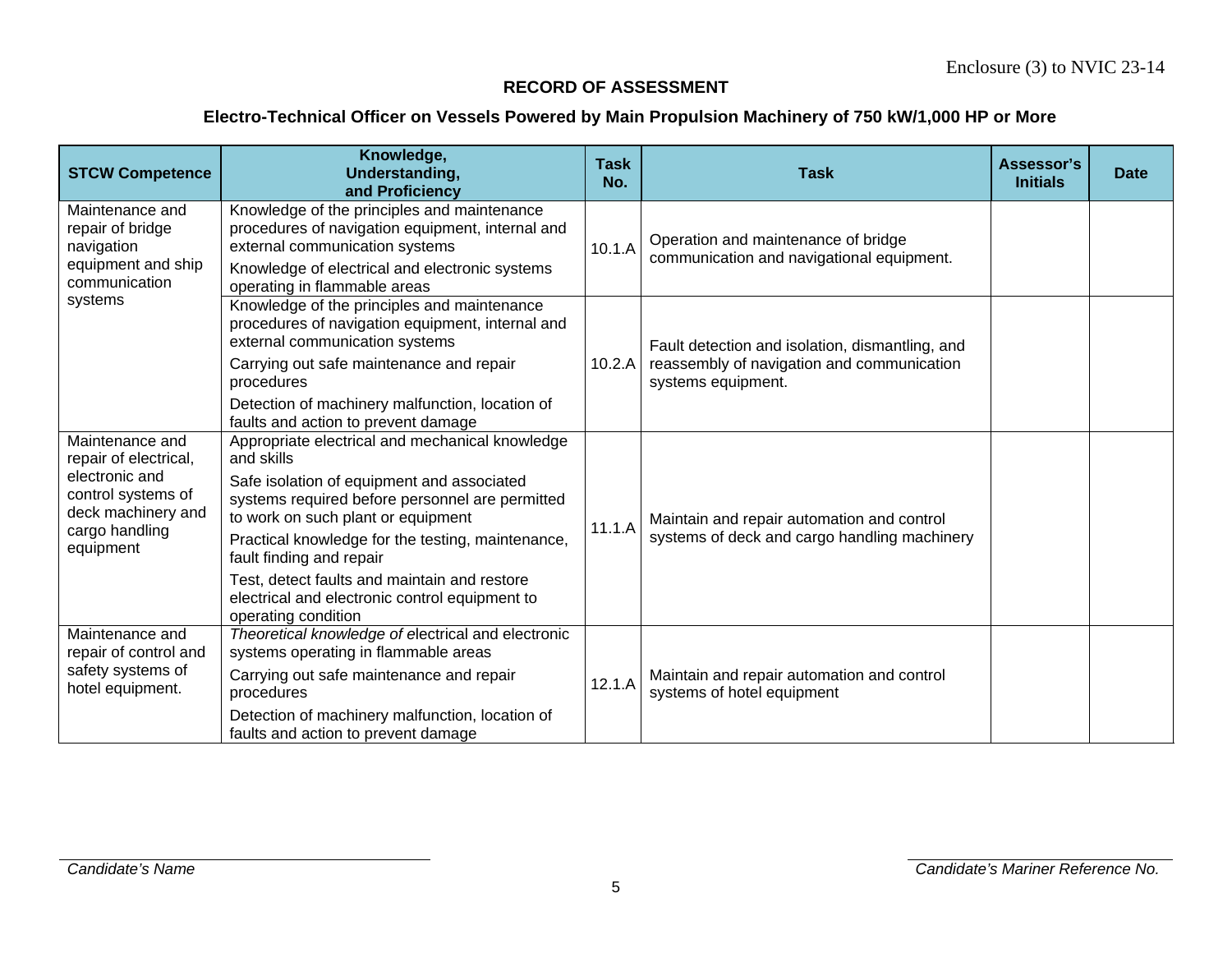| <b>STCW Competence</b>                                                                                                                | Knowledge,<br>Understanding,<br>and Proficiency                                                                                                                                                                                                                                                                                                                                                                | <b>Task</b><br>No.                                                                                                                                                                                                                                          | <b>Task</b>                                                                                | Assessor's<br><b>Initials</b> | <b>Date</b> |
|---------------------------------------------------------------------------------------------------------------------------------------|----------------------------------------------------------------------------------------------------------------------------------------------------------------------------------------------------------------------------------------------------------------------------------------------------------------------------------------------------------------------------------------------------------------|-------------------------------------------------------------------------------------------------------------------------------------------------------------------------------------------------------------------------------------------------------------|--------------------------------------------------------------------------------------------|-------------------------------|-------------|
| Maintenance and<br>repair of bridge<br>navigation<br>equipment and ship<br>communication                                              | Knowledge of the principles and maintenance<br>procedures of navigation equipment, internal and<br>external communication systems<br>Knowledge of electrical and electronic systems                                                                                                                                                                                                                            | Operation and maintenance of bridge<br>10.1.A<br>communication and navigational equipment.<br>operating in flammable areas<br>Fault detection and isolation, dismantling, and<br>10.2.A<br>reassembly of navigation and communication<br>systems equipment. |                                                                                            |                               |             |
| systems                                                                                                                               | Knowledge of the principles and maintenance<br>procedures of navigation equipment, internal and<br>external communication systems<br>Carrying out safe maintenance and repair<br>procedures<br>Detection of machinery malfunction, location of<br>faults and action to prevent damage                                                                                                                          |                                                                                                                                                                                                                                                             |                                                                                            |                               |             |
| Maintenance and<br>repair of electrical,<br>electronic and<br>control systems of<br>deck machinery and<br>cargo handling<br>equipment | Appropriate electrical and mechanical knowledge<br>and skills<br>Safe isolation of equipment and associated<br>systems required before personnel are permitted<br>to work on such plant or equipment<br>Practical knowledge for the testing, maintenance,<br>fault finding and repair<br>Test, detect faults and maintain and restore<br>electrical and electronic control equipment to<br>operating condition | 11.1.A                                                                                                                                                                                                                                                      | Maintain and repair automation and control<br>systems of deck and cargo handling machinery |                               |             |
| Maintenance and<br>repair of control and<br>safety systems of<br>hotel equipment.                                                     | Theoretical knowledge of electrical and electronic<br>systems operating in flammable areas<br>Carrying out safe maintenance and repair<br>procedures<br>Detection of machinery malfunction, location of<br>faults and action to prevent damage                                                                                                                                                                 | 12.1.A                                                                                                                                                                                                                                                      | Maintain and repair automation and control<br>systems of hotel equipment                   |                               |             |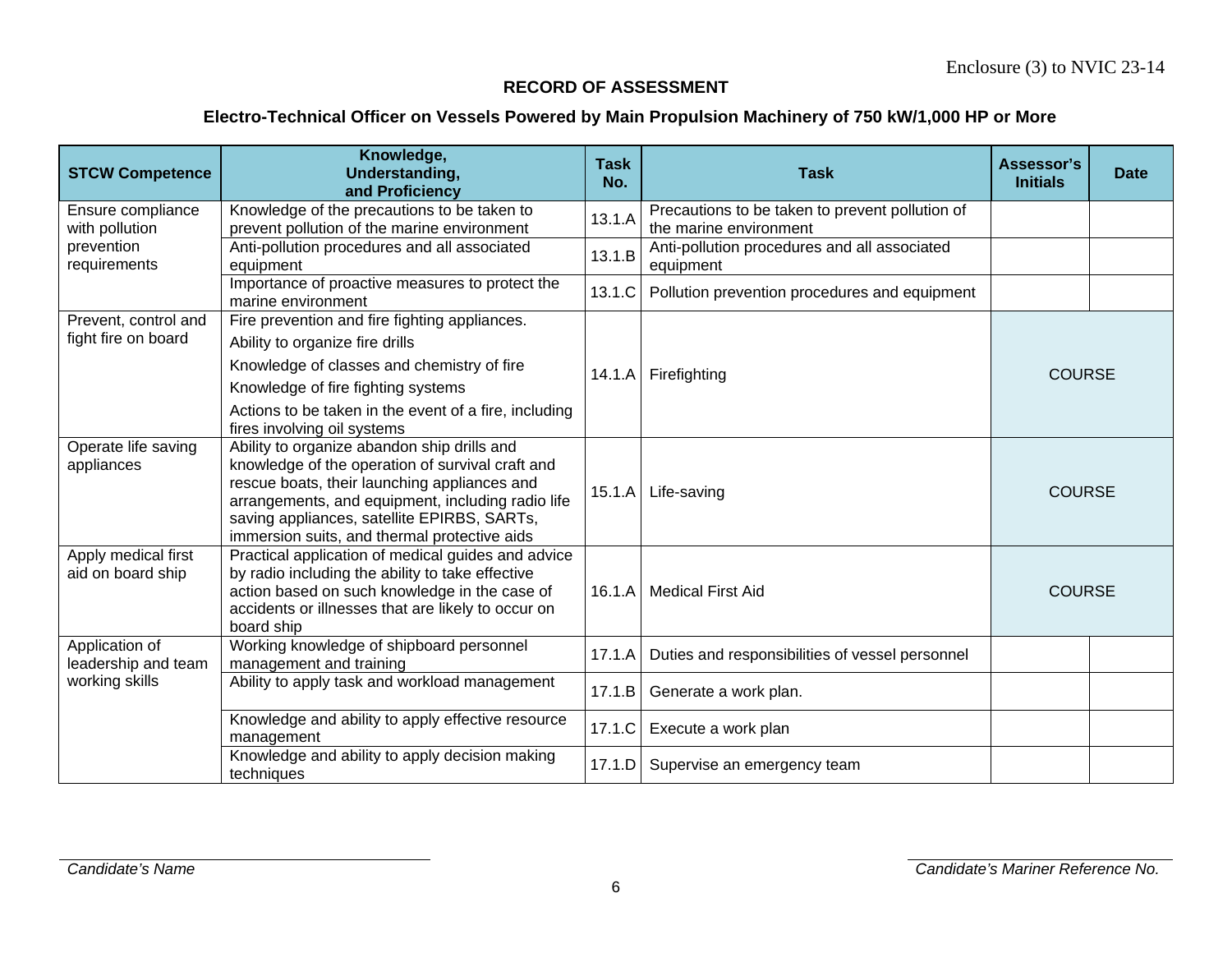| <b>STCW Competence</b>                      | Knowledge,<br>Understanding,<br>and Proficiency                                                                                                                                                                                                                                                     | <b>Task</b><br>No.              | <b>Task</b>                                                               | Assessor's<br><b>Initials</b> | <b>Date</b>   |
|---------------------------------------------|-----------------------------------------------------------------------------------------------------------------------------------------------------------------------------------------------------------------------------------------------------------------------------------------------------|---------------------------------|---------------------------------------------------------------------------|-------------------------------|---------------|
| Ensure compliance<br>with pollution         | Knowledge of the precautions to be taken to<br>prevent pollution of the marine environment                                                                                                                                                                                                          | 13.1.A                          | Precautions to be taken to prevent pollution of<br>the marine environment |                               |               |
| prevention<br>requirements                  | Anti-pollution procedures and all associated<br>equipment                                                                                                                                                                                                                                           | 13.1.B                          | Anti-pollution procedures and all associated<br>equipment                 |                               |               |
|                                             | Importance of proactive measures to protect the<br>marine environment                                                                                                                                                                                                                               | 13.1.C                          | Pollution prevention procedures and equipment                             |                               |               |
| Prevent, control and<br>fight fire on board | Fire prevention and fire fighting appliances.<br>Ability to organize fire drills<br>Knowledge of classes and chemistry of fire<br>Knowledge of fire fighting systems<br>Actions to be taken in the event of a fire, including<br>fires involving oil systems                                        | 14.1.A                          | Firefighting                                                              |                               | <b>COURSE</b> |
| Operate life saving<br>appliances           | Ability to organize abandon ship drills and<br>knowledge of the operation of survival craft and<br>rescue boats, their launching appliances and<br>arrangements, and equipment, including radio life<br>saving appliances, satellite EPIRBS, SARTs,<br>immersion suits, and thermal protective aids | 15.1.A                          | Life-saving                                                               |                               | <b>COURSE</b> |
| Apply medical first<br>aid on board ship    | Practical application of medical guides and advice<br>by radio including the ability to take effective<br>action based on such knowledge in the case of<br>accidents or illnesses that are likely to occur on<br>board ship                                                                         | 16.1.A                          | <b>Medical First Aid</b><br><b>COURSE</b>                                 |                               |               |
| Application of<br>leadership and team       | Working knowledge of shipboard personnel<br>management and training                                                                                                                                                                                                                                 | 17.1.A                          | Duties and responsibilities of vessel personnel                           |                               |               |
| working skills                              | Ability to apply task and workload management                                                                                                                                                                                                                                                       | 17.1.B<br>Generate a work plan. |                                                                           |                               |               |
|                                             | Knowledge and ability to apply effective resource<br>management                                                                                                                                                                                                                                     | 17.1.C                          | Execute a work plan                                                       |                               |               |
|                                             | Knowledge and ability to apply decision making<br>techniques                                                                                                                                                                                                                                        | 17.1.D                          | Supervise an emergency team                                               |                               |               |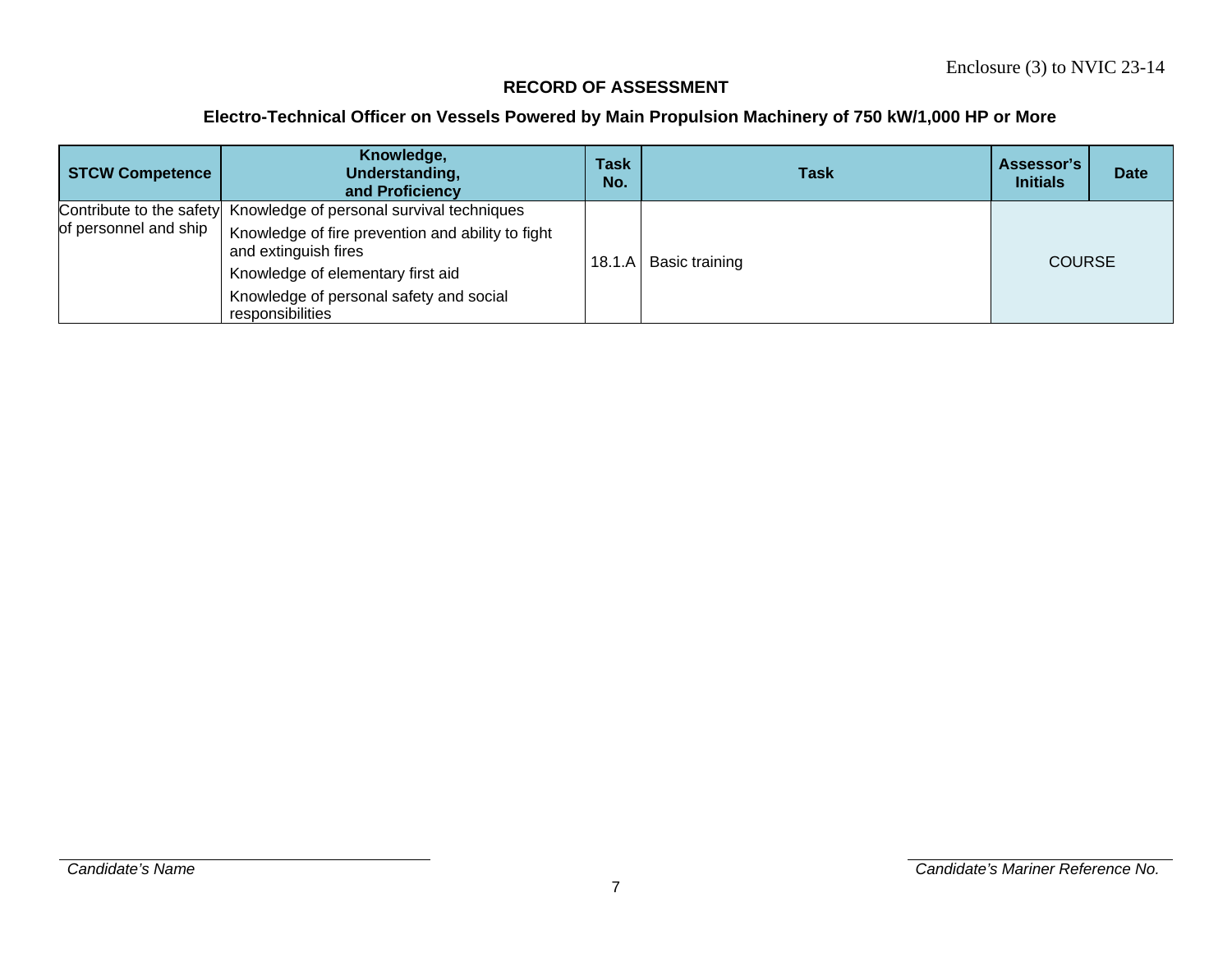| <b>STCW Competence</b> | Knowledge,<br>Understanding,<br>and Proficiency                           | <b>Task</b><br>No. | <b>Task</b>             | Assessor's<br><b>Initials</b> | <b>Date</b> |
|------------------------|---------------------------------------------------------------------------|--------------------|-------------------------|-------------------------------|-------------|
|                        | Contribute to the safety Knowledge of personal survival techniques        |                    |                         |                               |             |
| of personnel and ship  | Knowledge of fire prevention and ability to fight<br>and extinguish fires |                    |                         | <b>COURSE</b>                 |             |
|                        | Knowledge of elementary first aid                                         |                    | 18.1.A   Basic training |                               |             |
|                        | Knowledge of personal safety and social<br>responsibilities               |                    |                         |                               |             |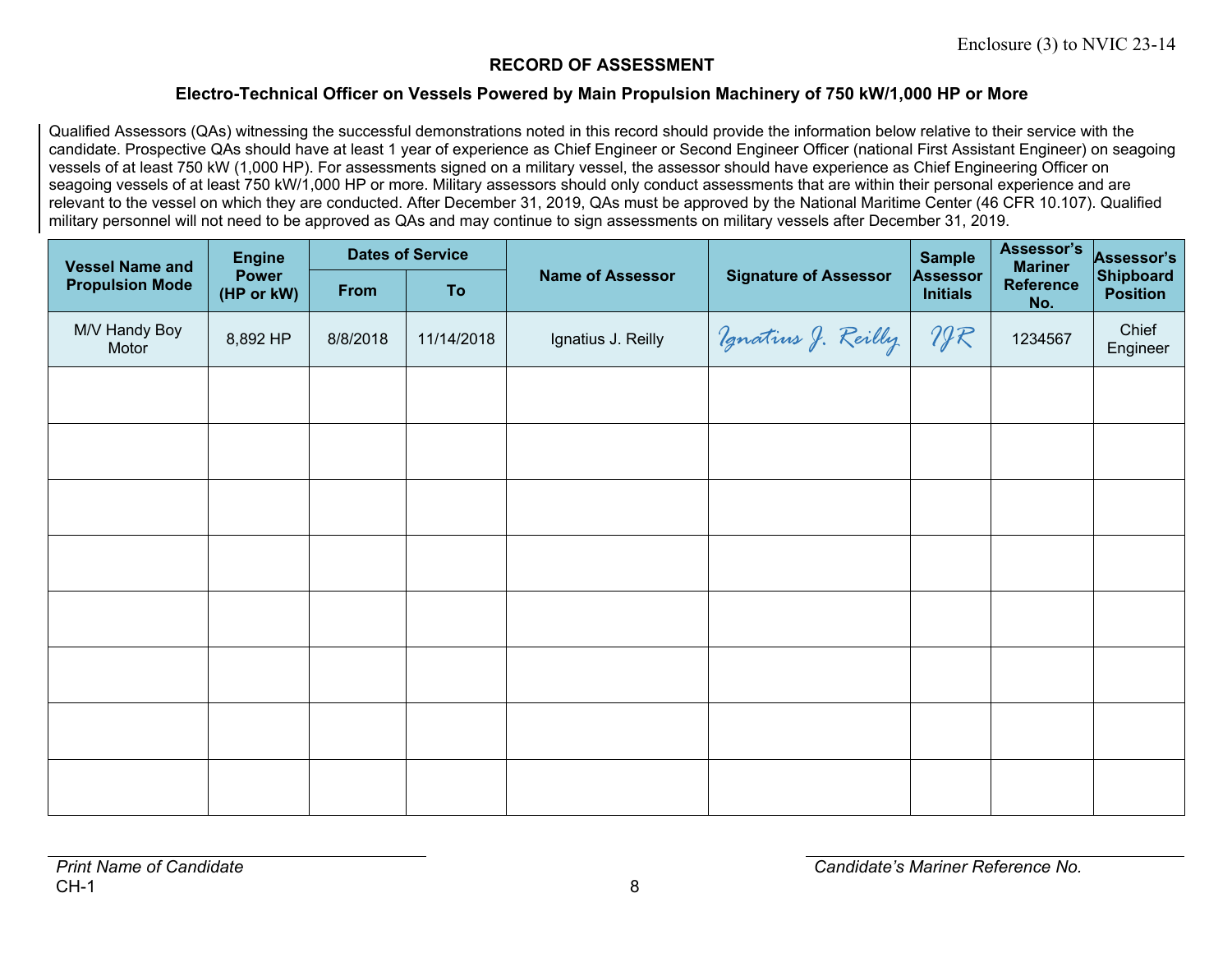#### **Electro-Technical Officer on Vessels Powered by Main Propulsion Machinery of 750 kW/1,000 HP or More**

Qualified Assessors (QAs) witnessing the successful demonstrations noted in this record should provide the information below relative to their service with the candidate. Prospective QAs should have at least 1 year of experience as Chief Engineer or Second Engineer Officer (national First Assistant Engineer) on seagoing vessels of at least 750 kW (1,000 HP). For assessments signed on a military vessel, the assessor should have experience as Chief Engineering Officer on seagoing vessels of at least 750 kW/1,000 HP or more. Military assessors should only conduct assessments that are within their personal experience and are relevant to the vessel on which they are conducted. After December 31, 2019, QAs must be approved by the National Maritime Center (46 CFR 10.107). Qualified military personnel will not need to be approved as QAs and may continue to sign assessments on military vessels after December 31, 2019.

| <b>Vessel Name and</b> | <b>Engine</b>              |          | <b>Dates of Service</b> |                         |                              |                             | Assessor's<br><b>Mariner</b> | Assessor's                   |
|------------------------|----------------------------|----------|-------------------------|-------------------------|------------------------------|-----------------------------|------------------------------|------------------------------|
| <b>Propulsion Mode</b> | <b>Power</b><br>(HP or kW) | From     | To                      | <b>Name of Assessor</b> | <b>Signature of Assessor</b> | Assessor<br><b>Initials</b> | <b>Reference</b><br>No.      | Shipboard<br><b>Position</b> |
| M/V Handy Boy<br>Motor | 8,892 HP                   | 8/8/2018 | 11/14/2018              | Ignatius J. Reilly      | Vgnatius J. Reilly           | 297                         | 1234567                      | Chief<br>Engineer            |
|                        |                            |          |                         |                         |                              |                             |                              |                              |
|                        |                            |          |                         |                         |                              |                             |                              |                              |
|                        |                            |          |                         |                         |                              |                             |                              |                              |
|                        |                            |          |                         |                         |                              |                             |                              |                              |
|                        |                            |          |                         |                         |                              |                             |                              |                              |
|                        |                            |          |                         |                         |                              |                             |                              |                              |
|                        |                            |          |                         |                         |                              |                             |                              |                              |
|                        |                            |          |                         |                         |                              |                             |                              |                              |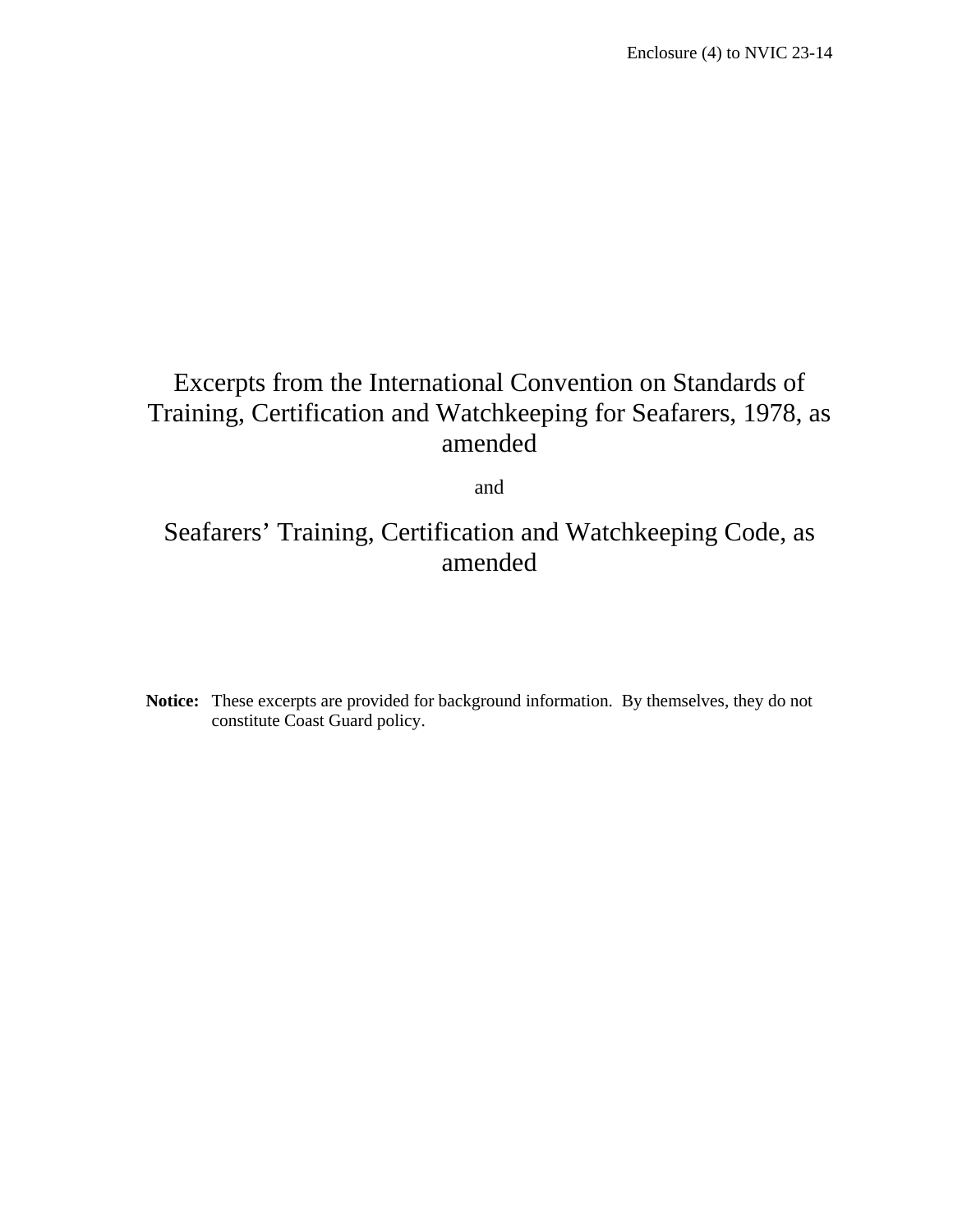## Excerpts from the International Convention on Standards of Training, Certification and Watchkeeping for Seafarers, 1978, as amended

and

### Seafarers' Training, Certification and Watchkeeping Code, as amended

**Notice:** These excerpts are provided for background information. By themselves, they do not constitute Coast Guard policy.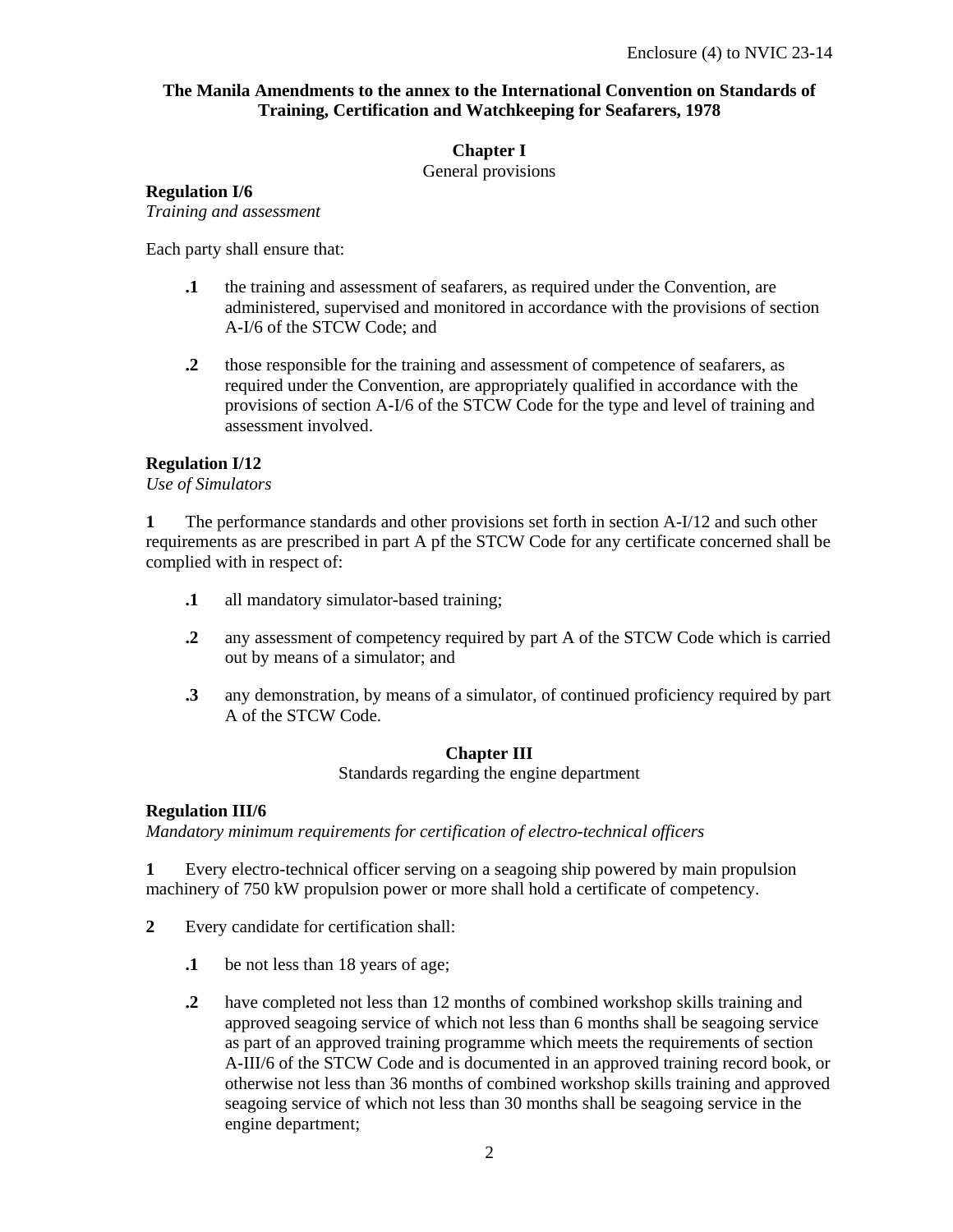#### **The Manila Amendments to the annex to the International Convention on Standards of Training, Certification and Watchkeeping for Seafarers, 1978**

#### **Chapter I**

General provisions

#### **Regulation I/6**

*Training and assessment* 

Each party shall ensure that:

- **.1** the training and assessment of seafarers, as required under the Convention, are administered, supervised and monitored in accordance with the provisions of section A-I/6 of the STCW Code; and
- **.2** those responsible for the training and assessment of competence of seafarers, as required under the Convention, are appropriately qualified in accordance with the provisions of section A-I/6 of the STCW Code for the type and level of training and assessment involved.

#### **Regulation I/12**

*Use of Simulators* 

**1** The performance standards and other provisions set forth in section A-I/12 and such other requirements as are prescribed in part A pf the STCW Code for any certificate concerned shall be complied with in respect of:

- **.1** all mandatory simulator-based training;
- **.2** any assessment of competency required by part A of the STCW Code which is carried out by means of a simulator; and
- **.3** any demonstration, by means of a simulator, of continued proficiency required by part A of the STCW Code.

#### **Chapter III**

Standards regarding the engine department

#### **Regulation III/6**

*Mandatory minimum requirements for certification of electro-technical officers* 

**1** Every electro-technical officer serving on a seagoing ship powered by main propulsion machinery of 750 kW propulsion power or more shall hold a certificate of competency.

- **2** Every candidate for certification shall:
	- **.1** be not less than 18 years of age;
	- **.2** have completed not less than 12 months of combined workshop skills training and approved seagoing service of which not less than 6 months shall be seagoing service as part of an approved training programme which meets the requirements of section A-III/6 of the STCW Code and is documented in an approved training record book, or otherwise not less than 36 months of combined workshop skills training and approved seagoing service of which not less than 30 months shall be seagoing service in the engine department;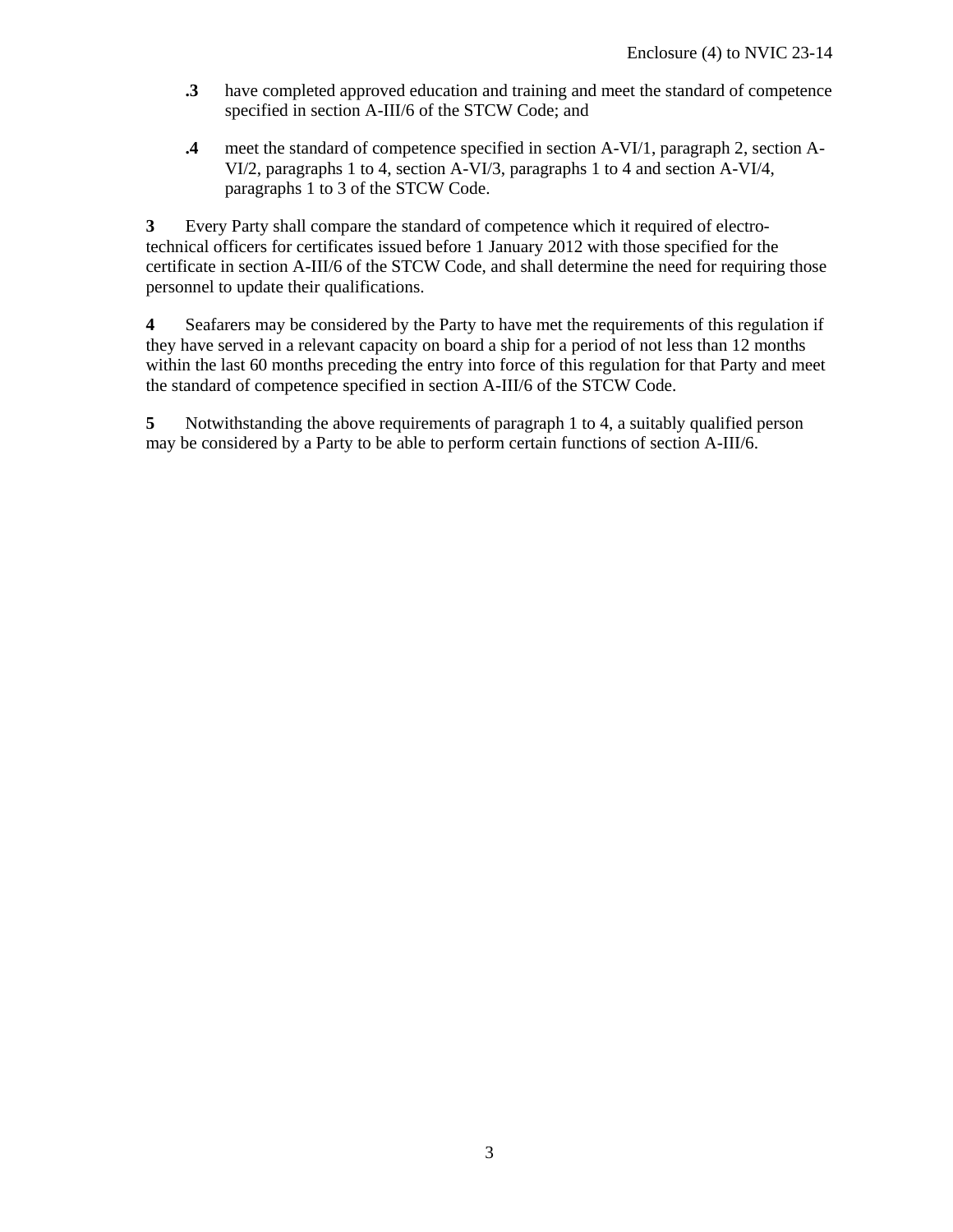- **.3** have completed approved education and training and meet the standard of competence specified in section A-III/6 of the STCW Code; and
- **.4** meet the standard of competence specified in section A-VI/1, paragraph 2, section A-VI/2, paragraphs 1 to 4, section A-VI/3, paragraphs 1 to 4 and section A-VI/4, paragraphs 1 to 3 of the STCW Code.

**3** Every Party shall compare the standard of competence which it required of electrotechnical officers for certificates issued before 1 January 2012 with those specified for the certificate in section A-III/6 of the STCW Code, and shall determine the need for requiring those personnel to update their qualifications.

**4** Seafarers may be considered by the Party to have met the requirements of this regulation if they have served in a relevant capacity on board a ship for a period of not less than 12 months within the last 60 months preceding the entry into force of this regulation for that Party and meet the standard of competence specified in section A-III/6 of the STCW Code.

**5** Notwithstanding the above requirements of paragraph 1 to 4, a suitably qualified person may be considered by a Party to be able to perform certain functions of section A-III/6.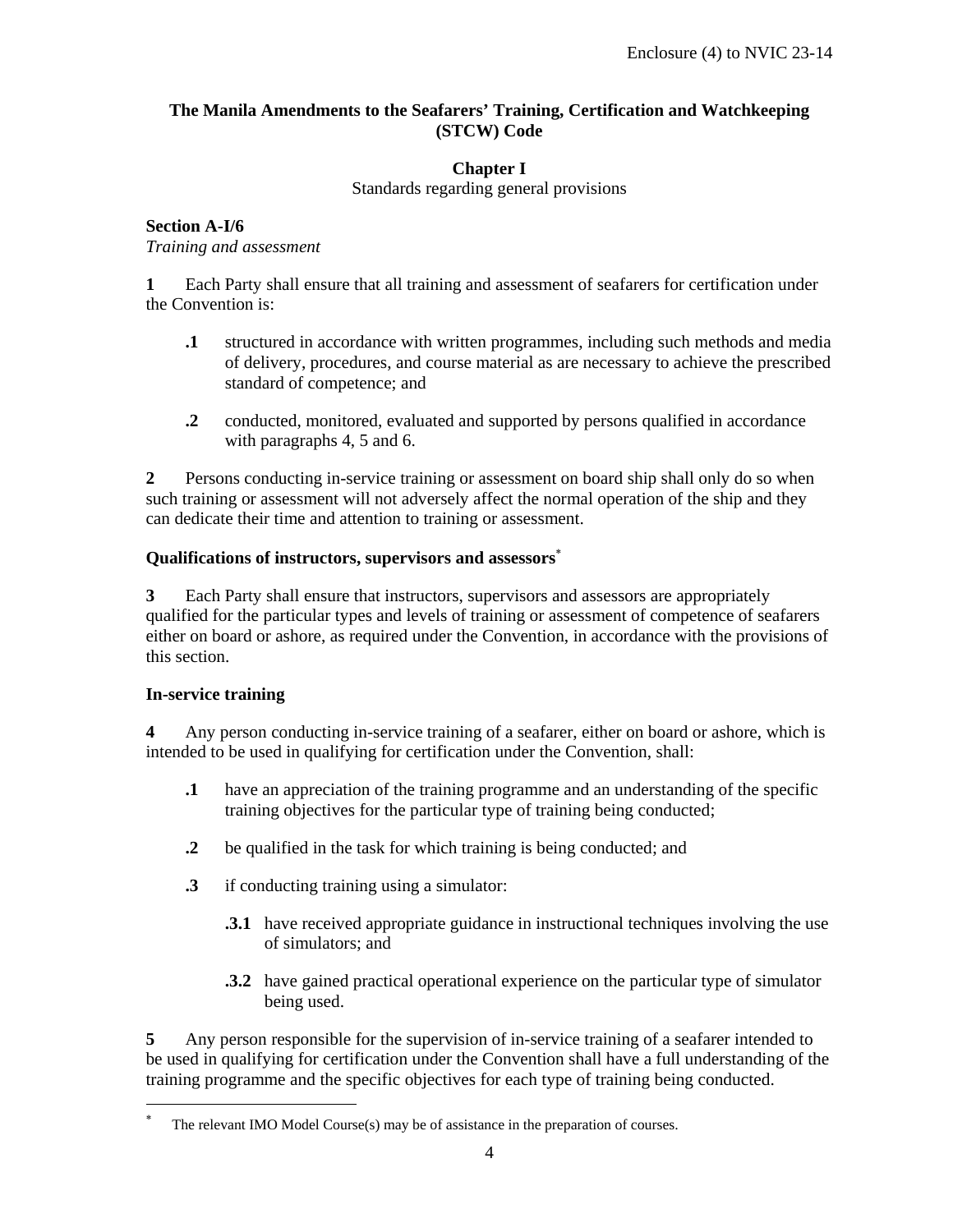#### **The Manila Amendments to the Seafarers' Training, Certification and Watchkeeping (STCW) Code**

#### **Chapter I**

Standards regarding general provisions

#### **Section A-I/6**  *Training and assessment*

**1** Each Party shall ensure that all training and assessment of seafarers for certification under the Convention is:

- **.1** structured in accordance with written programmes, including such methods and media of delivery, procedures, and course material as are necessary to achieve the prescribed standard of competence; and
- **.2** conducted, monitored, evaluated and supported by persons qualified in accordance with paragraphs 4, 5 and 6.

**2** Persons conducting in-service training or assessment on board ship shall only do so when such training or assessment will not adversely affect the normal operation of the ship and they can dedicate their time and attention to training or assessment.

#### **Qualifications of instructors, supervisors and assessors**

**3** Each Party shall ensure that instructors, supervisors and assessors are appropriately qualified for the particular types and levels of training or assessment of competence of seafarers either on board or ashore, as required under the Convention, in accordance with the provisions of this section.

#### **In-service training**

-

**4** Any person conducting in-service training of a seafarer, either on board or ashore, which is intended to be used in qualifying for certification under the Convention, shall:

- **.1** have an appreciation of the training programme and an understanding of the specific training objectives for the particular type of training being conducted;
- **.2** be qualified in the task for which training is being conducted; and
- **.3** if conducting training using a simulator:
	- **.3.1** have received appropriate guidance in instructional techniques involving the use of simulators; and
	- **.3.2** have gained practical operational experience on the particular type of simulator being used.

**5** Any person responsible for the supervision of in-service training of a seafarer intended to be used in qualifying for certification under the Convention shall have a full understanding of the training programme and the specific objectives for each type of training being conducted.

<sup>×</sup> The relevant IMO Model Course(s) may be of assistance in the preparation of courses.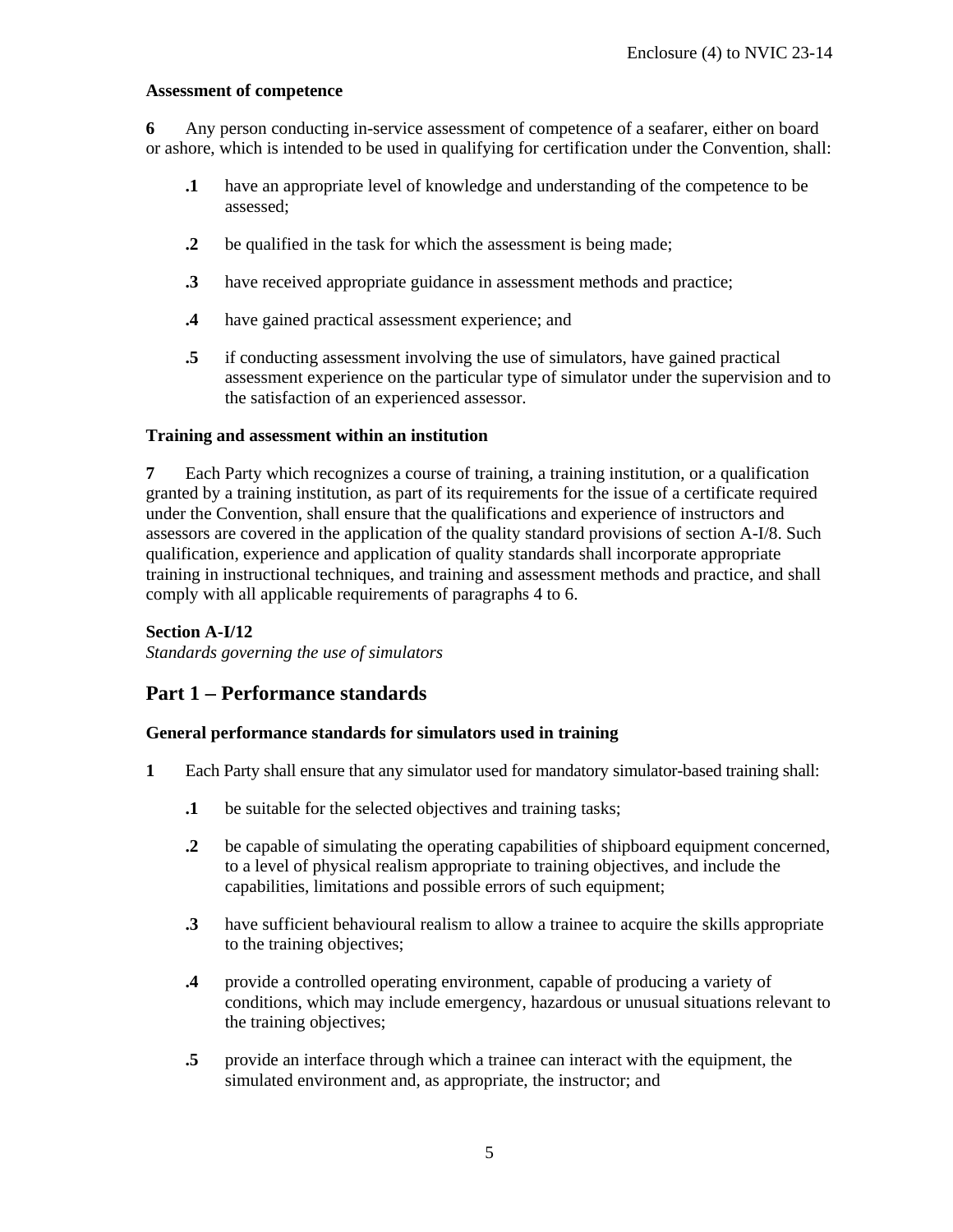#### **Assessment of competence**

**6** Any person conducting in-service assessment of competence of a seafarer, either on board or ashore, which is intended to be used in qualifying for certification under the Convention, shall:

- **.1** have an appropriate level of knowledge and understanding of the competence to be assessed;
- **.2** be qualified in the task for which the assessment is being made;
- **.3** have received appropriate guidance in assessment methods and practice;
- **.4** have gained practical assessment experience; and
- **.5** if conducting assessment involving the use of simulators, have gained practical assessment experience on the particular type of simulator under the supervision and to the satisfaction of an experienced assessor.

#### **Training and assessment within an institution**

**7** Each Party which recognizes a course of training, a training institution, or a qualification granted by a training institution, as part of its requirements for the issue of a certificate required under the Convention, shall ensure that the qualifications and experience of instructors and assessors are covered in the application of the quality standard provisions of section A-I/8. Such qualification, experience and application of quality standards shall incorporate appropriate training in instructional techniques, and training and assessment methods and practice, and shall comply with all applicable requirements of paragraphs 4 to 6.

#### **Section A-I/12**

*Standards governing the use of simulators* 

#### **Part 1 Performance standards**

#### **General performance standards for simulators used in training**

- **1** Each Party shall ensure that any simulator used for mandatory simulator-based training shall:
	- **.1** be suitable for the selected objectives and training tasks;
	- **.2** be capable of simulating the operating capabilities of shipboard equipment concerned, to a level of physical realism appropriate to training objectives, and include the capabilities, limitations and possible errors of such equipment;
	- **.3** have sufficient behavioural realism to allow a trainee to acquire the skills appropriate to the training objectives;
	- **.4** provide a controlled operating environment, capable of producing a variety of conditions, which may include emergency, hazardous or unusual situations relevant to the training objectives;
	- **.5** provide an interface through which a trainee can interact with the equipment, the simulated environment and, as appropriate, the instructor; and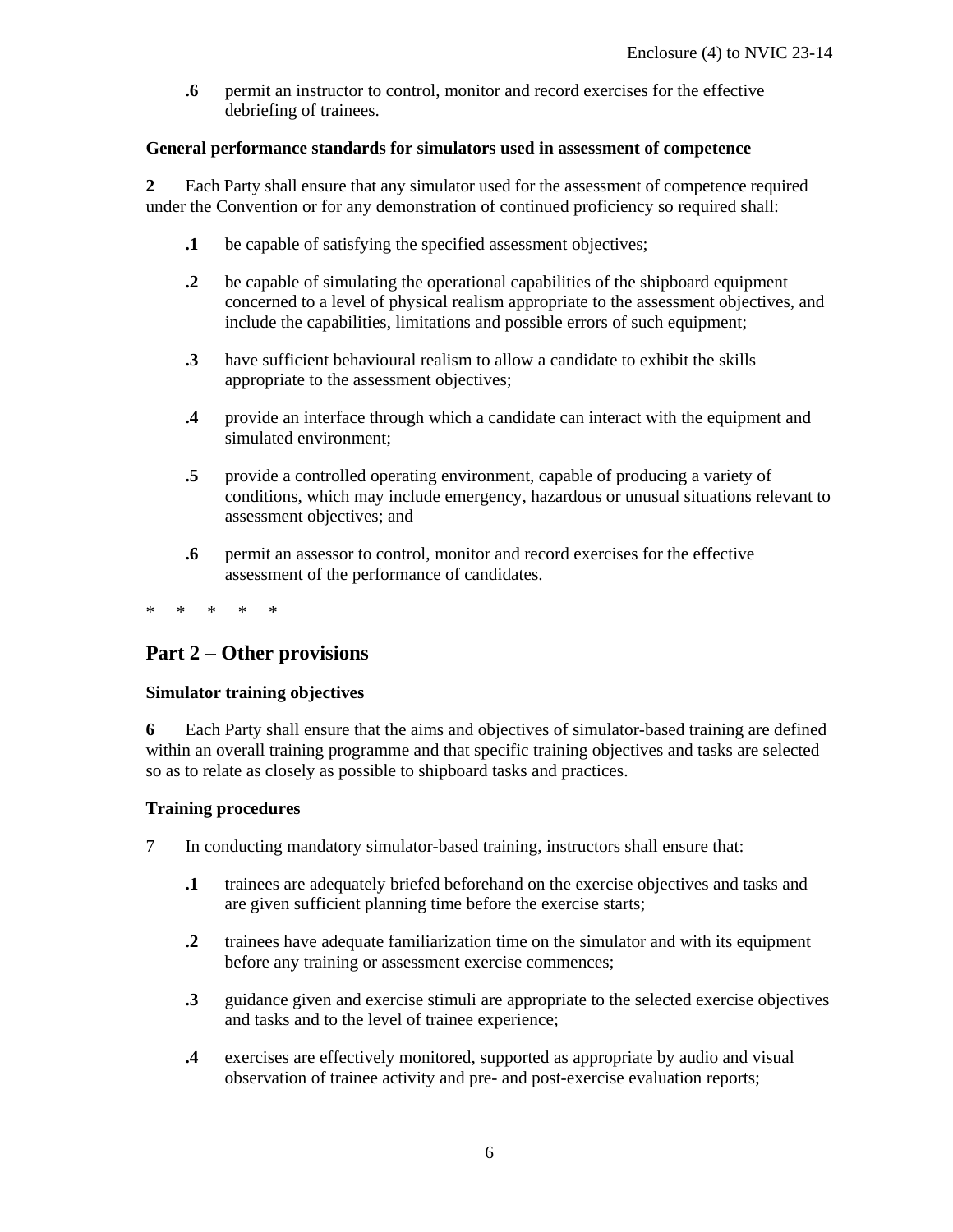**.6** permit an instructor to control, monitor and record exercises for the effective debriefing of trainees.

#### **General performance standards for simulators used in assessment of competence**

**2** Each Party shall ensure that any simulator used for the assessment of competence required under the Convention or for any demonstration of continued proficiency so required shall:

- **.1** be capable of satisfying the specified assessment objectives;
- **.2** be capable of simulating the operational capabilities of the shipboard equipment concerned to a level of physical realism appropriate to the assessment objectives, and include the capabilities, limitations and possible errors of such equipment;
- **.3** have sufficient behavioural realism to allow a candidate to exhibit the skills appropriate to the assessment objectives;
- **.4** provide an interface through which a candidate can interact with the equipment and simulated environment;
- **.5** provide a controlled operating environment, capable of producing a variety of conditions, which may include emergency, hazardous or unusual situations relevant to assessment objectives; and
- **.6** permit an assessor to control, monitor and record exercises for the effective assessment of the performance of candidates.

\* \* \* \* \*

#### **Part 2 Other provisions**

#### **Simulator training objectives**

**6** Each Party shall ensure that the aims and objectives of simulator-based training are defined within an overall training programme and that specific training objectives and tasks are selected so as to relate as closely as possible to shipboard tasks and practices.

#### **Training procedures**

- 7 In conducting mandatory simulator-based training, instructors shall ensure that:
	- **.1** trainees are adequately briefed beforehand on the exercise objectives and tasks and are given sufficient planning time before the exercise starts;
	- **.2** trainees have adequate familiarization time on the simulator and with its equipment before any training or assessment exercise commences;
	- **.3** guidance given and exercise stimuli are appropriate to the selected exercise objectives and tasks and to the level of trainee experience;
	- **.4** exercises are effectively monitored, supported as appropriate by audio and visual observation of trainee activity and pre- and post-exercise evaluation reports;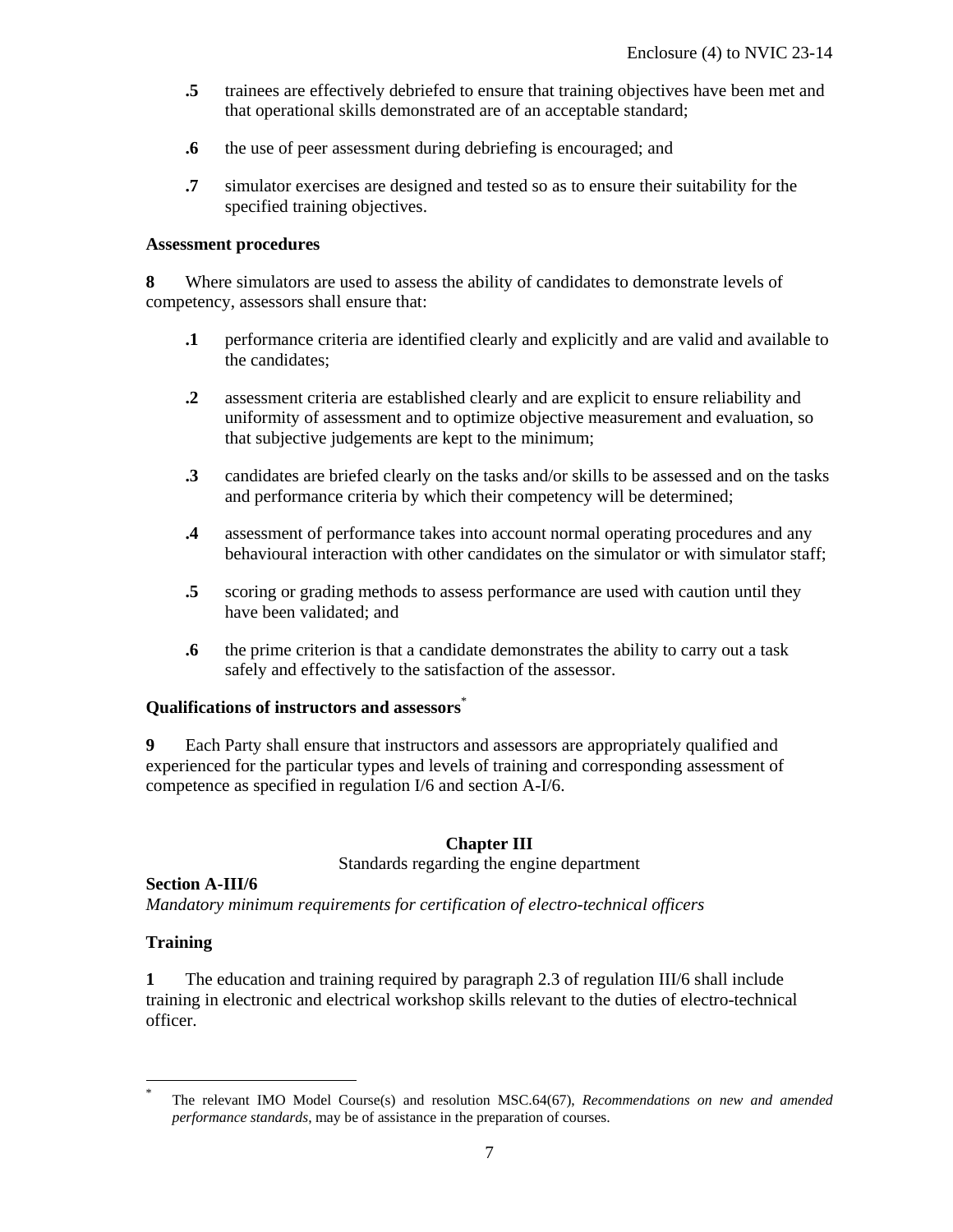- **.5** trainees are effectively debriefed to ensure that training objectives have been met and that operational skills demonstrated are of an acceptable standard;
- **.6** the use of peer assessment during debriefing is encouraged; and
- **.7** simulator exercises are designed and tested so as to ensure their suitability for the specified training objectives.

#### **Assessment procedures**

**8** Where simulators are used to assess the ability of candidates to demonstrate levels of competency, assessors shall ensure that:

- **.1** performance criteria are identified clearly and explicitly and are valid and available to the candidates;
- **.2** assessment criteria are established clearly and are explicit to ensure reliability and uniformity of assessment and to optimize objective measurement and evaluation, so that subjective judgements are kept to the minimum;
- **.3** candidates are briefed clearly on the tasks and/or skills to be assessed and on the tasks and performance criteria by which their competency will be determined;
- **.4** assessment of performance takes into account normal operating procedures and any behavioural interaction with other candidates on the simulator or with simulator staff;
- **.5** scoring or grading methods to assess performance are used with caution until they have been validated; and
- **.6** the prime criterion is that a candidate demonstrates the ability to carry out a task safely and effectively to the satisfaction of the assessor.

#### **Qualifications of instructors and assessors**\*

**9** Each Party shall ensure that instructors and assessors are appropriately qualified and experienced for the particular types and levels of training and corresponding assessment of competence as specified in regulation I/6 and section A-I/6.

#### **Chapter III**

Standards regarding the engine department

#### **Section A-III/6**

*Mandatory minimum requirements for certification of electro-technical officers* 

#### **Training**

-

**1** The education and training required by paragraph 2.3 of regulation III/6 shall include training in electronic and electrical workshop skills relevant to the duties of electro-technical officer.

<sup>\*</sup> The relevant IMO Model Course(s) and resolution MSC.64(67), *Recommendations on new and amended performance standards*, may be of assistance in the preparation of courses.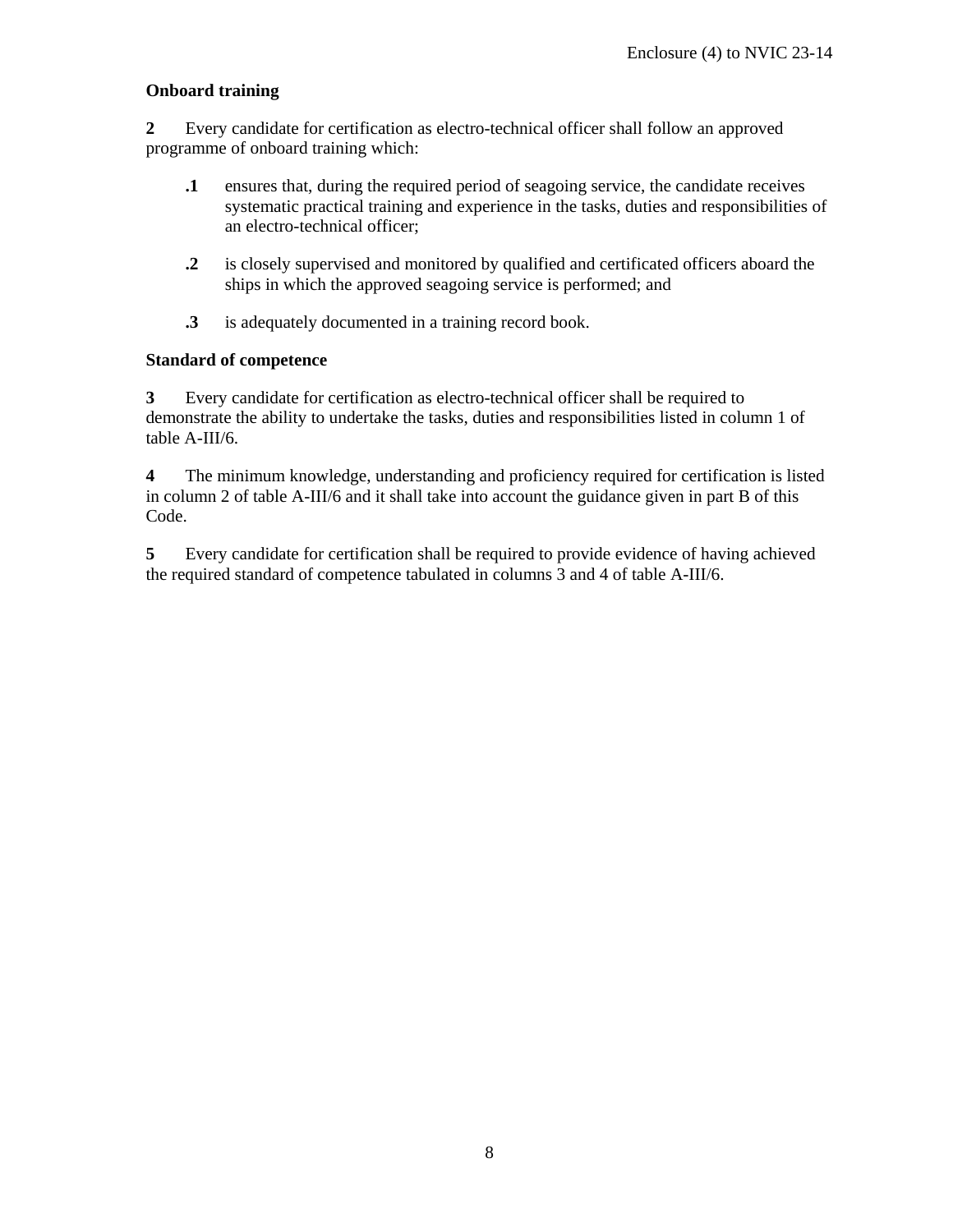#### **Onboard training**

**2** Every candidate for certification as electro-technical officer shall follow an approved programme of onboard training which:

- **.1** ensures that, during the required period of seagoing service, the candidate receives systematic practical training and experience in the tasks, duties and responsibilities of an electro-technical officer;
- **.2** is closely supervised and monitored by qualified and certificated officers aboard the ships in which the approved seagoing service is performed; and
- **.3** is adequately documented in a training record book.

#### **Standard of competence**

**3** Every candidate for certification as electro-technical officer shall be required to demonstrate the ability to undertake the tasks, duties and responsibilities listed in column 1 of table A-III/6.

**4** The minimum knowledge, understanding and proficiency required for certification is listed in column 2 of table A-III/6 and it shall take into account the guidance given in part B of this Code.

**5** Every candidate for certification shall be required to provide evidence of having achieved the required standard of competence tabulated in columns 3 and 4 of table A-III/6.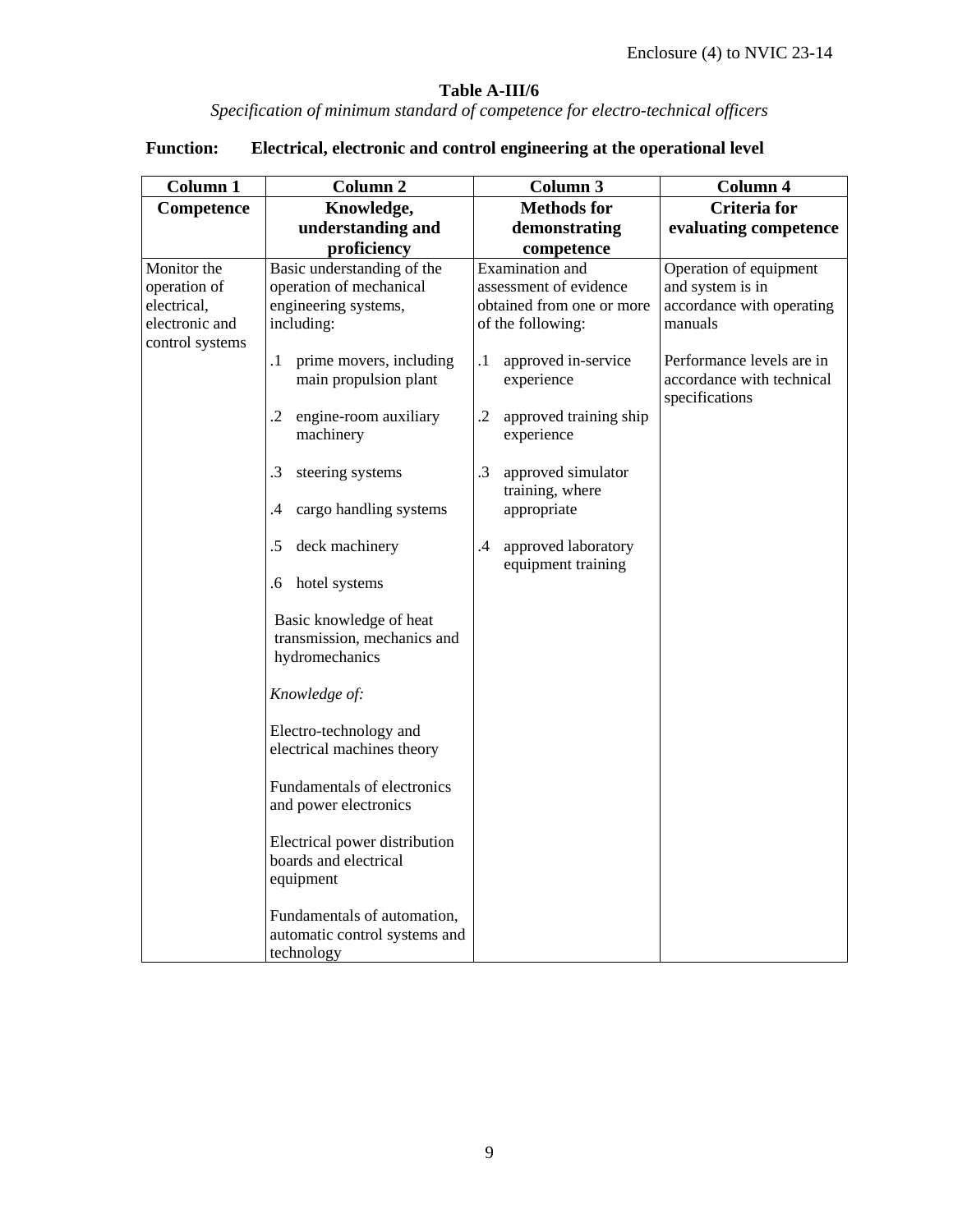#### **Table A-III/6**

*Specification of minimum standard of competence for electro-technical officers* 

| <b>Column 1</b>                                                                 | Column 2                                                                                                                                                                                                                                                                                                                                                    | Column 3                                                                                                                                                                                                                                                                                                                                      | Column 4                                                                                                                                                       |
|---------------------------------------------------------------------------------|-------------------------------------------------------------------------------------------------------------------------------------------------------------------------------------------------------------------------------------------------------------------------------------------------------------------------------------------------------------|-----------------------------------------------------------------------------------------------------------------------------------------------------------------------------------------------------------------------------------------------------------------------------------------------------------------------------------------------|----------------------------------------------------------------------------------------------------------------------------------------------------------------|
| Competence                                                                      | Knowledge,                                                                                                                                                                                                                                                                                                                                                  | <b>Methods for</b>                                                                                                                                                                                                                                                                                                                            | <b>Criteria</b> for                                                                                                                                            |
|                                                                                 | understanding and                                                                                                                                                                                                                                                                                                                                           | demonstrating                                                                                                                                                                                                                                                                                                                                 | evaluating competence                                                                                                                                          |
|                                                                                 |                                                                                                                                                                                                                                                                                                                                                             |                                                                                                                                                                                                                                                                                                                                               |                                                                                                                                                                |
| Monitor the<br>operation of<br>electrical,<br>electronic and<br>control systems | proficiency<br>Basic understanding of the<br>operation of mechanical<br>engineering systems,<br>including:<br>prime movers, including<br>$\cdot$ 1<br>main propulsion plant<br>engine-room auxiliary<br>.2<br>machinery<br>.3<br>steering systems<br>cargo handling systems<br>.4<br>deck machinery<br>.5<br>hotel systems<br>.6<br>Basic knowledge of heat | competence<br><b>Examination</b> and<br>assessment of evidence<br>obtained from one or more<br>of the following:<br>approved in-service<br>$\cdot$<br>experience<br>$\cdot$ 2<br>approved training ship<br>experience<br>$\cdot$ 3<br>approved simulator<br>training, where<br>appropriate<br>approved laboratory<br>.4<br>equipment training | Operation of equipment<br>and system is in<br>accordance with operating<br>manuals<br>Performance levels are in<br>accordance with technical<br>specifications |
|                                                                                 | transmission, mechanics and<br>hydromechanics<br>Knowledge of:<br>Electro-technology and<br>electrical machines theory<br>Fundamentals of electronics<br>and power electronics<br>Electrical power distribution<br>boards and electrical<br>equipment<br>Fundamentals of automation,<br>automatic control systems and<br>technology                         |                                                                                                                                                                                                                                                                                                                                               |                                                                                                                                                                |

#### **Function: Electrical, electronic and control engineering at the operational level**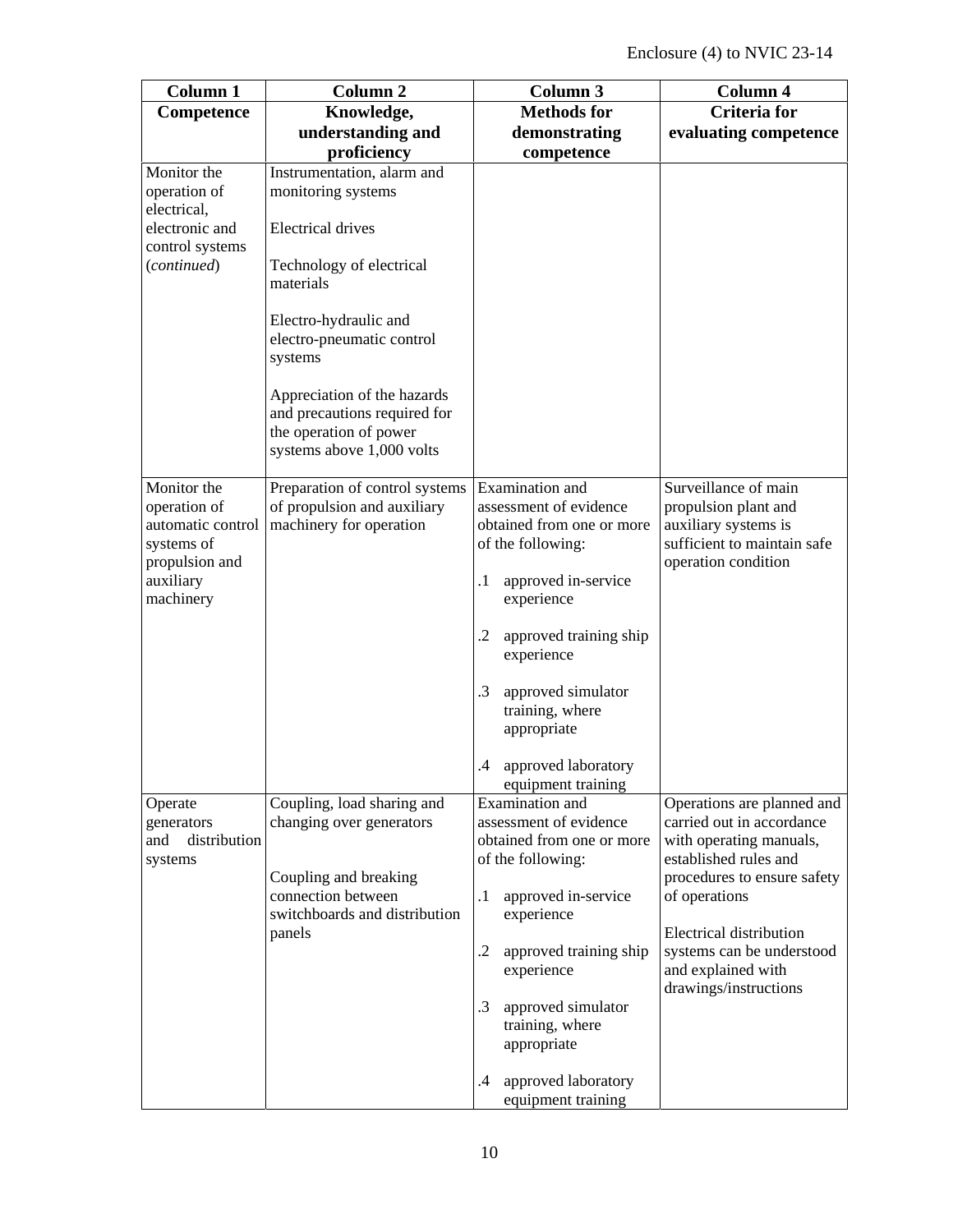| Column 1                                                                         | Column <sub>2</sub>                                                                                                | <b>Column 3</b>                                                                             | Column 4                                                                                                                   |
|----------------------------------------------------------------------------------|--------------------------------------------------------------------------------------------------------------------|---------------------------------------------------------------------------------------------|----------------------------------------------------------------------------------------------------------------------------|
| Competence                                                                       | Knowledge,                                                                                                         | <b>Methods for</b>                                                                          | <b>Criteria</b> for                                                                                                        |
|                                                                                  | understanding and                                                                                                  | demonstrating                                                                               | evaluating competence                                                                                                      |
|                                                                                  | proficiency                                                                                                        | competence                                                                                  |                                                                                                                            |
| Monitor the<br>operation of                                                      | Instrumentation, alarm and<br>monitoring systems                                                                   |                                                                                             |                                                                                                                            |
| electrical,                                                                      |                                                                                                                    |                                                                                             |                                                                                                                            |
| electronic and                                                                   | <b>Electrical drives</b>                                                                                           |                                                                                             |                                                                                                                            |
| control systems<br>(continued)                                                   | Technology of electrical<br>materials                                                                              |                                                                                             |                                                                                                                            |
|                                                                                  | Electro-hydraulic and<br>electro-pneumatic control<br>systems                                                      |                                                                                             |                                                                                                                            |
|                                                                                  | Appreciation of the hazards<br>and precautions required for<br>the operation of power<br>systems above 1,000 volts |                                                                                             |                                                                                                                            |
| Monitor the<br>operation of<br>automatic control<br>systems of<br>propulsion and | Preparation of control systems<br>of propulsion and auxiliary<br>machinery for operation                           | Examination and<br>assessment of evidence<br>obtained from one or more<br>of the following: | Surveillance of main<br>propulsion plant and<br>auxiliary systems is<br>sufficient to maintain safe<br>operation condition |
| auxiliary<br>machinery                                                           |                                                                                                                    | approved in-service<br>$\cdot$<br>experience                                                |                                                                                                                            |
|                                                                                  |                                                                                                                    | $\cdot$<br>approved training ship<br>experience                                             |                                                                                                                            |
|                                                                                  |                                                                                                                    | .3<br>approved simulator<br>training, where<br>appropriate                                  |                                                                                                                            |
|                                                                                  |                                                                                                                    | approved laboratory<br>.4<br>equipment training                                             |                                                                                                                            |
| Operate<br>generators<br>distribution<br>and<br>systems                          | Coupling, load sharing and<br>changing over generators                                                             | Examination and<br>assessment of evidence<br>obtained from one or more<br>of the following: | Operations are planned and<br>carried out in accordance<br>with operating manuals,<br>established rules and                |
|                                                                                  | Coupling and breaking<br>connection between<br>switchboards and distribution                                       | $\cdot$<br>approved in-service<br>experience                                                | procedures to ensure safety<br>of operations                                                                               |
|                                                                                  | panels                                                                                                             | $\cdot$ .2<br>approved training ship<br>experience                                          | <b>Electrical distribution</b><br>systems can be understood<br>and explained with<br>drawings/instructions                 |
|                                                                                  |                                                                                                                    | $\cdot$ 3<br>approved simulator<br>training, where<br>appropriate                           |                                                                                                                            |
|                                                                                  |                                                                                                                    | approved laboratory<br>$\cdot$<br>equipment training                                        |                                                                                                                            |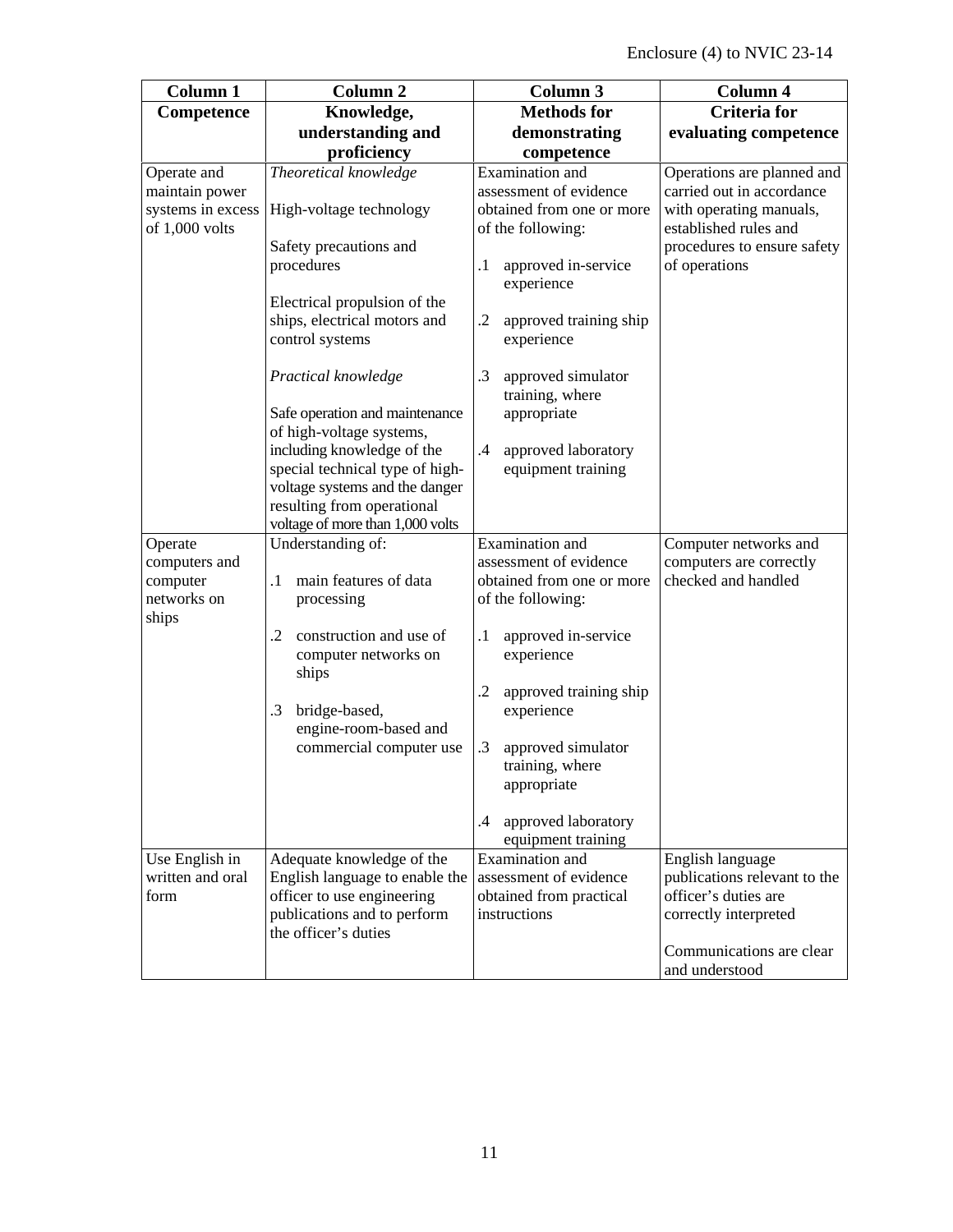| Column 1                                                             | Column <sub>2</sub>                                                                                                                                                                                                                                                                                                               | Column 3                                                                                                                                                                                                                                                                                                        | Column 4                                                                                                                                                    |
|----------------------------------------------------------------------|-----------------------------------------------------------------------------------------------------------------------------------------------------------------------------------------------------------------------------------------------------------------------------------------------------------------------------------|-----------------------------------------------------------------------------------------------------------------------------------------------------------------------------------------------------------------------------------------------------------------------------------------------------------------|-------------------------------------------------------------------------------------------------------------------------------------------------------------|
| Competence                                                           | Knowledge,                                                                                                                                                                                                                                                                                                                        | <b>Methods for</b>                                                                                                                                                                                                                                                                                              | <b>Criteria</b> for                                                                                                                                         |
|                                                                      | understanding and                                                                                                                                                                                                                                                                                                                 | demonstrating                                                                                                                                                                                                                                                                                                   | evaluating competence                                                                                                                                       |
|                                                                      | proficiency                                                                                                                                                                                                                                                                                                                       | competence                                                                                                                                                                                                                                                                                                      |                                                                                                                                                             |
| Operate and<br>maintain power<br>systems in excess<br>of 1,000 volts | Theoretical knowledge<br>High-voltage technology<br>Safety precautions and<br>procedures<br>Electrical propulsion of the<br>ships, electrical motors and<br>control systems<br>Practical knowledge<br>Safe operation and maintenance<br>of high-voltage systems,<br>including knowledge of the<br>special technical type of high- | Examination and<br>assessment of evidence<br>obtained from one or more<br>of the following:<br>$\cdot$<br>approved in-service<br>experience<br>.2<br>approved training ship<br>experience<br>.3<br>approved simulator<br>training, where<br>appropriate<br>$\cdot$<br>approved laboratory<br>equipment training | Operations are planned and<br>carried out in accordance<br>with operating manuals,<br>established rules and<br>procedures to ensure safety<br>of operations |
| Operate<br>computers and<br>computer<br>networks on<br>ships         | voltage systems and the danger<br>resulting from operational<br>voltage of more than 1,000 volts<br>Understanding of:<br>main features of data<br>$\cdot$<br>processing<br>construction and use of<br>$\cdot$<br>computer networks on<br>ships<br>bridge-based,<br>$\cdot$ 3<br>engine-room-based and<br>commercial computer use  | Examination and<br>assessment of evidence<br>obtained from one or more<br>of the following:<br>$\cdot$<br>approved in-service<br>experience<br>.2<br>approved training ship<br>experience<br>.3<br>approved simulator<br>training, where<br>appropriate<br>.4<br>approved laboratory<br>equipment training      | Computer networks and<br>computers are correctly<br>checked and handled                                                                                     |
| Use English in<br>written and oral<br>form                           | Adequate knowledge of the<br>English language to enable the<br>officer to use engineering<br>publications and to perform<br>the officer's duties                                                                                                                                                                                  | Examination and<br>assessment of evidence<br>obtained from practical<br>instructions                                                                                                                                                                                                                            | English language<br>publications relevant to the<br>officer's duties are<br>correctly interpreted<br>Communications are clear<br>and understood             |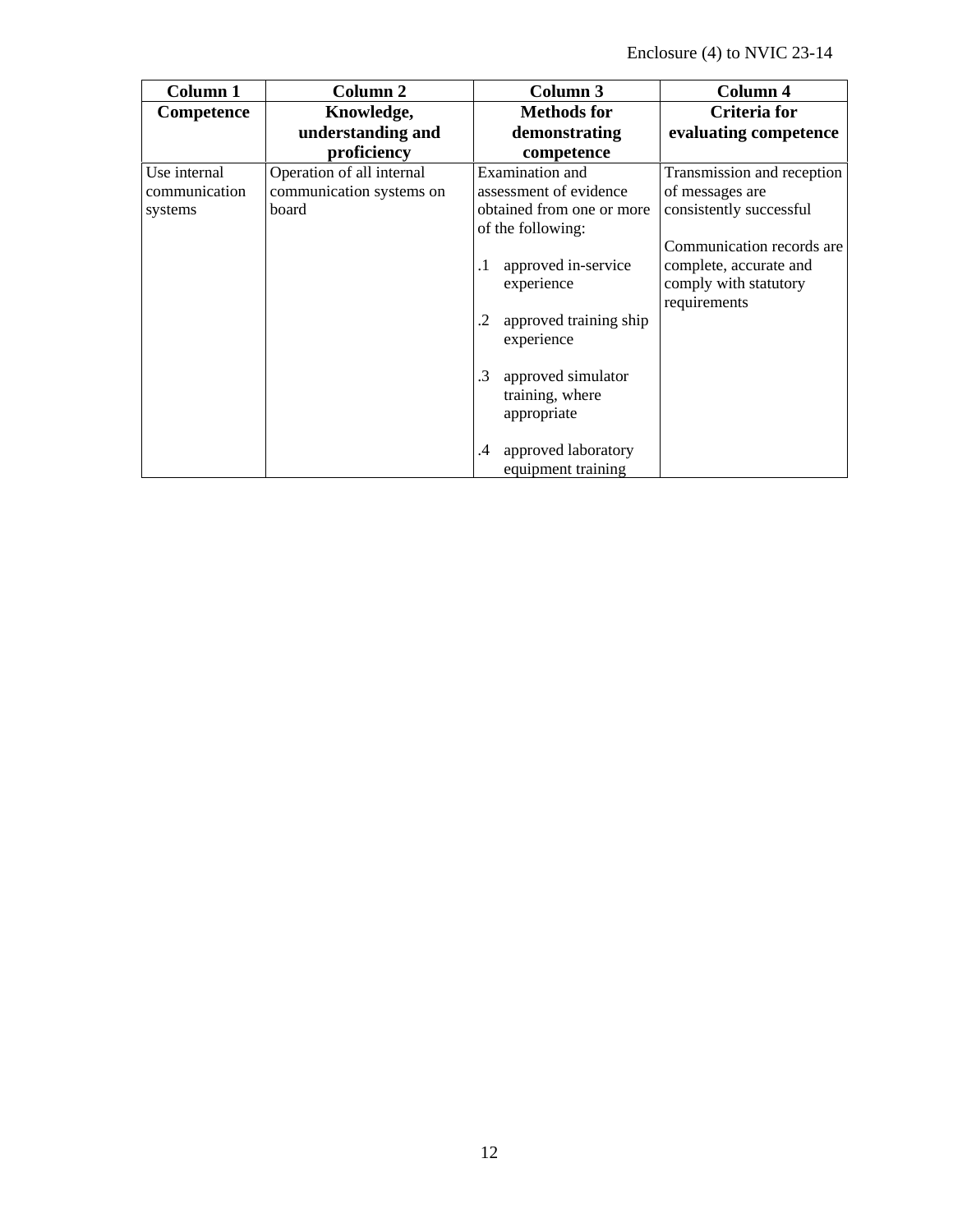| Column 1      | Column 2                  | Column <sub>3</sub>              | Column 4                   |
|---------------|---------------------------|----------------------------------|----------------------------|
| Competence    | Knowledge,                | <b>Methods</b> for               | <b>Criteria</b> for        |
|               | understanding and         | demonstrating                    | evaluating competence      |
|               | proficiency               | competence                       |                            |
| Use internal  | Operation of all internal | Examination and                  | Transmission and reception |
| communication | communication systems on  | assessment of evidence           | of messages are            |
| systems       | board                     | obtained from one or more        | consistently successful    |
|               |                           | of the following:                |                            |
|               |                           |                                  | Communication records are  |
|               |                           | approved in-service<br>$\cdot$ 1 | complete, accurate and     |
|               |                           | experience                       | comply with statutory      |
|               |                           |                                  | requirements               |
|               |                           | approved training ship<br>.2     |                            |
|               |                           | experience                       |                            |
|               |                           |                                  |                            |
|               |                           | approved simulator<br>.3         |                            |
|               |                           | training, where                  |                            |
|               |                           | appropriate                      |                            |
|               |                           |                                  |                            |
|               |                           | approved laboratory<br>.4        |                            |
|               |                           | equipment training               |                            |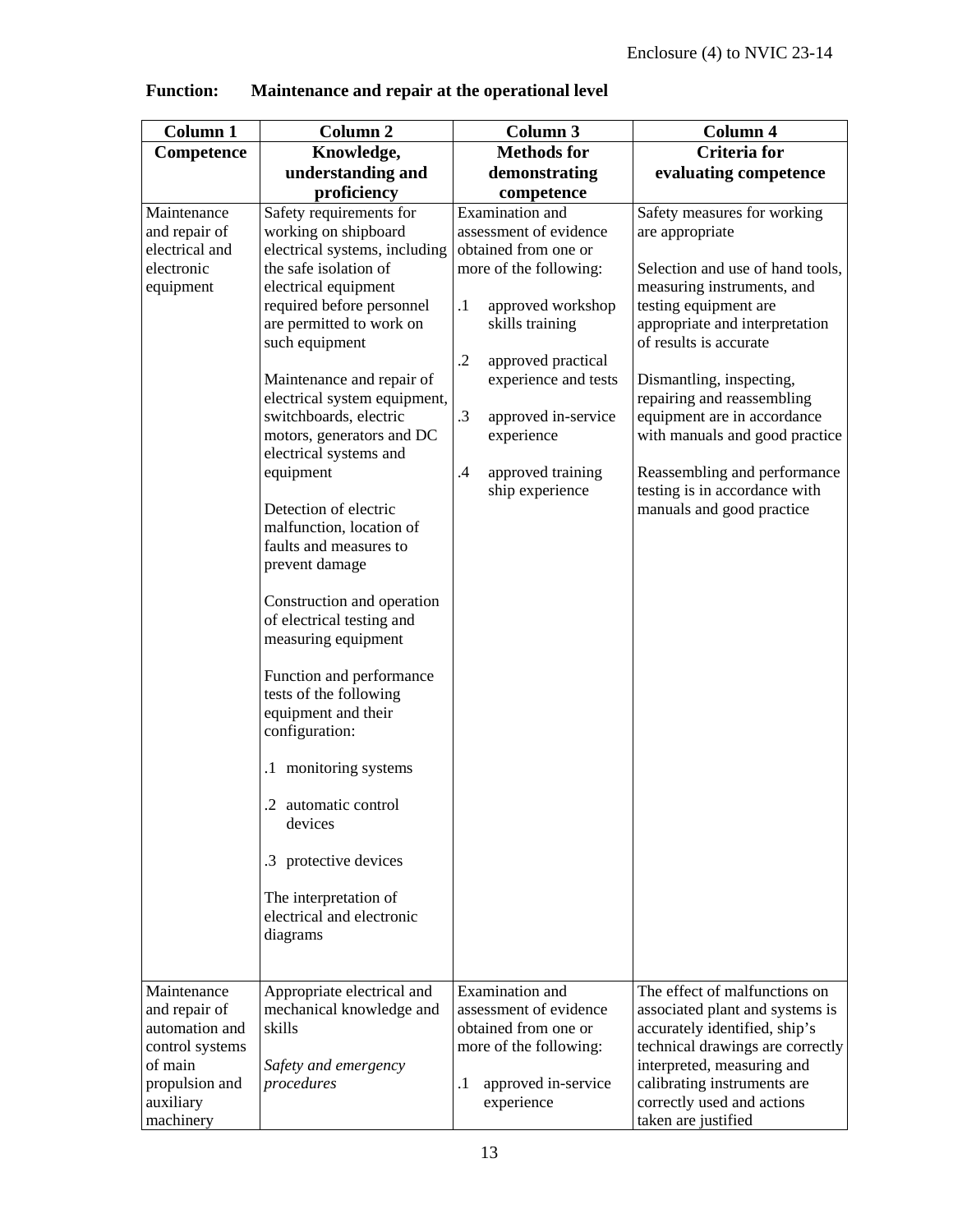| <b>Column 1</b> | <b>Column 2</b>                                    | Column 3                       | <b>Column 4</b>                  |
|-----------------|----------------------------------------------------|--------------------------------|----------------------------------|
| Competence      | Knowledge,                                         | <b>Methods for</b>             | <b>Criteria</b> for              |
|                 | understanding and                                  | demonstrating                  | evaluating competence            |
|                 | proficiency                                        | competence                     |                                  |
| Maintenance     | Safety requirements for                            | Examination and                | Safety measures for working      |
| and repair of   | working on shipboard                               | assessment of evidence         | are appropriate                  |
| electrical and  | electrical systems, including                      | obtained from one or           |                                  |
| electronic      | the safe isolation of                              | more of the following:         | Selection and use of hand tools, |
| equipment       | electrical equipment                               |                                | measuring instruments, and       |
|                 | required before personnel                          | $\cdot$<br>approved workshop   | testing equipment are            |
|                 | are permitted to work on                           | skills training                | appropriate and interpretation   |
|                 | such equipment                                     |                                | of results is accurate           |
|                 |                                                    | $\cdot$<br>approved practical  |                                  |
|                 | Maintenance and repair of                          | experience and tests           | Dismantling, inspecting,         |
|                 | electrical system equipment,                       |                                | repairing and reassembling       |
|                 | switchboards, electric                             | .3<br>approved in-service      | equipment are in accordance      |
|                 | motors, generators and DC                          | experience                     | with manuals and good practice   |
|                 | electrical systems and                             |                                |                                  |
|                 | equipment                                          | $\cdot$<br>approved training   | Reassembling and performance     |
|                 |                                                    | ship experience                | testing is in accordance with    |
|                 | Detection of electric                              |                                | manuals and good practice        |
|                 | malfunction, location of<br>faults and measures to |                                |                                  |
|                 | prevent damage                                     |                                |                                  |
|                 |                                                    |                                |                                  |
|                 | Construction and operation                         |                                |                                  |
|                 | of electrical testing and                          |                                |                                  |
|                 | measuring equipment                                |                                |                                  |
|                 |                                                    |                                |                                  |
|                 | Function and performance                           |                                |                                  |
|                 | tests of the following                             |                                |                                  |
|                 | equipment and their                                |                                |                                  |
|                 | configuration:                                     |                                |                                  |
|                 | .1 monitoring systems                              |                                |                                  |
|                 |                                                    |                                |                                  |
|                 | .2 automatic control                               |                                |                                  |
|                 | devices                                            |                                |                                  |
|                 |                                                    |                                |                                  |
|                 | .3 protective devices                              |                                |                                  |
|                 |                                                    |                                |                                  |
|                 | The interpretation of                              |                                |                                  |
|                 | electrical and electronic                          |                                |                                  |
|                 | diagrams                                           |                                |                                  |
|                 |                                                    |                                |                                  |
| Maintenance     | Appropriate electrical and                         | Examination and                | The effect of malfunctions on    |
| and repair of   | mechanical knowledge and                           | assessment of evidence         | associated plant and systems is  |
| automation and  | skills                                             | obtained from one or           | accurately identified, ship's    |
| control systems |                                                    | more of the following:         | technical drawings are correctly |
| of main         | Safety and emergency                               |                                | interpreted, measuring and       |
| propulsion and  | procedures                                         | $\cdot$<br>approved in-service | calibrating instruments are      |
| auxiliary       |                                                    | experience                     | correctly used and actions       |
| machinery       |                                                    |                                | taken are justified              |

**Function: Maintenance and repair at the operational level**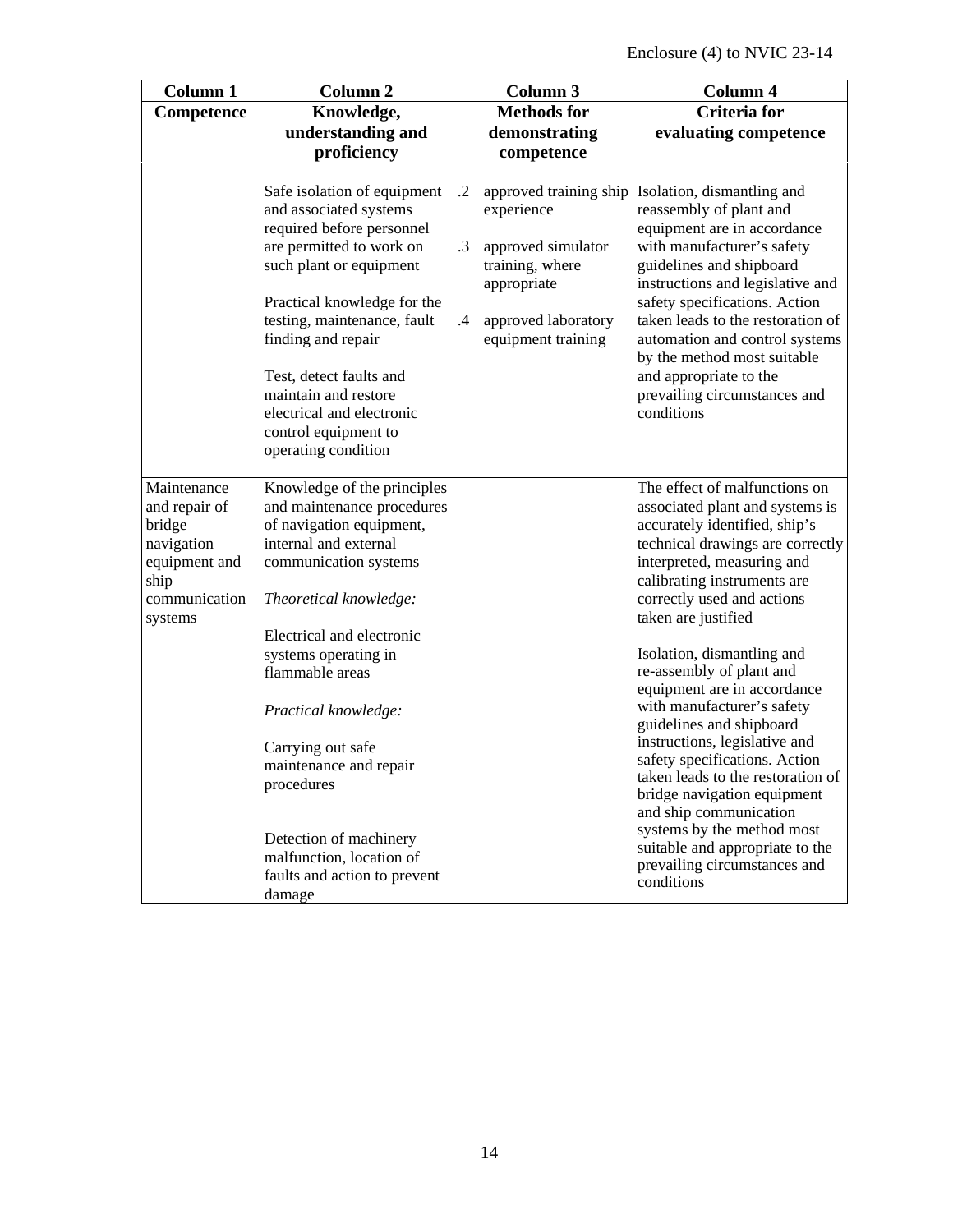| <b>Column 1</b>                                                                                           | <b>Column 2</b>                                                                                                                                                                                                                                                                                                                                                                                                                |                         | Column 3                                                                                                                                  | <b>Column 4</b>                                                                                                                                                                                                                                                                                                                                                                                                                                                                                                                                                                                                                                                                           |
|-----------------------------------------------------------------------------------------------------------|--------------------------------------------------------------------------------------------------------------------------------------------------------------------------------------------------------------------------------------------------------------------------------------------------------------------------------------------------------------------------------------------------------------------------------|-------------------------|-------------------------------------------------------------------------------------------------------------------------------------------|-------------------------------------------------------------------------------------------------------------------------------------------------------------------------------------------------------------------------------------------------------------------------------------------------------------------------------------------------------------------------------------------------------------------------------------------------------------------------------------------------------------------------------------------------------------------------------------------------------------------------------------------------------------------------------------------|
| Competence                                                                                                | Knowledge,                                                                                                                                                                                                                                                                                                                                                                                                                     |                         | <b>Methods</b> for                                                                                                                        | <b>Criteria</b> for                                                                                                                                                                                                                                                                                                                                                                                                                                                                                                                                                                                                                                                                       |
|                                                                                                           | understanding and                                                                                                                                                                                                                                                                                                                                                                                                              |                         | demonstrating                                                                                                                             | evaluating competence                                                                                                                                                                                                                                                                                                                                                                                                                                                                                                                                                                                                                                                                     |
|                                                                                                           | proficiency                                                                                                                                                                                                                                                                                                                                                                                                                    |                         | competence                                                                                                                                |                                                                                                                                                                                                                                                                                                                                                                                                                                                                                                                                                                                                                                                                                           |
|                                                                                                           | Safe isolation of equipment<br>and associated systems<br>required before personnel<br>are permitted to work on<br>such plant or equipment<br>Practical knowledge for the<br>testing, maintenance, fault<br>finding and repair<br>Test, detect faults and<br>maintain and restore<br>electrical and electronic<br>control equipment to<br>operating condition                                                                   | $\cdot$<br>.3<br>$.4\,$ | approved training ship<br>experience<br>approved simulator<br>training, where<br>appropriate<br>approved laboratory<br>equipment training | Isolation, dismantling and<br>reassembly of plant and<br>equipment are in accordance<br>with manufacturer's safety<br>guidelines and shipboard<br>instructions and legislative and<br>safety specifications. Action<br>taken leads to the restoration of<br>automation and control systems<br>by the method most suitable<br>and appropriate to the<br>prevailing circumstances and<br>conditions                                                                                                                                                                                                                                                                                         |
| Maintenance<br>and repair of<br>bridge<br>navigation<br>equipment and<br>ship<br>communication<br>systems | Knowledge of the principles<br>and maintenance procedures<br>of navigation equipment,<br>internal and external<br>communication systems<br>Theoretical knowledge:<br>Electrical and electronic<br>systems operating in<br>flammable areas<br>Practical knowledge:<br>Carrying out safe<br>maintenance and repair<br>procedures<br>Detection of machinery<br>malfunction, location of<br>faults and action to prevent<br>damage |                         |                                                                                                                                           | The effect of malfunctions on<br>associated plant and systems is<br>accurately identified, ship's<br>technical drawings are correctly<br>interpreted, measuring and<br>calibrating instruments are<br>correctly used and actions<br>taken are justified<br>Isolation, dismantling and<br>re-assembly of plant and<br>equipment are in accordance<br>with manufacturer's safety<br>guidelines and shipboard<br>instructions, legislative and<br>safety specifications. Action<br>taken leads to the restoration of<br>bridge navigation equipment<br>and ship communication<br>systems by the method most<br>suitable and appropriate to the<br>prevailing circumstances and<br>conditions |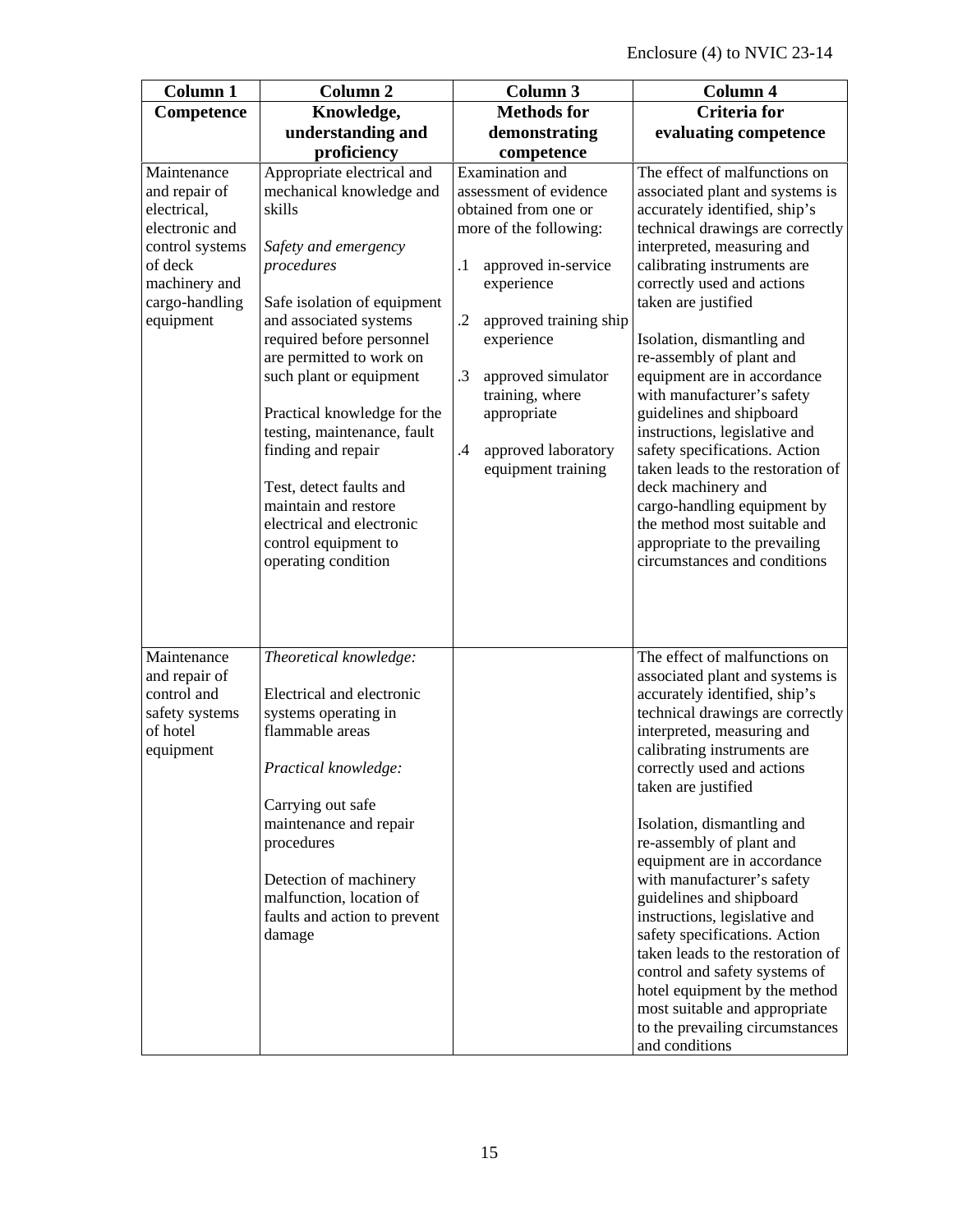| <b>Column 1</b>                                                                                                                             | <b>Column 2</b>                                                                                                                                                                                                                                                                                                                                                                                                                                                        | <b>Column 3</b>                                                                                                                                                                                                                                                                                                             | <b>Column 4</b>                                                                                                                                                                                                                                                                                                                                                                                                                                                                                                                                                                                                                                                           |
|---------------------------------------------------------------------------------------------------------------------------------------------|------------------------------------------------------------------------------------------------------------------------------------------------------------------------------------------------------------------------------------------------------------------------------------------------------------------------------------------------------------------------------------------------------------------------------------------------------------------------|-----------------------------------------------------------------------------------------------------------------------------------------------------------------------------------------------------------------------------------------------------------------------------------------------------------------------------|---------------------------------------------------------------------------------------------------------------------------------------------------------------------------------------------------------------------------------------------------------------------------------------------------------------------------------------------------------------------------------------------------------------------------------------------------------------------------------------------------------------------------------------------------------------------------------------------------------------------------------------------------------------------------|
| Competence                                                                                                                                  | Knowledge,                                                                                                                                                                                                                                                                                                                                                                                                                                                             | <b>Methods for</b>                                                                                                                                                                                                                                                                                                          | <b>Criteria</b> for                                                                                                                                                                                                                                                                                                                                                                                                                                                                                                                                                                                                                                                       |
|                                                                                                                                             | understanding and                                                                                                                                                                                                                                                                                                                                                                                                                                                      | demonstrating                                                                                                                                                                                                                                                                                                               | evaluating competence                                                                                                                                                                                                                                                                                                                                                                                                                                                                                                                                                                                                                                                     |
|                                                                                                                                             | proficiency                                                                                                                                                                                                                                                                                                                                                                                                                                                            | competence                                                                                                                                                                                                                                                                                                                  |                                                                                                                                                                                                                                                                                                                                                                                                                                                                                                                                                                                                                                                                           |
| Maintenance<br>and repair of<br>electrical,<br>electronic and<br>control systems<br>of deck<br>machinery and<br>cargo-handling<br>equipment | Appropriate electrical and<br>mechanical knowledge and<br>skills<br>Safety and emergency<br>procedures<br>Safe isolation of equipment<br>and associated systems<br>required before personnel<br>are permitted to work on<br>such plant or equipment<br>Practical knowledge for the<br>testing, maintenance, fault<br>finding and repair<br>Test, detect faults and<br>maintain and restore<br>electrical and electronic<br>control equipment to<br>operating condition | Examination and<br>assessment of evidence<br>obtained from one or<br>more of the following:<br>approved in-service<br>$\cdot$<br>experience<br>$\cdot$<br>approved training ship<br>experience<br>$\cdot$ 3<br>approved simulator<br>training, where<br>appropriate<br>$\cdot$<br>approved laboratory<br>equipment training | The effect of malfunctions on<br>associated plant and systems is<br>accurately identified, ship's<br>technical drawings are correctly<br>interpreted, measuring and<br>calibrating instruments are<br>correctly used and actions<br>taken are justified<br>Isolation, dismantling and<br>re-assembly of plant and<br>equipment are in accordance<br>with manufacturer's safety<br>guidelines and shipboard<br>instructions, legislative and<br>safety specifications. Action<br>taken leads to the restoration of<br>deck machinery and<br>cargo-handling equipment by<br>the method most suitable and<br>appropriate to the prevailing<br>circumstances and conditions   |
| Maintenance<br>and repair of<br>control and<br>safety systems<br>of hotel<br>equipment                                                      | Theoretical knowledge:<br>Electrical and electronic<br>systems operating in<br>flammable areas<br>Practical knowledge:<br>Carrying out safe<br>maintenance and repair<br>procedures<br>Detection of machinery<br>malfunction, location of<br>faults and action to prevent<br>damage                                                                                                                                                                                    |                                                                                                                                                                                                                                                                                                                             | The effect of malfunctions on<br>associated plant and systems is<br>accurately identified, ship's<br>technical drawings are correctly<br>interpreted, measuring and<br>calibrating instruments are<br>correctly used and actions<br>taken are justified<br>Isolation, dismantling and<br>re-assembly of plant and<br>equipment are in accordance<br>with manufacturer's safety<br>guidelines and shipboard<br>instructions, legislative and<br>safety specifications. Action<br>taken leads to the restoration of<br>control and safety systems of<br>hotel equipment by the method<br>most suitable and appropriate<br>to the prevailing circumstances<br>and conditions |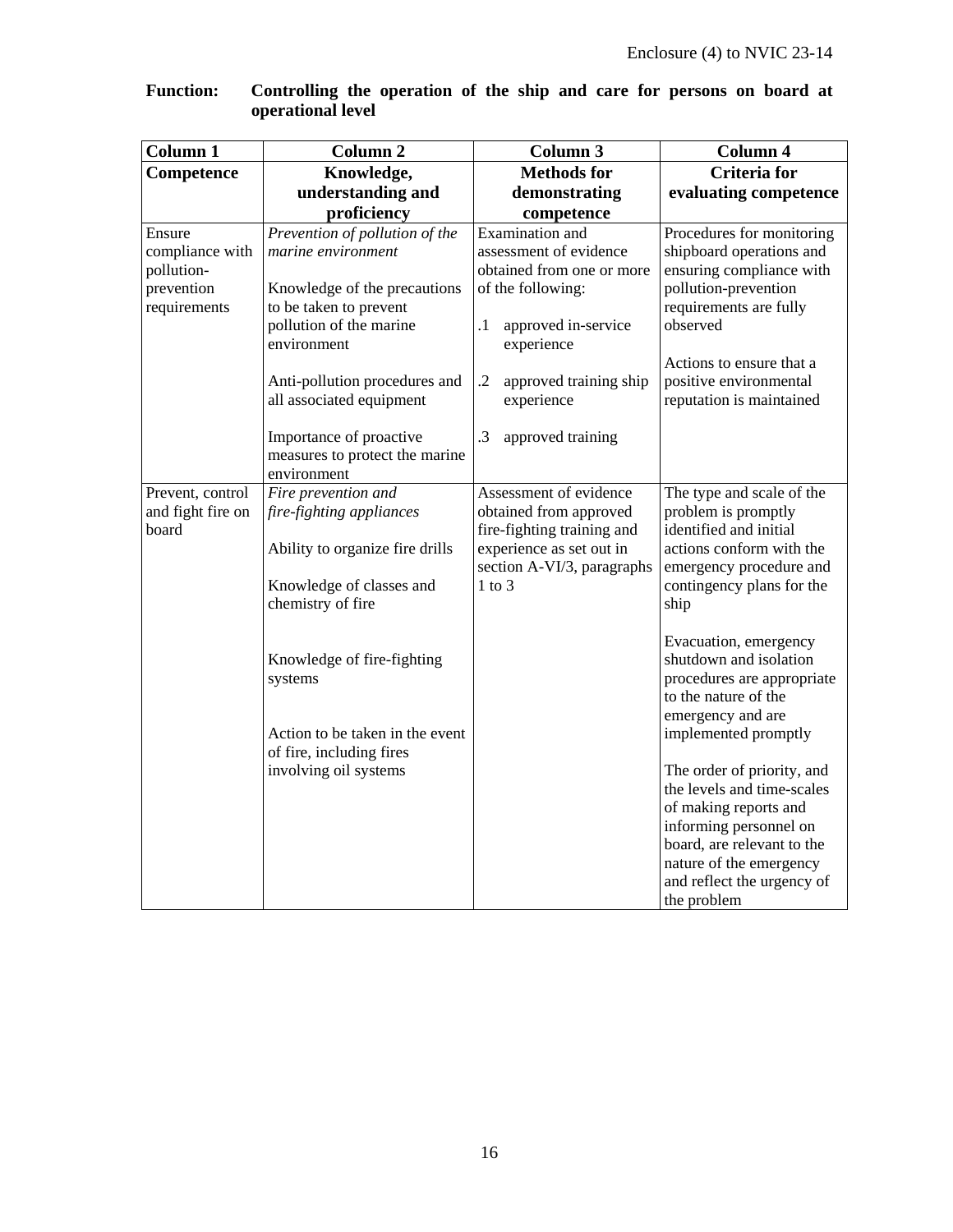| <b>Column 1</b>                                                       | Column <sub>2</sub>                                                                                                                                                                                                                                                                | Column 3                                                                                                                                                                                                                    | Column 4                                                                                                                                                                                                                          |
|-----------------------------------------------------------------------|------------------------------------------------------------------------------------------------------------------------------------------------------------------------------------------------------------------------------------------------------------------------------------|-----------------------------------------------------------------------------------------------------------------------------------------------------------------------------------------------------------------------------|-----------------------------------------------------------------------------------------------------------------------------------------------------------------------------------------------------------------------------------|
| Competence                                                            | Knowledge,                                                                                                                                                                                                                                                                         | <b>Methods for</b>                                                                                                                                                                                                          | <b>Criteria</b> for                                                                                                                                                                                                               |
|                                                                       | understanding and                                                                                                                                                                                                                                                                  | demonstrating                                                                                                                                                                                                               | evaluating competence                                                                                                                                                                                                             |
|                                                                       | proficiency                                                                                                                                                                                                                                                                        | competence                                                                                                                                                                                                                  |                                                                                                                                                                                                                                   |
| Ensure<br>compliance with<br>pollution-<br>prevention<br>requirements | Prevention of pollution of the<br>marine environment<br>Knowledge of the precautions<br>to be taken to prevent<br>pollution of the marine<br>environment<br>Anti-pollution procedures and<br>all associated equipment<br>Importance of proactive<br>measures to protect the marine | Examination and<br>assessment of evidence<br>obtained from one or more<br>of the following:<br>$\cdot$ 1<br>approved in-service<br>experience<br>$\cdot$<br>approved training ship<br>experience<br>.3<br>approved training | Procedures for monitoring<br>shipboard operations and<br>ensuring compliance with<br>pollution-prevention<br>requirements are fully<br>observed<br>Actions to ensure that a<br>positive environmental<br>reputation is maintained |
|                                                                       | environment                                                                                                                                                                                                                                                                        |                                                                                                                                                                                                                             |                                                                                                                                                                                                                                   |
| Prevent, control<br>and fight fire on<br>board                        | Fire prevention and<br>fire-fighting appliances<br>Ability to organize fire drills<br>Knowledge of classes and<br>chemistry of fire                                                                                                                                                | Assessment of evidence<br>obtained from approved<br>fire-fighting training and<br>experience as set out in<br>section A-VI/3, paragraphs<br>$1$ to $3$                                                                      | The type and scale of the<br>problem is promptly<br>identified and initial<br>actions conform with the<br>emergency procedure and<br>contingency plans for the<br>ship                                                            |
|                                                                       | Knowledge of fire-fighting<br>systems<br>Action to be taken in the event<br>of fire, including fires                                                                                                                                                                               |                                                                                                                                                                                                                             | Evacuation, emergency<br>shutdown and isolation<br>procedures are appropriate<br>to the nature of the<br>emergency and are<br>implemented promptly                                                                                |
|                                                                       | involving oil systems                                                                                                                                                                                                                                                              |                                                                                                                                                                                                                             | The order of priority, and<br>the levels and time-scales<br>of making reports and<br>informing personnel on<br>board, are relevant to the<br>nature of the emergency<br>and reflect the urgency of<br>the problem                 |

#### **Function: Controlling the operation of the ship and care for persons on board at operational level**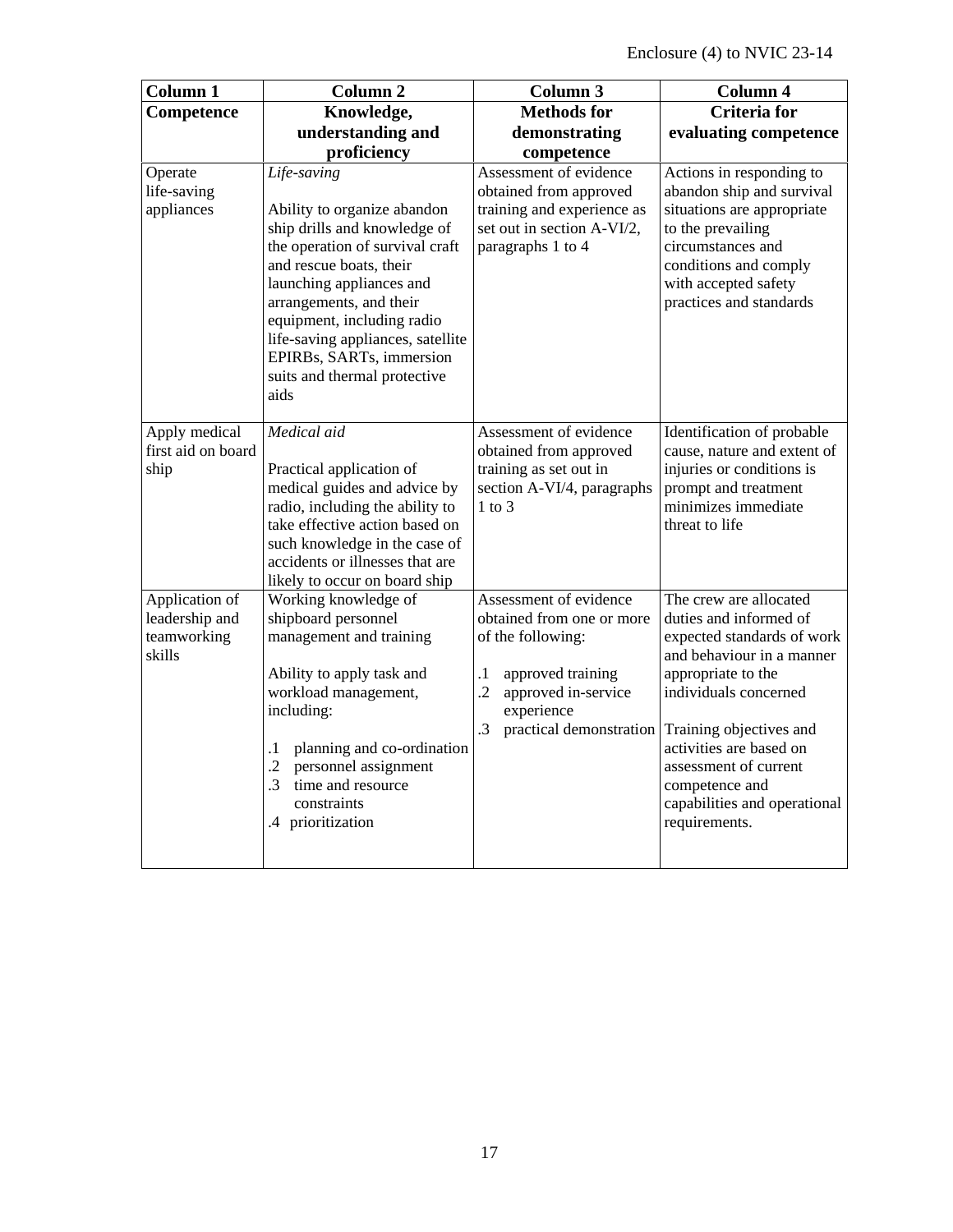| <b>Column 1</b>                                           | Column <sub>2</sub>                                                                                                                                                                                                                                                                                                                    | Column 3                                                                                                                                                                                  | Column 4                                                                                                                                                                                                                                                                                                     |
|-----------------------------------------------------------|----------------------------------------------------------------------------------------------------------------------------------------------------------------------------------------------------------------------------------------------------------------------------------------------------------------------------------------|-------------------------------------------------------------------------------------------------------------------------------------------------------------------------------------------|--------------------------------------------------------------------------------------------------------------------------------------------------------------------------------------------------------------------------------------------------------------------------------------------------------------|
| Competence                                                | Knowledge,                                                                                                                                                                                                                                                                                                                             | <b>Methods</b> for                                                                                                                                                                        | <b>Criteria</b> for                                                                                                                                                                                                                                                                                          |
|                                                           | understanding and                                                                                                                                                                                                                                                                                                                      | demonstrating                                                                                                                                                                             | evaluating competence                                                                                                                                                                                                                                                                                        |
|                                                           | proficiency                                                                                                                                                                                                                                                                                                                            | competence                                                                                                                                                                                |                                                                                                                                                                                                                                                                                                              |
| Operate<br>life-saving<br>appliances                      | Life-saving<br>Ability to organize abandon<br>ship drills and knowledge of<br>the operation of survival craft<br>and rescue boats, their<br>launching appliances and<br>arrangements, and their<br>equipment, including radio<br>life-saving appliances, satellite<br>EPIRBs, SARTs, immersion<br>suits and thermal protective<br>aids | Assessment of evidence<br>obtained from approved<br>training and experience as<br>set out in section A-VI/2,<br>paragraphs 1 to 4                                                         | Actions in responding to<br>abandon ship and survival<br>situations are appropriate<br>to the prevailing<br>circumstances and<br>conditions and comply<br>with accepted safety<br>practices and standards                                                                                                    |
| Apply medical<br>first aid on board<br>ship               | Medical aid<br>Practical application of<br>medical guides and advice by<br>radio, including the ability to<br>take effective action based on<br>such knowledge in the case of<br>accidents or illnesses that are<br>likely to occur on board ship                                                                                      | Assessment of evidence<br>obtained from approved<br>training as set out in<br>section A-VI/4, paragraphs<br>$1$ to $3$                                                                    | Identification of probable<br>cause, nature and extent of<br>injuries or conditions is<br>prompt and treatment<br>minimizes immediate<br>threat to life                                                                                                                                                      |
| Application of<br>leadership and<br>teamworking<br>skills | Working knowledge of<br>shipboard personnel<br>management and training<br>Ability to apply task and<br>workload management,<br>including:<br>planning and co-ordination<br>$\cdot^1$<br>$\cdot$<br>personnel assignment<br>$\cdot$ 3<br>time and resource<br>constraints<br>.4 prioritization                                          | Assessment of evidence<br>obtained from one or more<br>of the following:<br>$\cdot$<br>approved training<br>$\cdot$<br>approved in-service<br>experience<br>practical demonstration<br>.3 | The crew are allocated<br>duties and informed of<br>expected standards of work<br>and behaviour in a manner<br>appropriate to the<br>individuals concerned<br>Training objectives and<br>activities are based on<br>assessment of current<br>competence and<br>capabilities and operational<br>requirements. |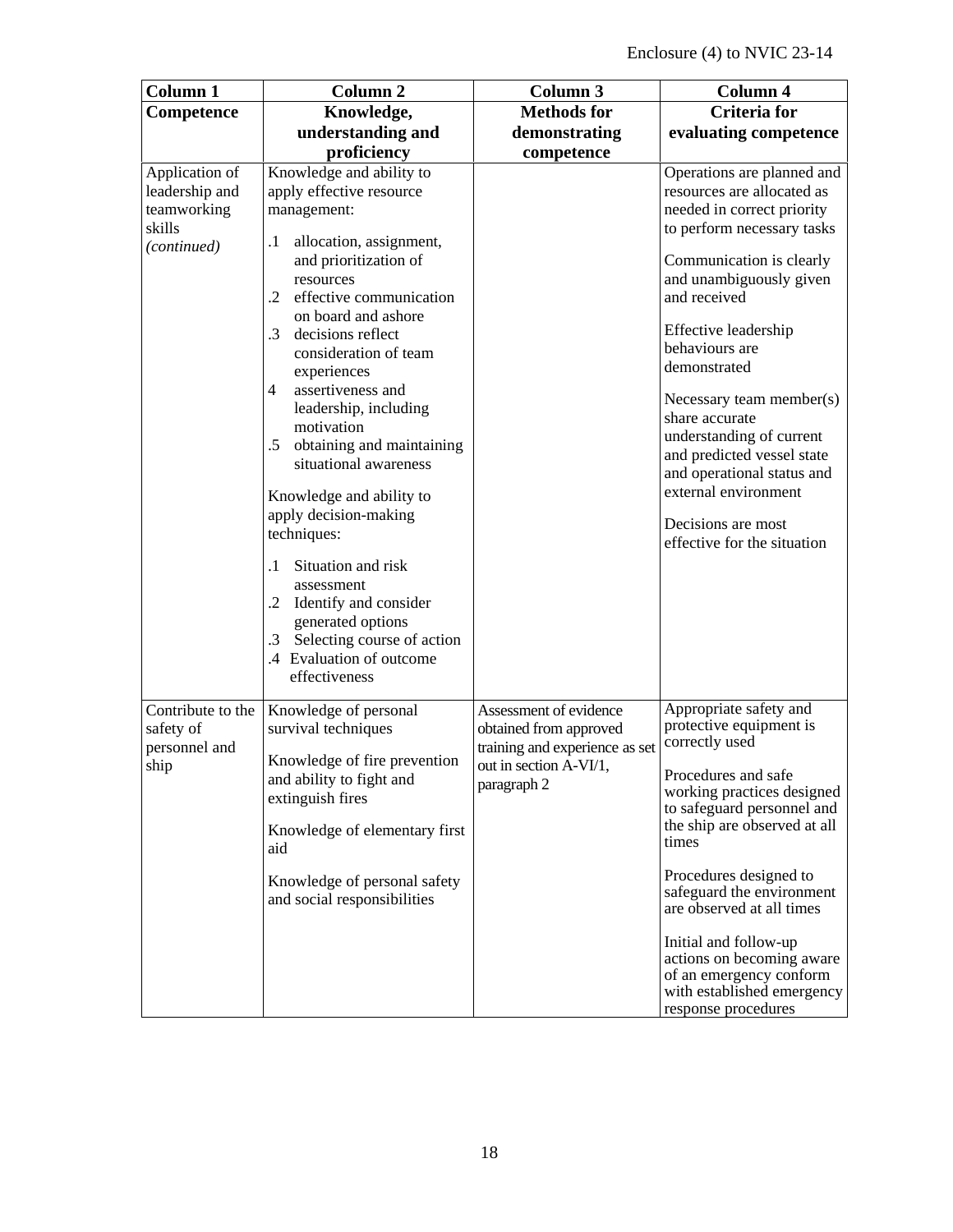| Column <sub>1</sub>                                                      | Column <sub>2</sub>                                                                                                                                                                                                                                                                                                                                                                                                                                                                                                                                                                                                                                                                          | <b>Column 3</b>                                                                                                             | Column 4                                                                                                                                                                                                                                                                                                                                                                                                                                                                 |
|--------------------------------------------------------------------------|----------------------------------------------------------------------------------------------------------------------------------------------------------------------------------------------------------------------------------------------------------------------------------------------------------------------------------------------------------------------------------------------------------------------------------------------------------------------------------------------------------------------------------------------------------------------------------------------------------------------------------------------------------------------------------------------|-----------------------------------------------------------------------------------------------------------------------------|--------------------------------------------------------------------------------------------------------------------------------------------------------------------------------------------------------------------------------------------------------------------------------------------------------------------------------------------------------------------------------------------------------------------------------------------------------------------------|
| Competence                                                               | Knowledge,                                                                                                                                                                                                                                                                                                                                                                                                                                                                                                                                                                                                                                                                                   | <b>Methods</b> for                                                                                                          | <b>Criteria</b> for                                                                                                                                                                                                                                                                                                                                                                                                                                                      |
|                                                                          | understanding and                                                                                                                                                                                                                                                                                                                                                                                                                                                                                                                                                                                                                                                                            | demonstrating                                                                                                               | evaluating competence                                                                                                                                                                                                                                                                                                                                                                                                                                                    |
|                                                                          | proficiency                                                                                                                                                                                                                                                                                                                                                                                                                                                                                                                                                                                                                                                                                  | competence                                                                                                                  |                                                                                                                                                                                                                                                                                                                                                                                                                                                                          |
| Application of<br>leadership and<br>teamworking<br>skills<br>(continued) | Knowledge and ability to<br>apply effective resource<br>management:<br>allocation, assignment,<br>.1<br>and prioritization of<br>resources<br>effective communication<br>$\cdot$ .2<br>on board and ashore<br>$\cdot$ 3<br>decisions reflect<br>consideration of team<br>experiences<br>$\overline{4}$<br>assertiveness and<br>leadership, including<br>motivation<br>obtaining and maintaining<br>.5<br>situational awareness<br>Knowledge and ability to<br>apply decision-making<br>techniques:<br>Situation and risk<br>$\cdot$ 1<br>assessment<br>.2 Identify and consider<br>generated options<br>Selecting course of action<br>$\cdot$ 3<br>.4 Evaluation of outcome<br>effectiveness |                                                                                                                             | Operations are planned and<br>resources are allocated as<br>needed in correct priority<br>to perform necessary tasks<br>Communication is clearly<br>and unambiguously given<br>and received<br>Effective leadership<br>behaviours are<br>demonstrated<br>Necessary team member(s)<br>share accurate<br>understanding of current<br>and predicted vessel state<br>and operational status and<br>external environment<br>Decisions are most<br>effective for the situation |
| Contribute to the<br>safety of<br>personnel and<br>ship                  | Knowledge of personal<br>survival techniques<br>Knowledge of fire prevention<br>and ability to fight and<br>extinguish fires<br>Knowledge of elementary first<br>aid<br>Knowledge of personal safety<br>and social responsibilities                                                                                                                                                                                                                                                                                                                                                                                                                                                          | Assessment of evidence<br>obtained from approved<br>training and experience as set<br>out in section A-VI/1,<br>paragraph 2 | Appropriate safety and<br>protective equipment is<br>correctly used<br>Procedures and safe<br>working practices designed<br>to safeguard personnel and<br>the ship are observed at all<br>times<br>Procedures designed to<br>safeguard the environment<br>are observed at all times<br>Initial and follow-up<br>actions on becoming aware<br>of an emergency conform<br>with established emergency<br>response procedures                                                |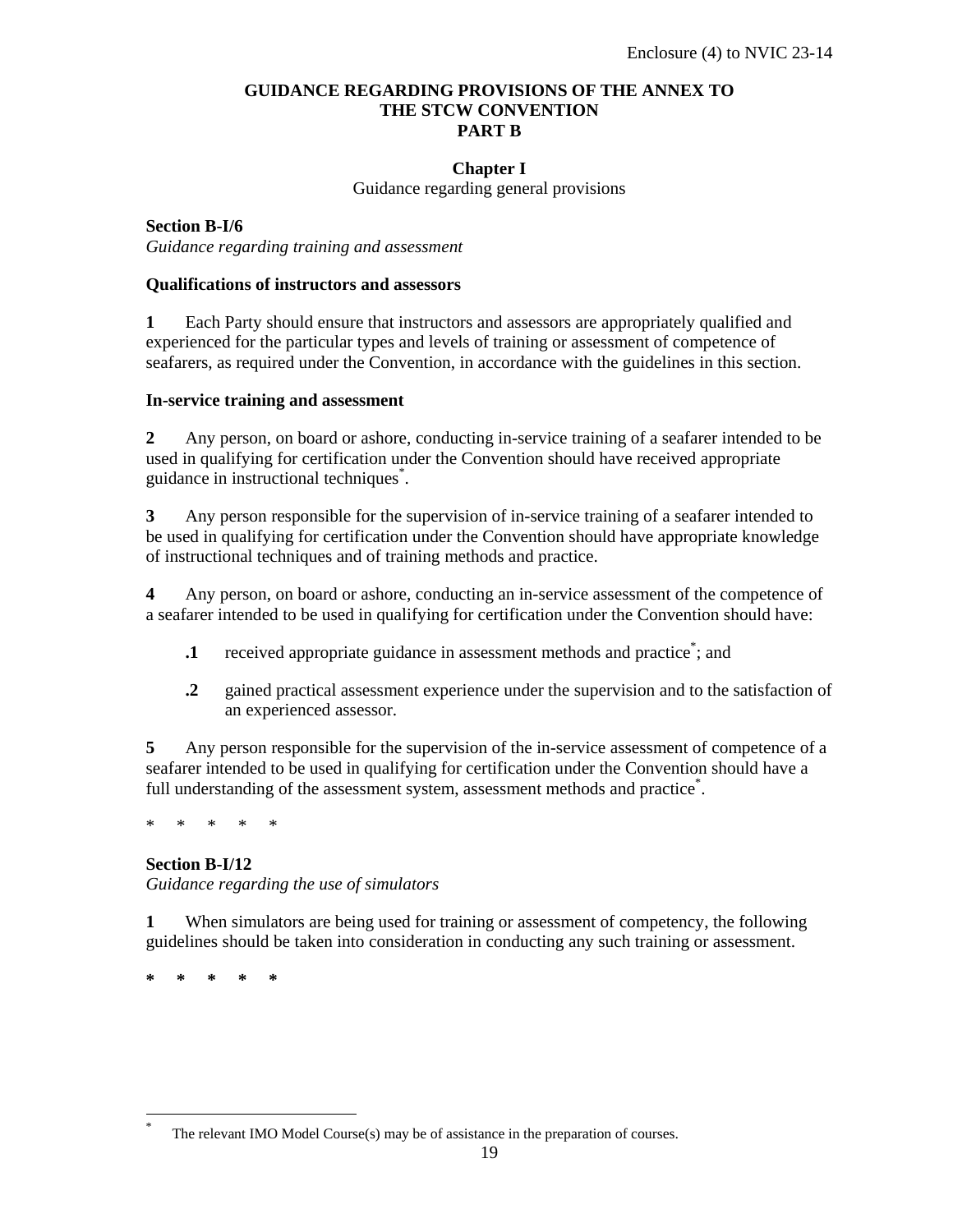#### **GUIDANCE REGARDING PROVISIONS OF THE ANNEX TO THE STCW CONVENTION PART B**

#### **Chapter I**

Guidance regarding general provisions

**Section B-I/6** *Guidance regarding training and assessment* 

#### **Qualifications of instructors and assessors**

**1** Each Party should ensure that instructors and assessors are appropriately qualified and experienced for the particular types and levels of training or assessment of competence of seafarers, as required under the Convention, in accordance with the guidelines in this section.

#### **In-service training and assessment**

**2** Any person, on board or ashore, conducting in-service training of a seafarer intended to be used in qualifying for certification under the Convention should have received appropriate guidance in instructional techniques\* .

**3** Any person responsible for the supervision of in-service training of a seafarer intended to be used in qualifying for certification under the Convention should have appropriate knowledge of instructional techniques and of training methods and practice.

**4** Any person, on board or ashore, conducting an in-service assessment of the competence of a seafarer intended to be used in qualifying for certification under the Convention should have:

- **1** received appropriate guidance in assessment methods and practice<sup>\*</sup>; and
- **.2** gained practical assessment experience under the supervision and to the satisfaction of an experienced assessor.

**5** Any person responsible for the supervision of the in-service assessment of competence of a seafarer intended to be used in qualifying for certification under the Convention should have a full understanding of the assessment system, assessment methods and practice<sup>\*</sup>.

\* \* \* \* \*

#### **Section B-I/12**

*Guidance regarding the use of simulators* 

**1** When simulators are being used for training or assessment of competency, the following guidelines should be taken into consideration in conducting any such training or assessment.

**\* \* \* \* \*** 

-

<sup>\*</sup> The relevant IMO Model Course(s) may be of assistance in the preparation of courses.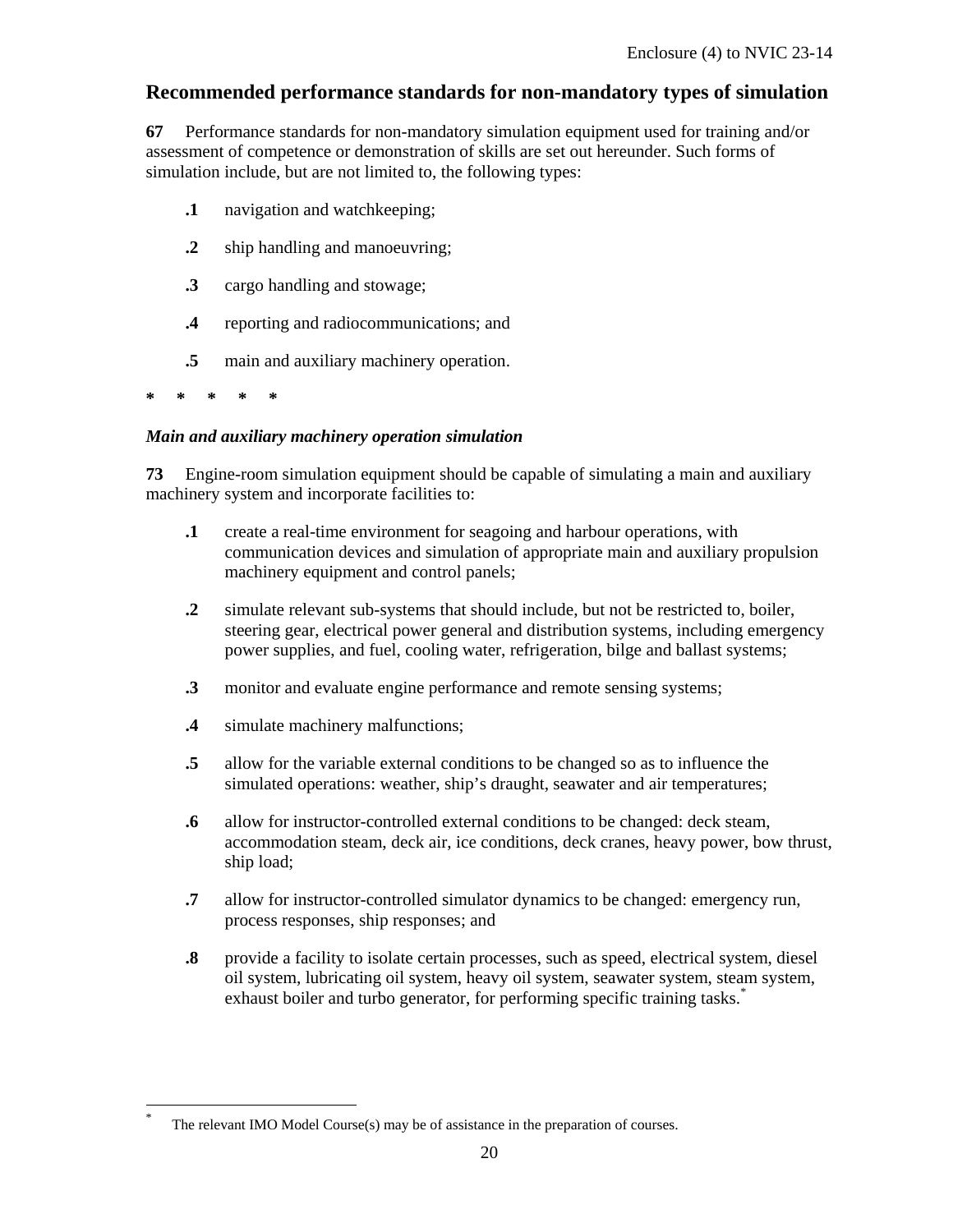### **Recommended performance standards for non-mandatory types of simulation**

**67** Performance standards for non-mandatory simulation equipment used for training and/or assessment of competence or demonstration of skills are set out hereunder. Such forms of simulation include, but are not limited to, the following types:

- **.1** navigation and watchkeeping;
- **.2** ship handling and manoeuvring;
- **.3** cargo handling and stowage;
- **.4** reporting and radiocommunications; and
- **.5** main and auxiliary machinery operation.

**\* \* \* \* \*** 

-

#### *Main and auxiliary machinery operation simulation*

**73** Engine-room simulation equipment should be capable of simulating a main and auxiliary machinery system and incorporate facilities to:

- **.1** create a real-time environment for seagoing and harbour operations, with communication devices and simulation of appropriate main and auxiliary propulsion machinery equipment and control panels;
- **.2** simulate relevant sub-systems that should include, but not be restricted to, boiler, steering gear, electrical power general and distribution systems, including emergency power supplies, and fuel, cooling water, refrigeration, bilge and ballast systems;
- **.3** monitor and evaluate engine performance and remote sensing systems;
- **.4** simulate machinery malfunctions;
- **.5** allow for the variable external conditions to be changed so as to influence the simulated operations: weather, ship's draught, seawater and air temperatures;
- **.6** allow for instructor-controlled external conditions to be changed: deck steam, accommodation steam, deck air, ice conditions, deck cranes, heavy power, bow thrust, ship load;
- **.7** allow for instructor-controlled simulator dynamics to be changed: emergency run, process responses, ship responses; and
- **.8** provide a facility to isolate certain processes, such as speed, electrical system, diesel oil system, lubricating oil system, heavy oil system, seawater system, steam system, exhaust boiler and turbo generator, for performing specific training tasks.<sup>\*</sup>

The relevant IMO Model Course(s) may be of assistance in the preparation of courses.